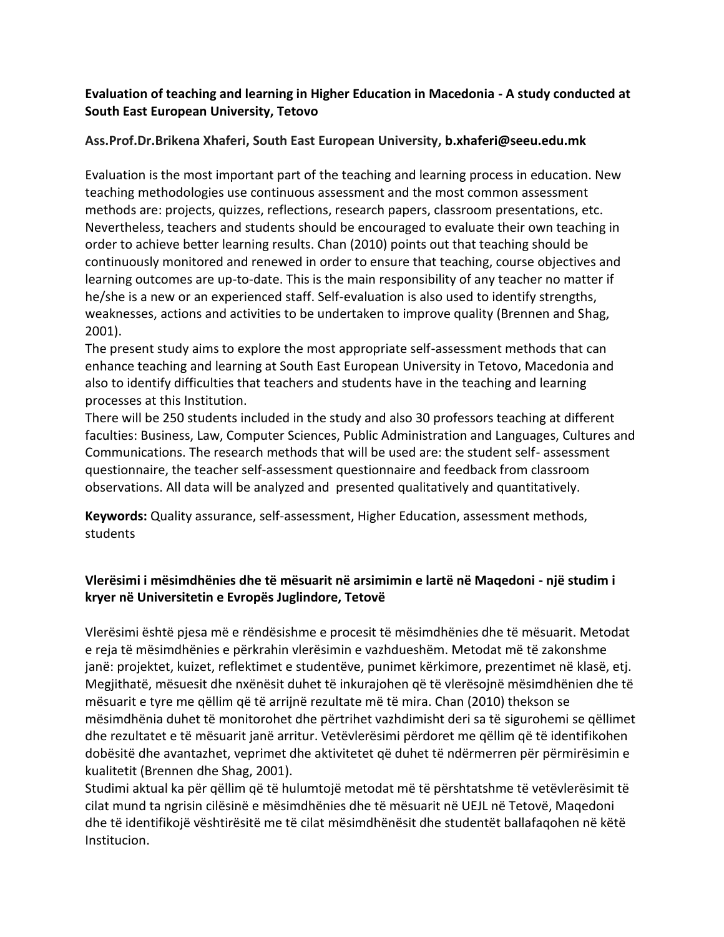## **Evaluation of teaching and learning in Higher Education in Macedonia - A study conducted at South East European University, Tetovo**

## **Ass.Prof.Dr.Brikena Xhaferi, South East European University, b.xhaferi@seeu.edu.mk**

Evaluation is the most important part of the teaching and learning process in education. New teaching methodologies use continuous assessment and the most common assessment methods are: projects, quizzes, reflections, research papers, classroom presentations, etc. Nevertheless, teachers and students should be encouraged to evaluate their own teaching in order to achieve better learning results. Chan (2010) points out that teaching should be continuously monitored and renewed in order to ensure that teaching, course objectives and learning outcomes are up-to-date. This is the main responsibility of any teacher no matter if he/she is a new or an experienced staff. Self-evaluation is also used to identify strengths, weaknesses, actions and activities to be undertaken to improve quality (Brennen and Shag, 2001).

The present study aims to explore the most appropriate self-assessment methods that can enhance teaching and learning at South East European University in Tetovo, Macedonia and also to identify difficulties that teachers and students have in the teaching and learning processes at this Institution.

There will be 250 students included in the study and also 30 professors teaching at different faculties: Business, Law, Computer Sciences, Public Administration and Languages, Cultures and Communications. The research methods that will be used are: the student self- assessment questionnaire, the teacher self-assessment questionnaire and feedback from classroom observations. All data will be analyzed and presented qualitatively and quantitatively.

**Keywords:** Quality assurance, self-assessment, Higher Education, assessment methods, students

## **Vlerësimi i mësimdhënies dhe të mësuarit në arsimimin e lartë në Maqedoni - një studim i kryer në Universitetin e Evropës Juglindore, Tetovë**

Vlerësimi është pjesa më e rëndësishme e procesit të mësimdhënies dhe të mësuarit. Metodat e reja të mësimdhënies e përkrahin vlerësimin e vazhdueshëm. Metodat më të zakonshme janë: projektet, kuizet, reflektimet e studentëve, punimet kërkimore, prezentimet në klasë, etj. Megjithatë, mësuesit dhe nxënësit duhet të inkurajohen që të vlerësojnë mësimdhënien dhe të mësuarit e tyre me qëllim që të arrijnë rezultate më të mira. Chan (2010) thekson se mësimdhënia duhet të monitorohet dhe përtrihet vazhdimisht deri sa të sigurohemi se qëllimet dhe rezultatet e të mësuarit janë arritur. Vetëvlerësimi përdoret me qëllim që të identifikohen dobësitë dhe avantazhet, veprimet dhe aktivitetet që duhet të ndërmerren për përmirësimin e kualitetit (Brennen dhe Shag, 2001).

Studimi aktual ka për qëllim që të hulumtojë metodat më të përshtatshme të vetëvlerësimit të cilat mund ta ngrisin cilësinë e mësimdhënies dhe të mësuarit në UEJL në Tetovë, Maqedoni dhe të identifikojë vështirësitë me të cilat mësimdhënësit dhe studentët ballafaqohen në këtë Institucion.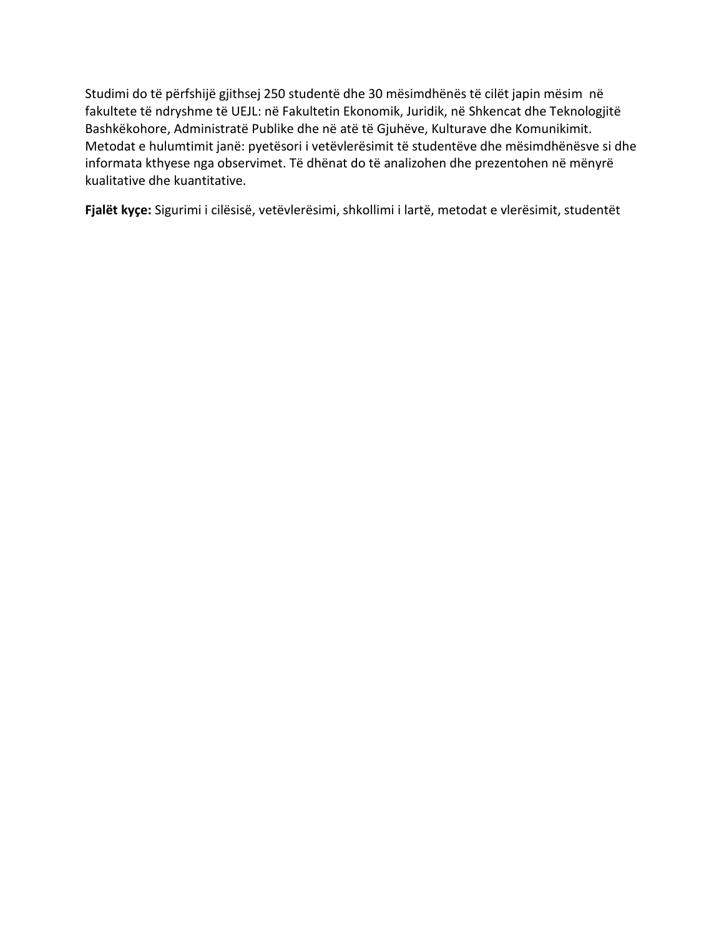Studimi do të përfshijë gjithsej 250 studentë dhe 30 mësimdhënës të cilët japin mësim në fakultete të ndryshme të UEJL: në Fakultetin Ekonomik, Juridik, në [Shkencat dhe Teknologjitë](http://www.seeu.edu.mk/sq/faculties/cst)  [Bashkëkohore,](http://www.seeu.edu.mk/sq/faculties/cst) Administratë Publike dhe në atë të Gjuhëve, Kulturave dhe Komunikimit. Metodat e hulumtimit janë: pyetësori i vetëvlerësimit të studentëve dhe mësimdhënësve si dhe informata kthyese nga observimet. Të dhënat do të analizohen dhe prezentohen në mënyrë kualitative dhe kuantitative.

**Fjalët kyçe:** Sigurimi i cilësisë, vetëvlerësimi, shkollimi i lartë, metodat e vlerësimit, studentët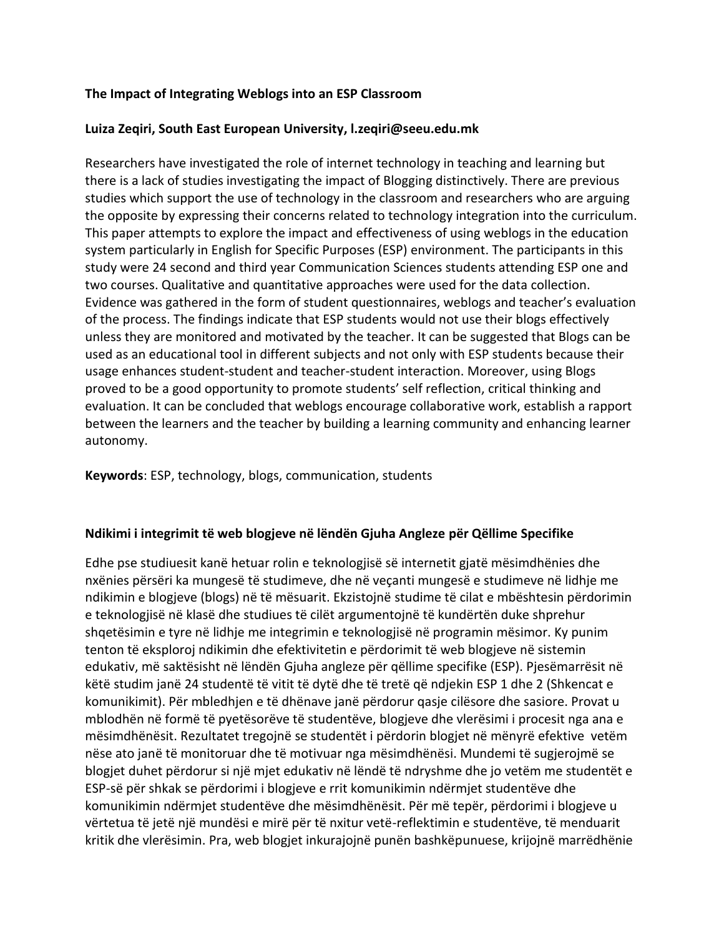### **The Impact of Integrating Weblogs into an ESP Classroom**

#### **Luiza Zeqiri, South East European University, l.zeqiri@seeu.edu.mk**

Researchers have investigated the role of internet technology in teaching and learning but there is a lack of studies investigating the impact of Blogging distinctively. There are previous studies which support the use of technology in the classroom and researchers who are arguing the opposite by expressing their concerns related to technology integration into the curriculum. This paper attempts to explore the impact and effectiveness of using weblogs in the education system particularly in English for Specific Purposes (ESP) environment. The participants in this study were 24 second and third year Communication Sciences students attending ESP one and two courses. Qualitative and quantitative approaches were used for the data collection. Evidence was gathered in the form of student questionnaires, weblogs and teacher's evaluation of the process. The findings indicate that ESP students would not use their blogs effectively unless they are monitored and motivated by the teacher. It can be suggested that Blogs can be used as an educational tool in different subjects and not only with ESP students because their usage enhances student-student and teacher-student interaction. Moreover, using Blogs proved to be a good opportunity to promote students' self reflection, critical thinking and evaluation. It can be concluded that weblogs encourage collaborative work, establish a rapport between the learners and the teacher by building a learning community and enhancing learner autonomy.

#### **Keywords**: ESP, technology, blogs, communication, students

#### **Ndikimi i integrimit të web blogjeve në lëndën Gjuha Angleze për Qëllime Specifike**

Edhe pse studiuesit kanë hetuar rolin e teknologjisë së internetit gjatë mësimdhënies dhe nxënies përsëri ka mungesë të studimeve, dhe në veçanti mungesë e studimeve në lidhje me ndikimin e blogjeve (blogs) në të mësuarit. Ekzistojnë studime të cilat e mbështesin përdorimin e teknologjisë në klasë dhe studiues të cilët argumentojnë të kundërtën duke shprehur shqetësimin e tyre në lidhje me integrimin e teknologjisë në programin mësimor. Ky punim tenton të eksploroj ndikimin dhe efektivitetin e përdorimit të web blogjeve në sistemin edukativ, më saktësisht në lëndën Gjuha angleze për qëllime specifike (ESP). Pjesëmarrësit në këtë studim janë 24 studentë të vitit të dytë dhe të tretë që ndjekin ESP 1 dhe 2 (Shkencat e komunikimit). Për mbledhjen e të dhënave janë përdorur qasje cilësore dhe sasiore. Provat u mblodhën në formë të pyetësorëve të studentëve, blogjeve dhe vlerësimi i procesit nga ana e mësimdhënësit. Rezultatet tregojnë se studentët i përdorin blogjet në mënyrë efektive vetëm nëse ato janë të monitoruar dhe të motivuar nga mësimdhënësi. Mundemi të sugjerojmë se blogjet duhet përdorur si një mjet edukativ në lëndë të ndryshme dhe jo vetëm me studentët e ESP-së për shkak se përdorimi i blogjeve e rrit komunikimin ndërmjet studentëve dhe komunikimin ndërmjet studentëve dhe mësimdhënësit. Për më tepër, përdorimi i blogjeve u vërtetua të jetë një mundësi e mirë për të nxitur vetë-reflektimin e studentëve, të menduarit kritik dhe vlerësimin. Pra, web blogjet inkurajojnë punën bashkëpunuese, krijojnë marrëdhënie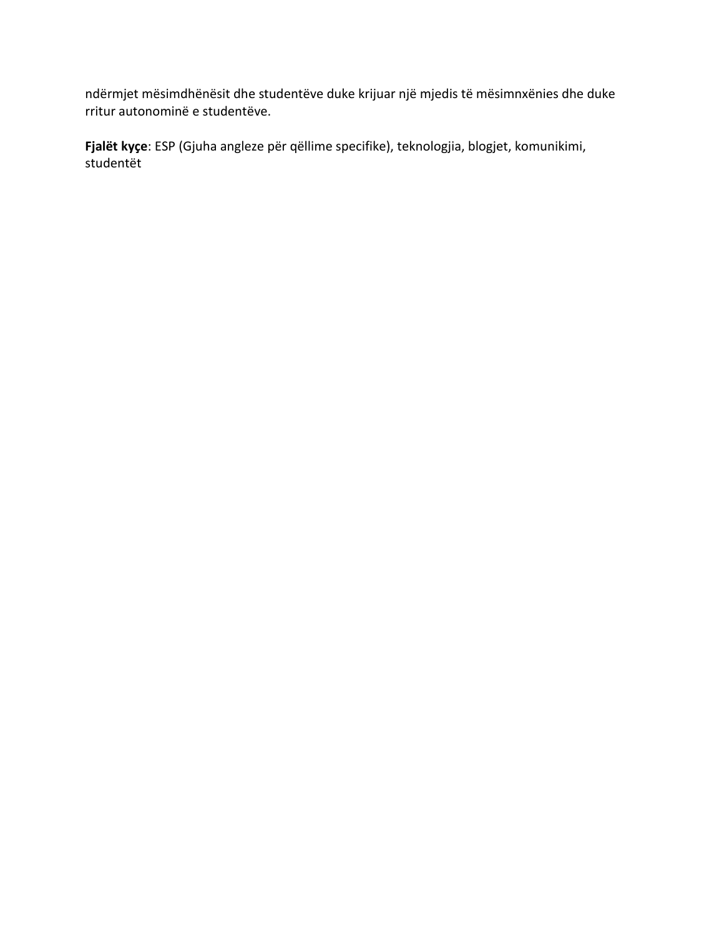ndërmjet mësimdhënësit dhe studentëve duke krijuar një mjedis të mësimnxënies dhe duke rritur autonominë e studentëve.

**Fjalët kyçe**: ESP (Gjuha angleze për qëllime specifike), teknologjia, blogjet, komunikimi, studentët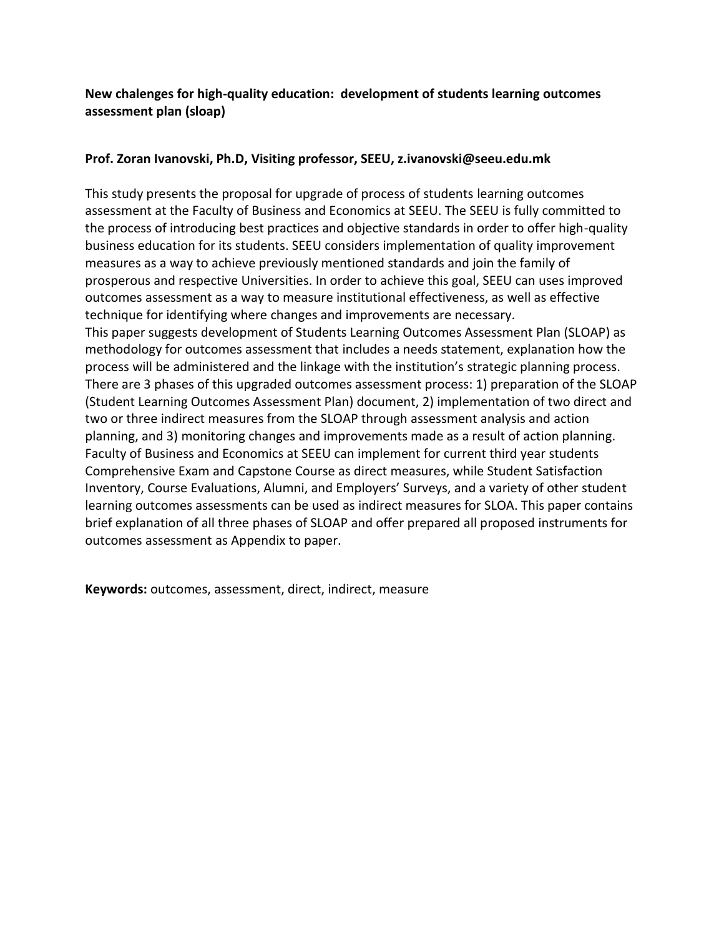## **New chalenges for high-quality education: development of students learning outcomes assessment plan (sloap)**

## **Prof. Zoran Ivanovski, Ph.D, Visiting professor, SEEU, z.ivanovski@seeu.edu.mk**

This study presents the proposal for upgrade of process of students learning outcomes assessment at the Faculty of Business and Economics at SEEU. The SEEU is fully committed to the process of introducing best practices and objective standards in order to offer high-quality business education for its students. SEEU considers implementation of quality improvement measures as a way to achieve previously mentioned standards and join the family of prosperous and respective Universities. In order to achieve this goal, SEEU can uses improved outcomes assessment as a way to measure institutional effectiveness, as well as effective technique for identifying where changes and improvements are necessary. This paper suggests development of Students Learning Outcomes Assessment Plan (SLOAP) as methodology for outcomes assessment that includes a needs statement, explanation how the process will be administered and the linkage with the institution's strategic planning process. There are 3 phases of this upgraded outcomes assessment process: 1) preparation of the SLOAP (Student Learning Outcomes Assessment Plan) document, 2) implementation of two direct and two or three indirect measures from the SLOAP through assessment analysis and action planning, and 3) monitoring changes and improvements made as a result of action planning. Faculty of Business and Economics at SEEU can implement for current third year students Comprehensive Exam and Capstone Course as direct measures, while Student Satisfaction Inventory, Course Evaluations, Alumni, and Employers' Surveys, and a variety of other student learning outcomes assessments can be used as indirect measures for SLOA. This paper contains brief explanation of all three phases of SLOAP and offer prepared all proposed instruments for outcomes assessment as Appendix to paper.

**Keywords:** outcomes, assessment, direct, indirect, measure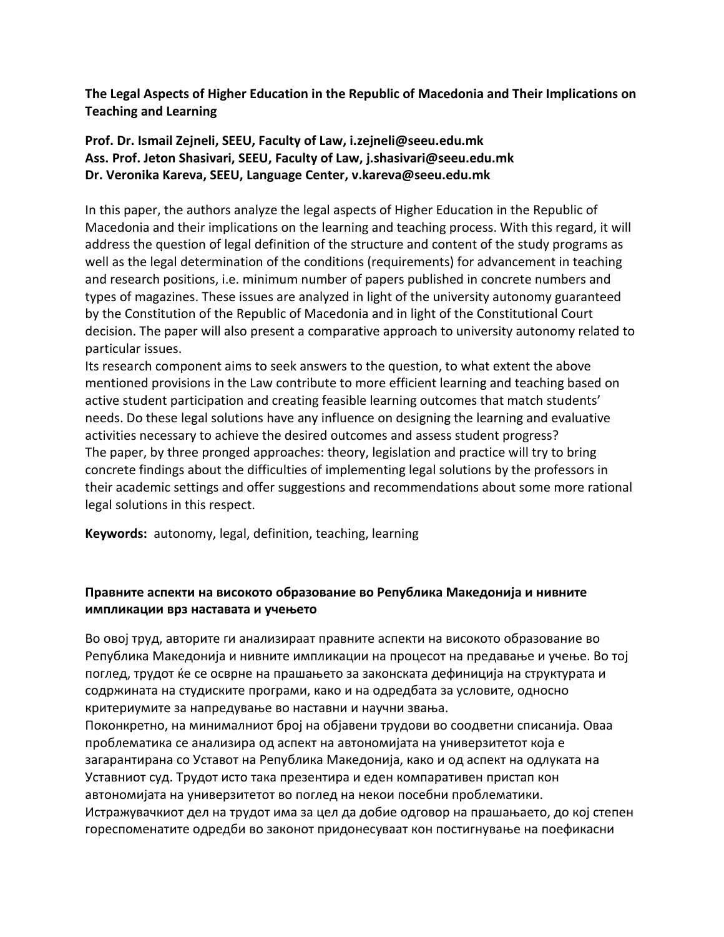**The Legal Aspects of Higher Education in the Republic of Macedonia and Their Implications on Teaching and Learning**

**Prof. Dr. Ismail Zejneli, SEEU, Faculty of Law, i.zejneli@seeu.edu.mk Ass. Prof. Jeton Shasivari, SEEU, Faculty of Law, j.shasivari@seeu.edu.mk Dr. Veronika Kareva, SEEU, Language Center, v.kareva@seeu.edu.mk**

In this paper, the authors analyze the legal aspects of Higher Education in the Republic of Macedonia and their implications on the learning and teaching process. With this regard, it will address the question of legal definition of the structure and content of the study programs as well as the legal determination of the conditions (requirements) for advancement in teaching and research positions, i.e. minimum number of papers published in concrete numbers and types of magazines. These issues are analyzed in light of the university autonomy guaranteed by the Constitution of the Republic of Macedonia and in light of the Constitutional Court decision. The paper will also present a comparative approach to university autonomy related to particular issues.

Its research component aims to seek answers to the question, to what extent the above mentioned provisions in the Law contribute to more efficient learning and teaching based on active student participation and creating feasible learning outcomes that match students' needs. Do these legal solutions have any influence on designing the learning and evaluative activities necessary to achieve the desired outcomes and assess student progress? The paper, by three pronged approaches: theory, legislation and practice will try to bring concrete findings about the difficulties of implementing legal solutions by the professors in their academic settings and offer suggestions and recommendations about some more rational legal solutions in this respect.

**Keywords:** autonomy, legal, definition, teaching, learning

### **Правните аспекти на високото образование во Република Македонија и нивните импликации врз наставата и учењето**

Во овој труд, авторите ги анализираат правните аспекти на високото образование во Република Македонија и нивните импликации на процесот на предавање и учење. Во тој поглед, трудот ќе се осврне на прашањето за законската дефиниција на структурата и содржината на студиските програми, како и на одредбата за условите, односно критериумите за напредување во наставни и научни звања.

Поконкретно, на минималниот број на објавени трудови во соодветни списанија. Оваа проблематика се анализира од аспект на автономијата на универзитетот која е загарантирана со Уставот на Република Македонија, како и од аспект на одлуката на Уставниот суд. Трудот исто така презентира и еден компаративен пристап кон автономијата на универзитетот во поглед на некои посебни проблематики. Истражувачкиот дел на трудот има за цел да добие одговор на прашањаето, до кој степен гореспоменатите одредби во законот придонесуваат кон постигнување на поефикасни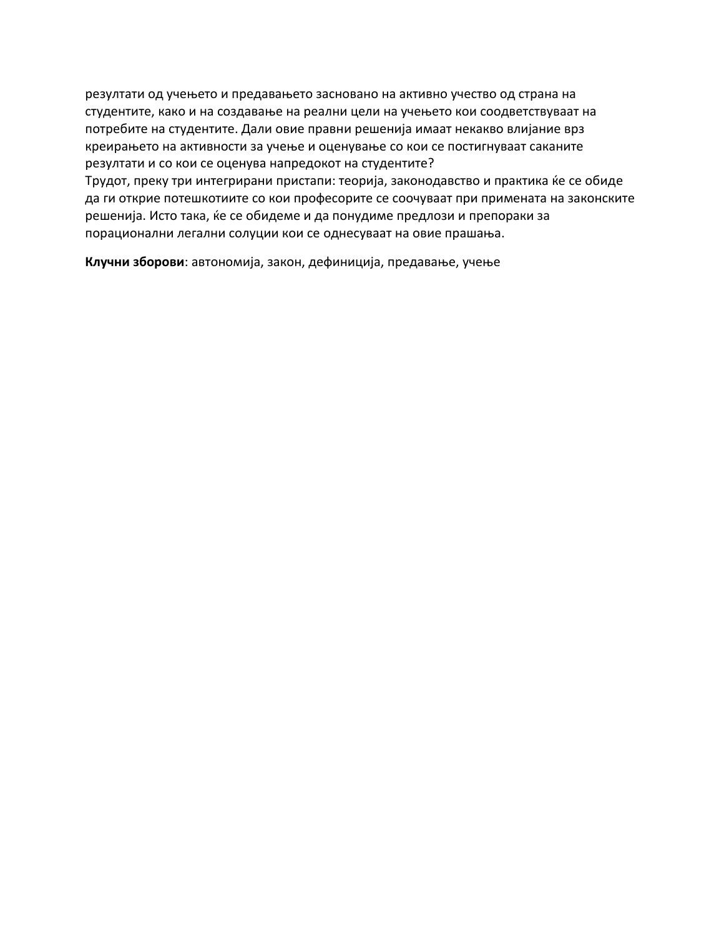резултати од учењето и предавањето засновано на активно учество од страна на студентите, како и на создавање на реални цели на учењето кои соодветствуваат на потребите на студентите. Дали овие правни решенија имаат некакво влијание врз креирањето на активности за учење и оценување со кои се постигнуваат саканите резултати и со кои се оценува напредокот на студентите?

Трудот, преку три интегрирани пристапи: теорија, законодавство и практика ќе се обиде да ги открие потешкотиите со кои професорите се соочуваат при примената на законските решенија. Исто така, ќе се обидеме и да понудиме предлози и препораки за порационални легални солуции кои се однесуваат на овие прашања.

**Клучни зборови**: автономија, закон, дефиниција, предавање, учење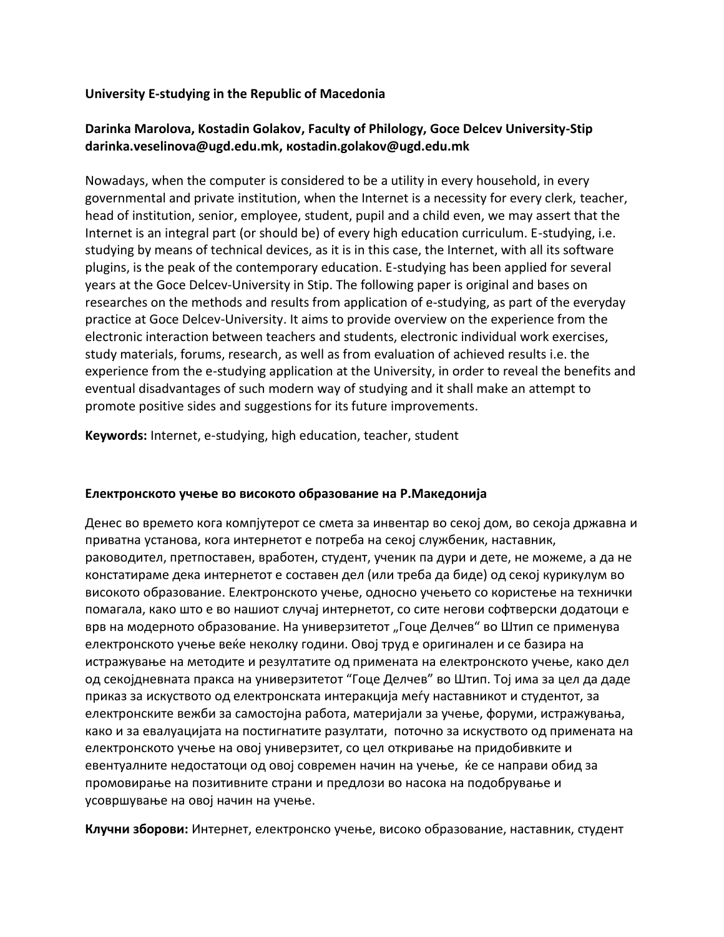### **University E-studying in the Republic of Macedonia**

## **Darinka Marolova, Kostadin Golakov, Faculty of Philology, Goce Delcev University-Stip [darinka.veselinova@ugd.edu.mk,](mailto:darinka.veselinova@ugd.edu.mk) [кostadin.golakov@ugd.edu.mk](mailto:кostadin.golakov@ugd.edu.mk)**

Nowadays, when the computer is considered to be a utility in every household, in every governmental and private institution, when the Internet is a necessity for every clerk, teacher, head of institution, senior, employee, student, pupil and a child even, we may assert that the Internet is an integral part (or should be) of every high education curriculum. E-studying, i.e. studying by means of technical devices, as it is in this case, the Internet, with all its software plugins, is the peak of the contemporary education. E-studying has been applied for several years at the Goce Delcev-University in Stip. The following paper is original and bases on researches on the methods and results from application of e-studying, as part of the everyday practice at Goce Delcev-University. It aims to provide overview on the experience from the electronic interaction between teachers and students, electronic individual work exercises, study materials, forums, research, as well as from evaluation of achieved results i.e. the experience from the e-studying application at the University, in order to reveal the benefits and eventual disadvantages of such modern way of studying and it shall make an attempt to promote positive sides and suggestions for its future improvements.

**Keywords:** Internet, e-studying, high education, teacher, student

#### **Електронското учење во високото образование на Р.Македонија**

Денес во времето кога компјутерот се смета за инвентар во секој дом, во секоја државна и приватна установа, кога интернетот е потреба на секој службеник, наставник, раководител, претпоставен, вработен, студент, ученик па дури и дете, не можеме, а да не констатираме дека интернетот е составен дел (или треба да биде) од секој курикулум во високото образование. Електронското учење, односно учењето со користење на технички помагала, како што е во нашиот случај интернетот, со сите негови софтверски додатоци е врв на модерното образование. На универзитетот "Гоце Делчев" во Штип се применува електронското учење веќе неколку години. Овој труд е оригинален и се базира на истражување на методите и резултатите од примената на електронското учење, како дел од секојдневната пракса на универзитетот "Гоце Делчев" во Штип. Тој има за цел да даде приказ за искуството од електронската интеракција меѓу наставникот и студентот, за електронските вежби за самостојна работа, материјали за учење, форуми, истражувања, како и за евалуацијата на постигнатите разултати, поточно за искуството од примената на електронското учење на овој универзитет, со цел откривање на придобивките и евентуалните недостатоци од овој современ начин на учење, ќе се направи обид за промовирање на позитивните страни и предлози во насока на подобрување и усовршување на овој начин на учење.

**Клучни зборови:** Интернет, електронско учење, високо образование, наставник, студент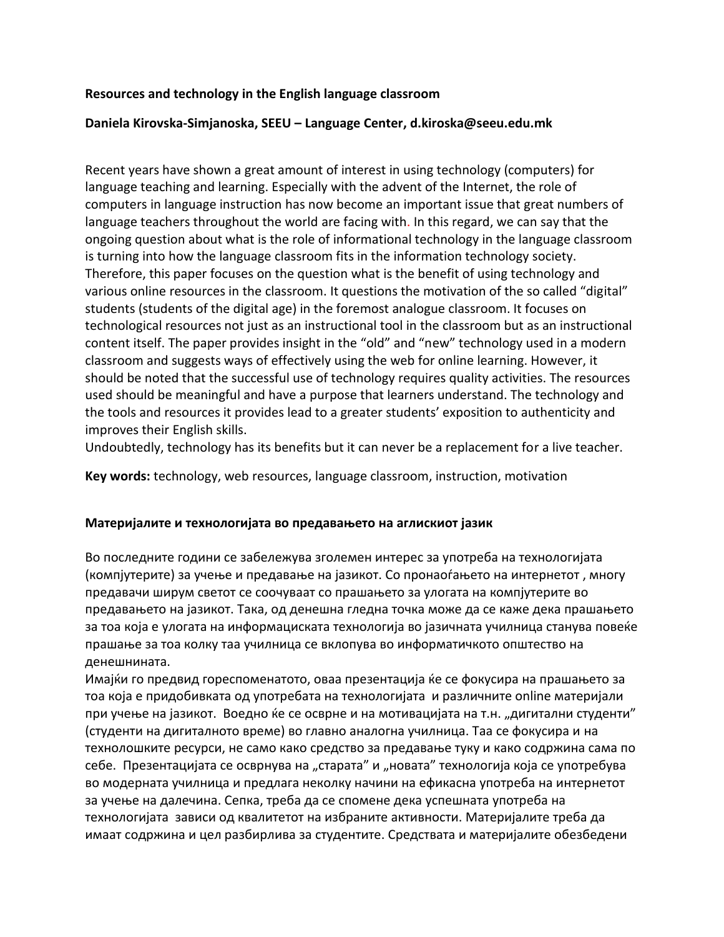#### **Resources and technology in the English language classroom**

#### **Daniela Kirovska-Simjanoska, SEEU – Language Center, d.kiroska@seeu.edu.mk**

Recent years have shown a great amount of interest in using technology (computers) for language teaching and learning. Especially with the advent of the Internet, the role of computers in language instruction has now become an important issue that great numbers of language teachers throughout the world are facing with. In this regard, we can say that the ongoing question about what is the role of informational technology in the language classroom is turning into how the language classroom fits in the information technology society. Therefore, this paper focuses on the question what is the benefit of using technology and various online resources in the classroom. It questions the motivation of the so called "digital" students (students of the digital age) in the foremost analogue classroom. It focuses on technological resources not just as an instructional tool in the classroom but as an instructional content itself. The paper provides insight in the "old" and "new" technology used in a modern classroom and suggests ways of effectively using the web for online learning. However, it should be noted that the successful use of technology requires quality activities. The resources used should be meaningful and have a purpose that learners understand. The technology and the tools and resources it provides lead to a greater students' exposition to authenticity and improves their English skills.

Undoubtedly, technology has its benefits but it can never be a replacement for a live teacher.

**Key words:** technology, web resources, language classroom, instruction, motivation

#### **Материјалите и технологијата во предавањето на аглискиот јазик**

Во последните години се забележува зголемен интерес за употреба на технологијата (компјутерите) за учење и предавање на јазикот. Со пронаоѓањето на интернетот , многу предавачи ширум светот се соочуваат со прашањето за улогата на компјутерите во предавањето на јазикот. Така, од денешна гледна точка може да се каже дека прашањето за тоа која е улогата на информациската технологија во јазичната училница станува повеќе прашање за тоа колку таа училница се вклопува во информатичкото општество на денешнината.

Имајќи го предвид гореспоменатото, оваа презентација ќе се фокусира на прашањето за тоа која е придобивката од употребата на технологијата и различните online материјали при учење на јазикот. Воедно ќе се осврне и на мотивацијата на т.н. "дигитални студенти" (студенти на дигиталното време) во главно аналогна училница. Таа се фокусира и на технолошките ресурси, не само како средство за предавање туку и како содржина сама по себе. Презентацијата се осврнува на "старата" и "новата" технологија која се употребува во модерната училница и предлага неколку начини на ефикасна употреба на интернетот за учење на далечина. Сепка, треба да се спомене дека успешната употреба на технологијата зависи од квалитетот на избраните активности. Материјалите треба да имаат содржина и цел разбирлива за студентите. Средствата и материјалите обезбедени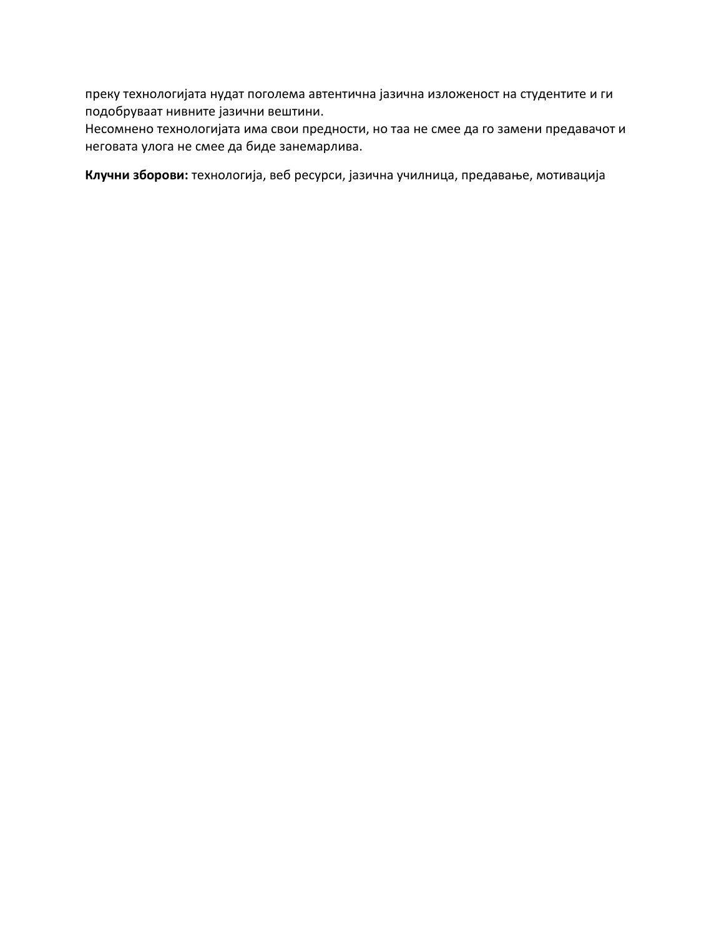преку технологијата нудат поголема автентична јазична изложеност на студентите и ги подобруваат нивните јазични вештини.

Несомнено технологијата има свои предности, но таа не смее да го замени предавачот и неговата улога не смее да биде занемарлива.

**Клучни зборови:** технологија, веб ресурси, јазична училница, предавање, мотивација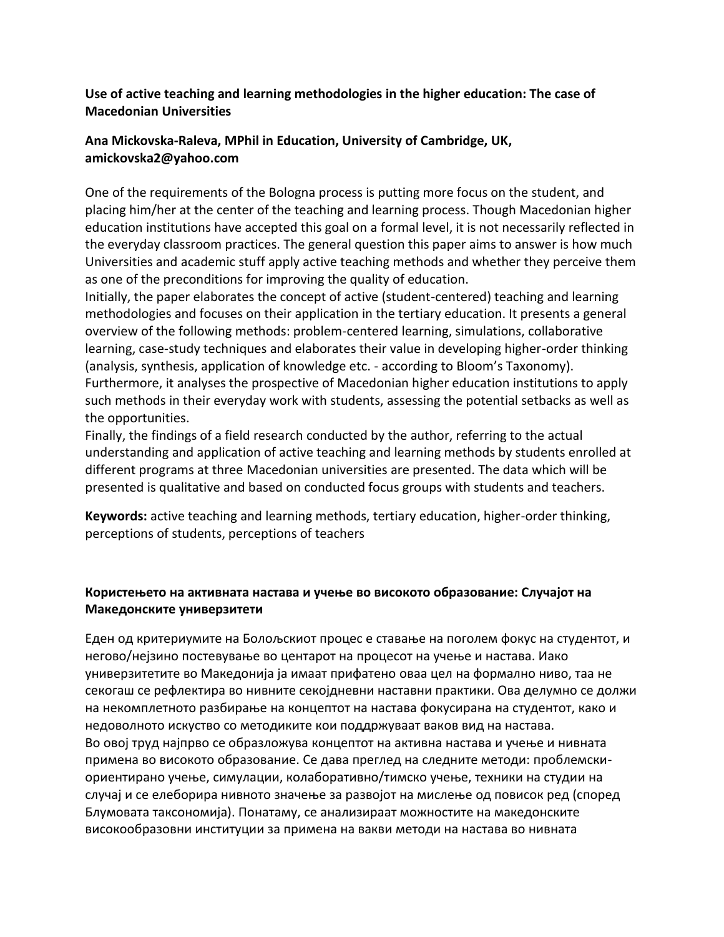### **Use of active teaching and learning methodologies in the higher education: The case of Macedonian Universities**

## **Ana Mickovska-Raleva, MPhil in Education, University of Cambridge, UK, amickovska2@yahoo.com**

One of the requirements of the Bologna process is putting more focus on the student, and placing him/her at the center of the teaching and learning process. Though Macedonian higher education institutions have accepted this goal on a formal level, it is not necessarily reflected in the everyday classroom practices. The general question this paper aims to answer is how much Universities and academic stuff apply active teaching methods and whether they perceive them as one of the preconditions for improving the quality of education.

Initially, the paper elaborates the concept of active (student-centered) teaching and learning methodologies and focuses on their application in the tertiary education. It presents a general overview of the following methods: problem-centered learning, simulations, collaborative learning, case-study techniques and elaborates their value in developing higher-order thinking (analysis, synthesis, application of knowledge etc. - according to Bloom's Taxonomy). Furthermore, it analyses the prospective of Macedonian higher education institutions to apply such methods in their everyday work with students, assessing the potential setbacks as well as the opportunities.

Finally, the findings of a field research conducted by the author, referring to the actual understanding and application of active teaching and learning methods by students enrolled at different programs at three Macedonian universities are presented. The data which will be presented is qualitative and based on conducted focus groups with students and teachers.

**Keywords:** active teaching and learning methods, tertiary education, higher-order thinking, perceptions of students, perceptions of teachers

### **Користењето на активната настава и учење во високото образование: Случајот на Македонските универзитети**

Еден од критериумите на Болољскиот процес е ставање на поголем фокус на студентот, и негово/нејзино постевување во центарот на процесот на учење и настава. Иако универзитетите во Македонија ја имаат прифатено оваа цел на формално ниво, таа не секогаш се рефлектира во нивните секојдневни наставни практики. Ова делумно се должи на некомплетното разбирање на концептот на настава фокусирана на студентот, како и недоволното искуство со методиките кои поддржуваат ваков вид на настава. Во овој труд најпрво се образложува концептот на активна настава и учење и нивната примена во високото образование. Се дава преглед на следните методи: проблемскиориентирано учење, симулации, колаборативно/тимско учење, техники на студии на случај и се елеборира нивното значење за развојот на мислење од повисок ред (според Блумовата таксономија). Понатаму, се анализираат можностите на македонските високообразовни институции за примена на вакви методи на настава во нивната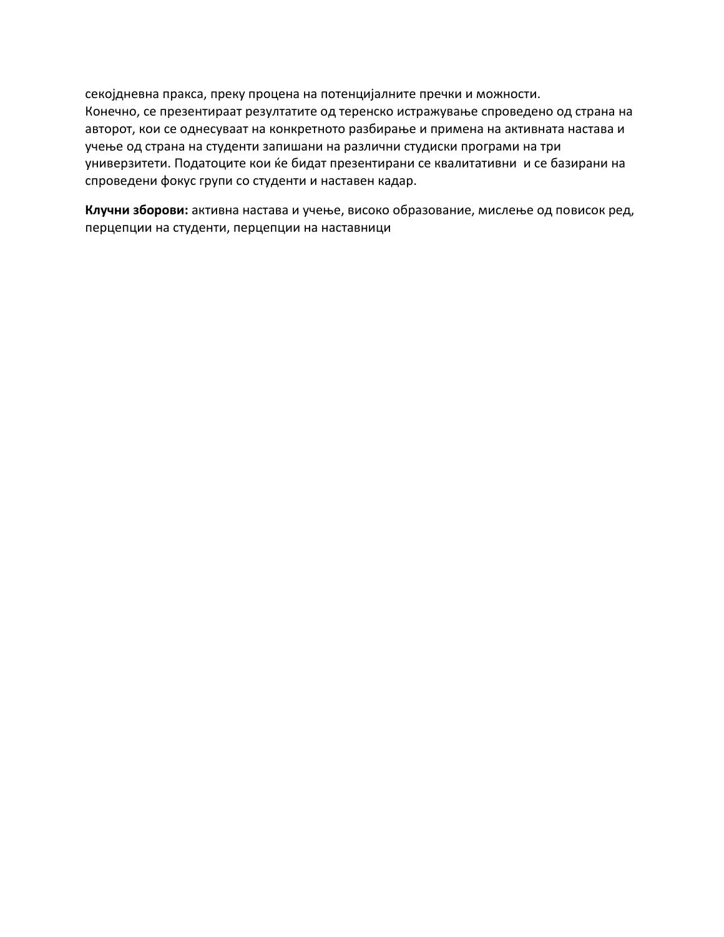секојдневна пракса, преку процена на потенцијалните пречки и можности. Конечно, се презентираат резултатите од теренско истражување спроведено од страна на авторот, кои се однесуваат на конкретното разбирање и примена на активната настава и учење од страна на студенти запишани на различни студиски програми на три универзитети. Податоците кои ќе бидат презентирани се квалитативни и се базирани на спроведени фокус групи со студенти и наставен кадар.

**Клучни зборови:** активна настава и учење, високо образование, мислење од повисок ред, перцепции на студенти, перцепции на наставници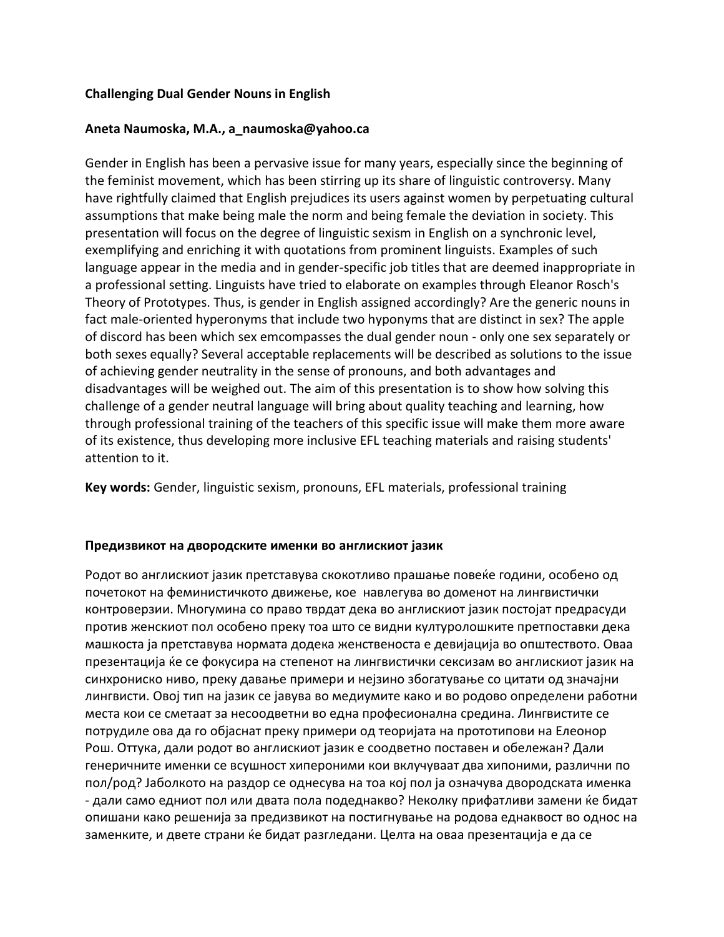#### **Challenging Dual Gender Nouns in English**

#### **Aneta Naumoska, M.A., a\_naumoska@yahoo.ca**

Gender in English has been a pervasive issue for many years, especially since the beginning of the feminist movement, which has been stirring up its share of linguistic controversy. Many have rightfully claimed that English prejudices its users against women by perpetuating cultural assumptions that make being male the norm and being female the deviation in society. This presentation will focus on the degree of linguistic sexism in English on a synchronic level, exemplifying and enriching it with quotations from prominent linguists. Examples of such language appear in the media and in gender-specific job titles that are deemed inappropriate in a professional setting. Linguists have tried to elaborate on examples through Eleanor Rosch's Theory of Prototypes. Thus, is gender in English assigned accordingly? Are the generic nouns in fact male-oriented hyperonyms that include two hyponyms that are distinct in sex? The apple of discord has been which sex emcompasses the dual gender noun - only one sex separately or both sexes equally? Several acceptable replacements will be described as solutions to the issue of achieving gender neutrality in the sense of pronouns, and both advantages and disadvantages will be weighed out. The aim of this presentation is to show how solving this challenge of a gender neutral language will bring about quality teaching and learning, how through professional training of the teachers of this specific issue will make them more aware of its existence, thus developing more inclusive EFL teaching materials and raising students' attention to it.

**Key words:** Gender, linguistic sexism, pronouns, EFL materials, professional training

#### **Предизвикот на двородските именки во англискиот јазик**

Родот во англискиот јазик претставува скокотливо прашање повеќе години, особено од почетокот на феминистичкото движење, кое навлегува во доменот на лингвистички контроверзии. Многумина со право тврдат дека во англискиот јазик постојат предрасуди против женскиот пол особено преку тоа што се видни културолошките претпоставки дека машкоста ја претставува нормата додека женственоста е девијација во општеството. Оваа презентација ќе се фокусира на степенот на лингвистички сексизам во англискиот јазик на синхрониско ниво, преку давање примери и нејзино збогатување со цитати од значајни лингвисти. Овој тип на јазик се јавува во медиумите како и во родово определени работни места кои се сметаат за несоодветни во една професионална средина. Лингвистите се потрудиле ова да го објаснат преку примери од теоријата на прототипови на Елеонор Рош. Оттука, дали родот во англискиот јазик е соодветно поставен и обележан? Дали генеричните именки се всушност хипероними кои вклучуваат два хипоними, различни по пол/род? Јаболкото на раздор се однесува на тоа кој пол ја означува двородската именка - дали само едниот пол или двата пола подеднакво? Неколку прифатливи замени ќе бидат опишани како решенија за предизвикот на постигнување на родова еднаквост во однос на заменките, и двете страни ќе бидат разгледани. Целта на оваа презентација е да се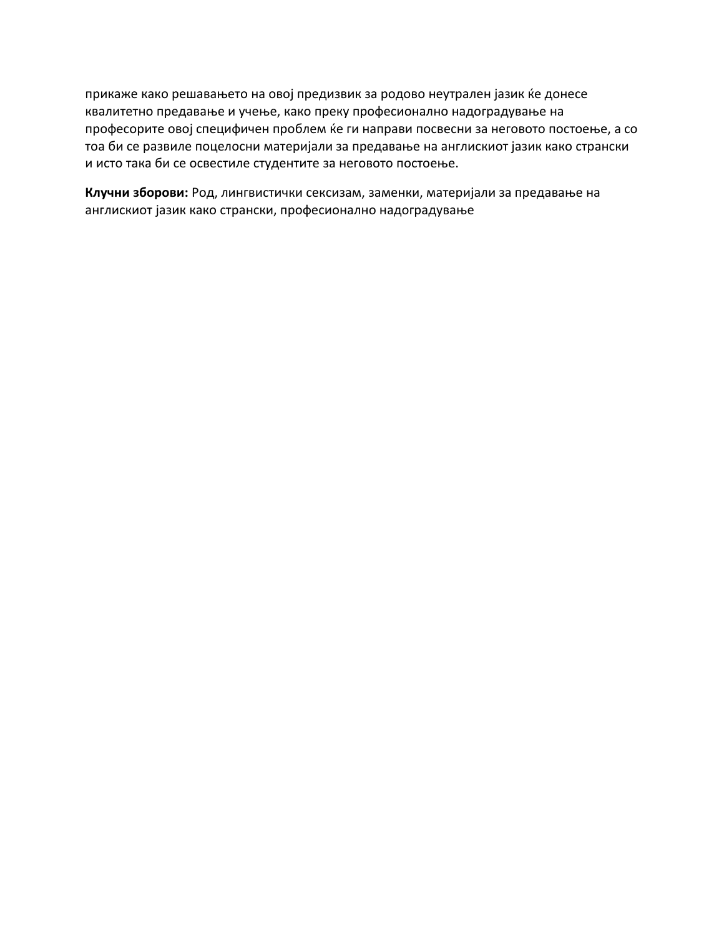прикаже како решавањето на овој предизвик за родово неутрален јазик ќе донесе квалитетно предавање и учење, како преку професионално надоградување на професорите овој специфичен проблем ќе ги направи посвесни за неговото постоење, а со тоа би се развиле поцелосни материјали за предавање на англискиот јазик како странски и исто така би се освестиле студентите за неговото постоење.

**Клучни зборови:** Род, лингвистички сексизам, заменки, материјали за предавање на англискиот јазик како странски, професионално надоградување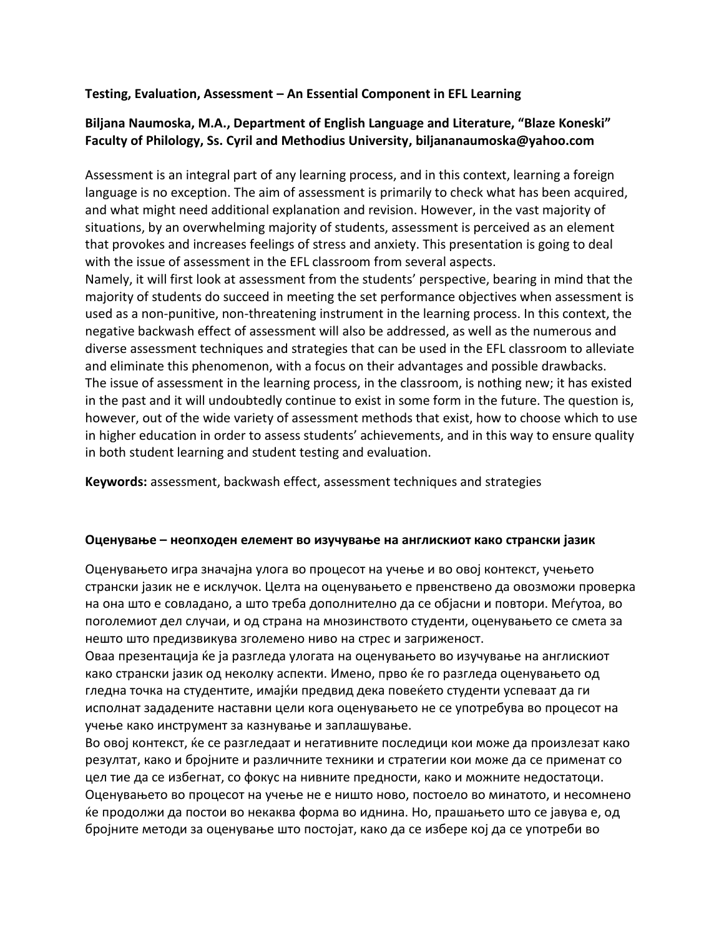### **Testing, Evaluation, Assessment – An Essential Component in EFL Learning**

## **Biljana Naumoska, M.A., Department of English Language and Literature, "Blaze Koneski" Faculty of Philology, Ss. Cyril and Methodius University, biljananaumoska@yahoo.com**

Assessment is an integral part of any learning process, and in this context, learning a foreign language is no exception. The aim of assessment is primarily to check what has been acquired, and what might need additional explanation and revision. However, in the vast majority of situations, by an overwhelming majority of students, assessment is perceived as an element that provokes and increases feelings of stress and anxiety. This presentation is going to deal with the issue of assessment in the EFL classroom from several aspects.

Namely, it will first look at assessment from the students' perspective, bearing in mind that the majority of students do succeed in meeting the set performance objectives when assessment is used as a non-punitive, non-threatening instrument in the learning process. In this context, the negative backwash effect of assessment will also be addressed, as well as the numerous and diverse assessment techniques and strategies that can be used in the EFL classroom to alleviate and eliminate this phenomenon, with a focus on their advantages and possible drawbacks. The issue of assessment in the learning process, in the classroom, is nothing new; it has existed in the past and it will undoubtedly continue to exist in some form in the future. The question is, however, out of the wide variety of assessment methods that exist, how to choose which to use in higher education in order to assess students' achievements, and in this way to ensure quality in both student learning and student testing and evaluation.

**Keywords:** assessment, backwash effect, assessment techniques and strategies

#### **Оценување – неопходен елемент во изучување на англискиот како странски јазик**

Оценувањето игра значајна улога во процесот на учење и во овој контекст, учењето странски јазик не е исклучок. Целта на оценувањето е првенствено да овозможи проверка на она што е совладано, а што треба дополнително да се објасни и повтори. Меѓутоа, во поголемиот дел случаи, и од страна на мнозинството студенти, оценувањето се смета за нешто што предизвикува зголемено ниво на стрес и загриженост.

Оваа презентација ќе ја разгледа улогата на оценувањето во изучување на англискиот како странски јазик од неколку аспекти. Имено, прво ќе го разгледа оценувањето од гледна точка на студентите, имајќи предвид дека повеќето студенти успеваат да ги исполнат зададените наставни цели кога оценувањето не се употребува во процесот на учење како инструмент за казнување и заплашување.

Во овој контекст, ќе се разгледаат и негативните последици кои може да произлезат како резултат, како и бројните и различните техники и стратегии кои може да се применат со цел тие да се избегнат, со фокус на нивните предности, како и можните недостатоци. Оценувањето во процесот на учење не е ништо ново, постоело во минатото, и несомнено ќе продолжи да постои во некаква форма во иднина. Но, прашањето што се јавува е, од бројните методи за оценување што постојат, како да се избере кој да се употреби во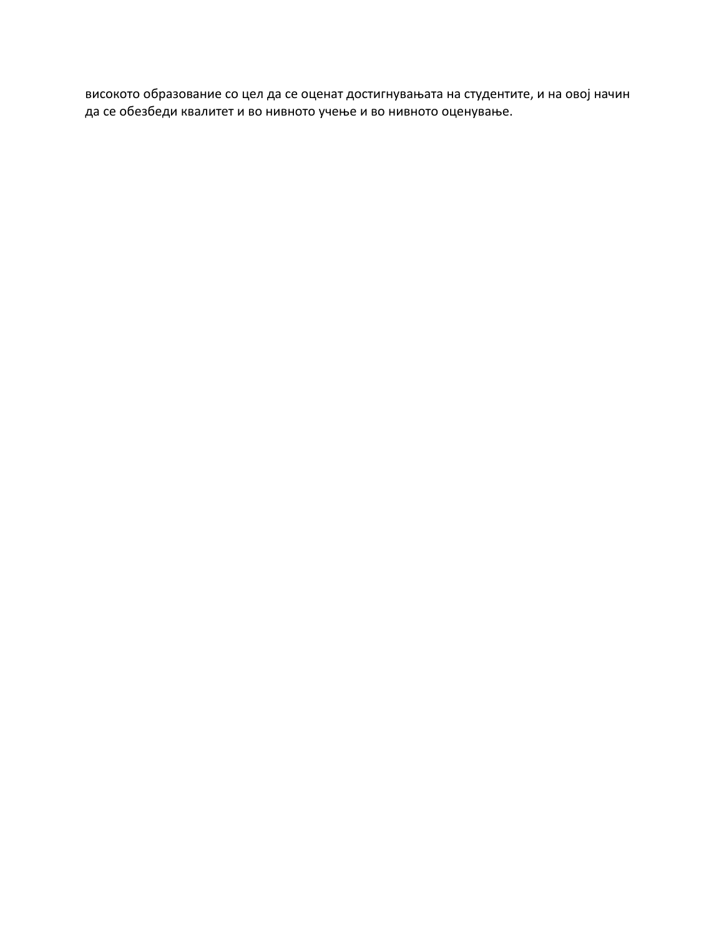високото образование со цел да се оценат достигнувањата на студентите, и на овој начин да се обезбеди квалитет и во нивното учење и во нивното оценување.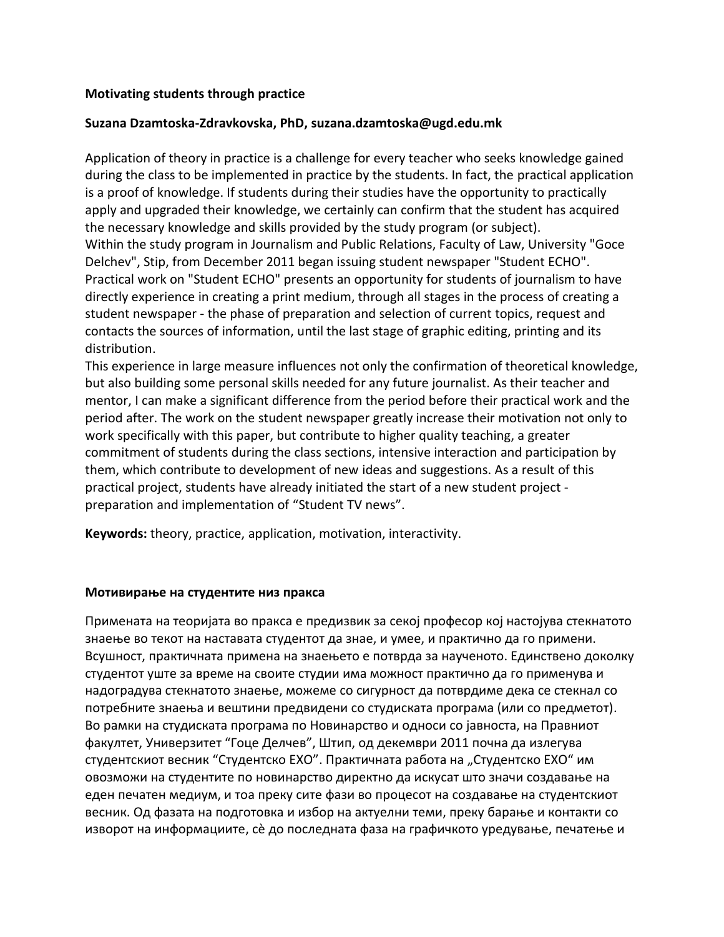#### **Motivating students through practice**

#### **Suzana Dzamtoska-Zdravkovska, PhD, suzana.dzamtoska@ugd.edu.mk**

Application of theory in practice is a challenge for every teacher who seeks knowledge gained during the class to be implemented in practice by the students. In fact, the practical application is a proof of knowledge. If students during their studies have the opportunity to practically apply and upgraded their knowledge, we certainly can confirm that the student has acquired the necessary knowledge and skills provided by the study program (or subject). Within the study program in Journalism and Public Relations, Faculty of Law, University "Goce Delchev", Stip, from December 2011 began issuing student newspaper "Student ECHO". Practical work on "Student ECHO" presents an opportunity for students of journalism to have directly experience in creating a print medium, through all stages in the process of creating a student newspaper - the phase of preparation and selection of current topics, request and contacts the sources of information, until the last stage of graphic editing, printing and its distribution.

This experience in large measure influences not only the confirmation of theoretical knowledge, but also building some personal skills needed for any future journalist. As their teacher and mentor, I can make a significant difference from the period before their practical work and the period after. The work on the student newspaper greatly increase their motivation not only to work specifically with this paper, but contribute to higher quality teaching, a greater commitment of students during the class sections, intensive interaction and participation by them, which contribute to development of new ideas and suggestions. As a result of this practical project, students have already initiated the start of a new student project preparation and implementation of "Student TV news".

**Keywords:** theory, practice, application, motivation, interactivity.

#### **Мотивирање на студентите низ пракса**

Примената на теоријата во пракса е предизвик за секој професор кој настојува стекнатото знаење во текот на наставата студентот да знае, и умее, и практично да го примени. Всушност, практичната примена на знаењето е потврда за наученото. Единствено доколку студентот уште за време на своите студии има можност практично да го применува и надоградува стекнатото знаење, можеме со сигурност да потврдиме дека се стекнал со потребните знаења и вештини предвидени со студиската програма (или со предметот). Во рамки на студиската програма по Новинарство и односи со јавноста, на Правниот факултет, Универзитет "Гоце Делчев", Штип, од декември 2011 почна да излегува студентскиот весник "Студентско ЕХО". Практичната работа на "Студентско ЕХО" им овозможи на студентите по новинарство директно да искусат што значи создавање на еден печатен медиум, и тоа преку сите фази во процесот на создавање на студентскиот весник. Од фазата на подготовка и избор на актуелни теми, преку барање и контакти со изворот на информациите, сѐ до последната фаза на графичкото уредување, печатење и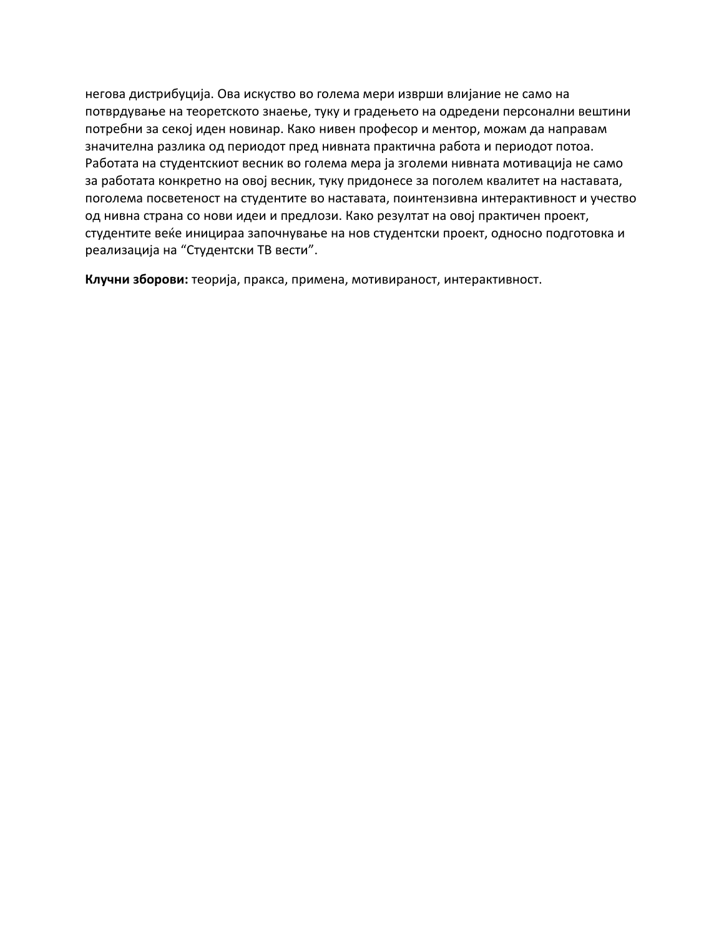негова дистрибуција. Ова искуство во голема мери изврши влијание не само на потврдување на теоретското знаење, туку и градењето на одредени персонални вештини потребни за секој иден новинар. Како нивен професор и ментор, можам да направам значителна разлика од периодот пред нивната практична работа и периодот потоа. Работата на студентскиот весник во голема мера ја зголеми нивната мотивација не само за работата конкретно на овој весник, туку придонесе за поголем квалитет на наставата, поголема посветеност на студентите во наставата, поинтензивна интерактивност и учество од нивна страна со нови идеи и предлози. Како резултат на овој практичен проект, студентите веќе иницираа започнување на нов студентски проект, односно подготовка и реализација на "Студентски ТВ вести".

**Клучни зборови:** теорија, пракса, примена, мотивираност, интерактивност.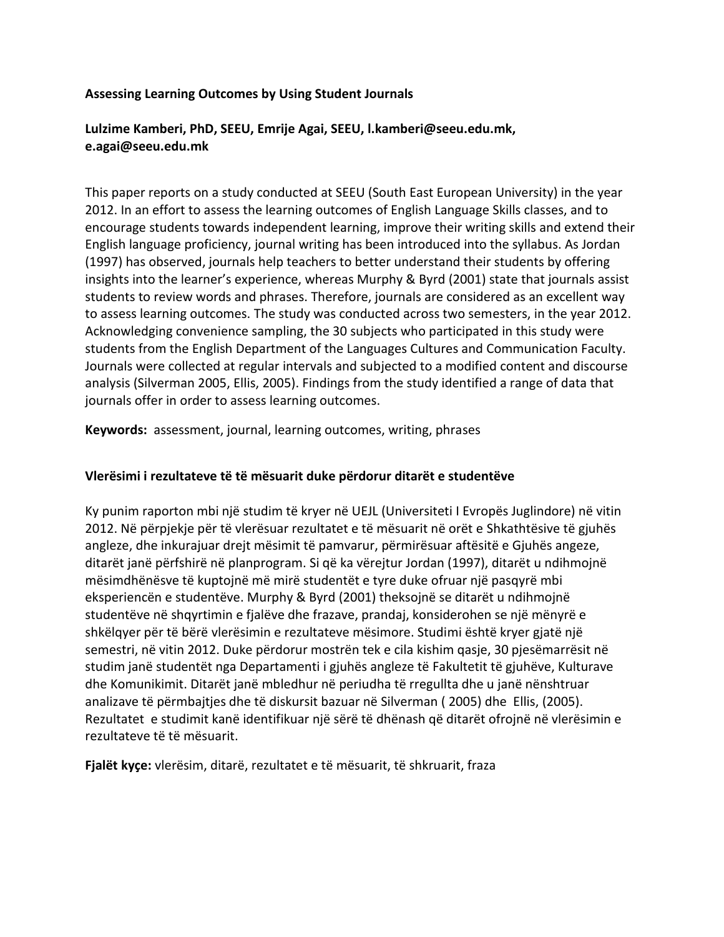#### **Assessing Learning Outcomes by Using Student Journals**

## **Lulzime Kamberi, PhD, SEEU, Emrije Agai, SEEU, l.kamberi@seeu.edu.mk, e.agai@seeu.edu.mk**

This paper reports on a study conducted at SEEU (South East European University) in the year 2012. In an effort to assess the learning outcomes of English Language Skills classes, and to encourage students towards independent learning, improve their writing skills and extend their English language proficiency, journal writing has been introduced into the syllabus. As Jordan (1997) has observed, journals help teachers to better understand their students by offering insights into the learner's experience, whereas Murphy & Byrd (2001) state that journals assist students to review words and phrases. Therefore, journals are considered as an excellent way to assess learning outcomes. The study was conducted across two semesters, in the year 2012. Acknowledging convenience sampling, the 30 subjects who participated in this study were students from the English Department of the Languages Cultures and Communication Faculty. Journals were collected at regular intervals and subjected to a modified content and discourse analysis (Silverman 2005, Ellis, 2005). Findings from the study identified a range of data that journals offer in order to assess learning outcomes.

**Keywords:** assessment, journal, learning outcomes, writing, phrases

#### **Vlerësimi i rezultateve të të mësuarit duke përdorur ditarët e studentëve**

Ky punim raporton mbi një studim të kryer në UEJL (Universiteti I Evropës Juglindore) në vitin 2012. Në përpjekje për të vlerësuar rezultatet e të mësuarit në orët e Shkathtësive të gjuhës angleze, dhe inkurajuar drejt mësimit të pamvarur, përmirësuar aftësitë e Gjuhës angeze, ditarët janë përfshirë në planprogram. Si që ka vërejtur Jordan (1997), ditarët u ndihmojnë mësimdhënësve të kuptojnë më mirë studentët e tyre duke ofruar një pasqyrë mbi eksperiencën e studentëve. Murphy & Byrd (2001) theksojnë se ditarët u ndihmojnë studentëve në shqyrtimin e fjalëve dhe frazave, prandaj, konsiderohen se një mënyrë e shkëlqyer për të bërë vlerësimin e rezultateve mësimore. Studimi është kryer gjatë një semestri, në vitin 2012. Duke përdorur mostrën tek e cila kishim qasje, 30 pjesëmarrësit në studim janë studentët nga Departamenti i gjuhës angleze të Fakultetit të gjuhëve, Kulturave dhe Komunikimit. Ditarët janë mbledhur në periudha të rregullta dhe u janë nënshtruar analizave të përmbajtjes dhe të diskursit bazuar në Silverman ( 2005) dhe Ellis, (2005). Rezultatet e studimit kanë identifikuar një sërë të dhënash që ditarët ofrojnë në vlerësimin e rezultateve të të mësuarit.

**Fjalët kyçe:** vlerësim, ditarë, rezultatet e të mësuarit, të shkruarit, fraza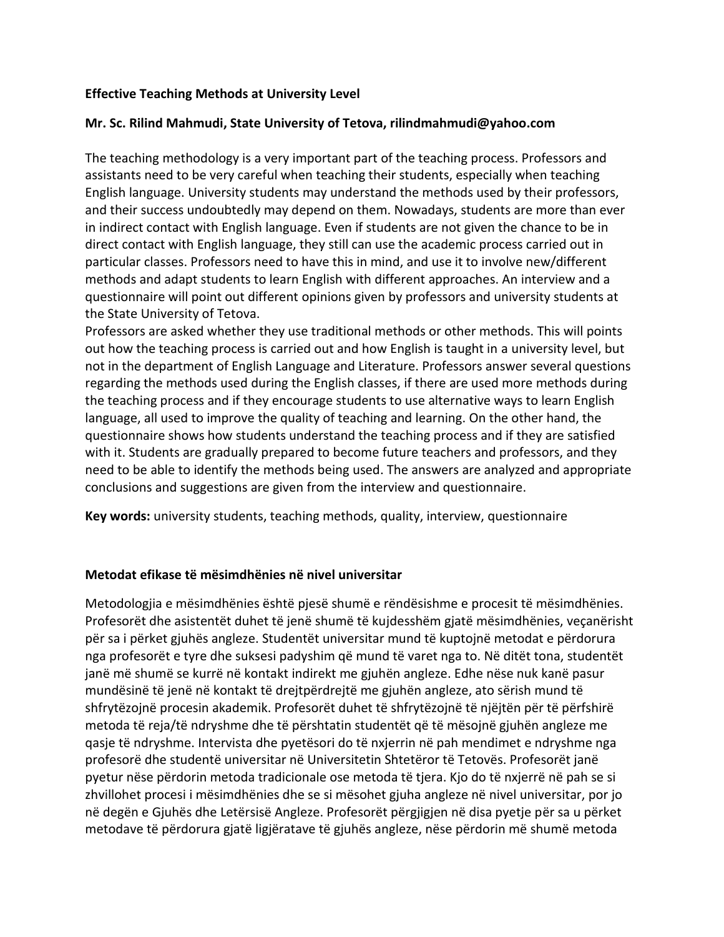### **Effective Teaching Methods at University Level**

### **Mr. Sc. Rilind Mahmudi, State University of Tetova, [rilindmahmudi@yahoo.com](mailto:rilindmahmudi@yahoo.com)**

The teaching methodology is a very important part of the teaching process. Professors and assistants need to be very careful when teaching their students, especially when teaching English language. University students may understand the methods used by their professors, and their success undoubtedly may depend on them. Nowadays, students are more than ever in indirect contact with English language. Even if students are not given the chance to be in direct contact with English language, they still can use the academic process carried out in particular classes. Professors need to have this in mind, and use it to involve new/different methods and adapt students to learn English with different approaches. An interview and a questionnaire will point out different opinions given by professors and university students at the State University of Tetova.

Professors are asked whether they use traditional methods or other methods. This will points out how the teaching process is carried out and how English is taught in a university level, but not in the department of English Language and Literature. Professors answer several questions regarding the methods used during the English classes, if there are used more methods during the teaching process and if they encourage students to use alternative ways to learn English language, all used to improve the quality of teaching and learning. On the other hand, the questionnaire shows how students understand the teaching process and if they are satisfied with it. Students are gradually prepared to become future teachers and professors, and they need to be able to identify the methods being used. The answers are analyzed and appropriate conclusions and suggestions are given from the interview and questionnaire.

**Key words:** university students, teaching methods, quality, interview, questionnaire

#### **Metodat efikase të mësimdhënies në nivel universitar**

Metodologjia e mësimdhënies është pjesë shumë e rëndësishme e procesit të mësimdhënies. Profesorët dhe asistentët duhet të jenë shumë të kujdesshëm gjatë mësimdhënies, veçanërisht për sa i përket gjuhës angleze. Studentët universitar mund të kuptojnë metodat e përdorura nga profesorët e tyre dhe suksesi padyshim që mund të varet nga to. Në ditët tona, studentët janë më shumë se kurrë në kontakt indirekt me gjuhën angleze. Edhe nëse nuk kanë pasur mundësinë të jenë në kontakt të drejtpërdrejtë me gjuhën angleze, ato sërish mund të shfrytëzojnë procesin akademik. Profesorët duhet të shfrytëzojnë të njëjtën për të përfshirë metoda të reja/të ndryshme dhe të përshtatin studentët që të mësojnë gjuhën angleze me qasje të ndryshme. Intervista dhe pyetësori do të nxjerrin në pah mendimet e ndryshme nga profesorë dhe studentë universitar në Universitetin Shtetëror të Tetovës. Profesorët janë pyetur nëse përdorin metoda tradicionale ose metoda të tjera. Kjo do të nxjerrë në pah se si zhvillohet procesi i mësimdhënies dhe se si mësohet gjuha angleze në nivel universitar, por jo në degën e Gjuhës dhe Letërsisë Angleze. Profesorët përgjigjen në disa pyetje për sa u përket metodave të përdorura gjatë ligjëratave të gjuhës angleze, nëse përdorin më shumë metoda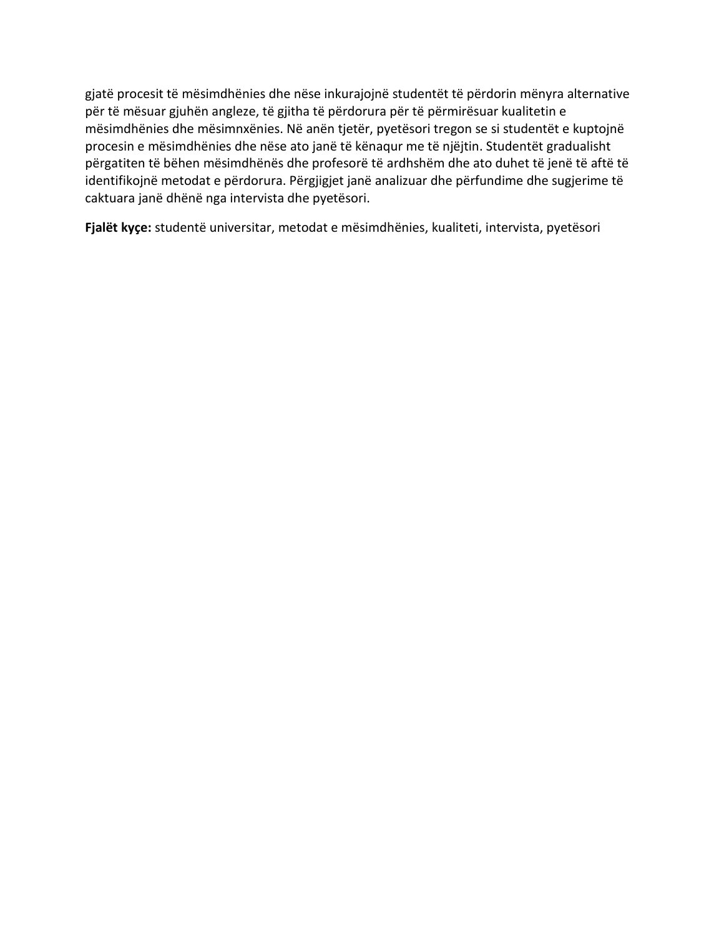gjatë procesit të mësimdhënies dhe nëse inkurajojnë studentët të përdorin mënyra alternative për të mësuar gjuhën angleze, të gjitha të përdorura për të përmirësuar kualitetin e mësimdhënies dhe mësimnxënies. Në anën tjetër, pyetësori tregon se si studentët e kuptojnë procesin e mësimdhënies dhe nëse ato janë të kënaqur me të njëjtin. Studentët gradualisht përgatiten të bëhen mësimdhënës dhe profesorë të ardhshëm dhe ato duhet të jenë të aftë të identifikojnë metodat e përdorura. Përgjigjet janë analizuar dhe përfundime dhe sugjerime të caktuara janë dhënë nga intervista dhe pyetësori.

**Fjalët kyçe:** studentë universitar, metodat e mësimdhënies, kualiteti, intervista, pyetësori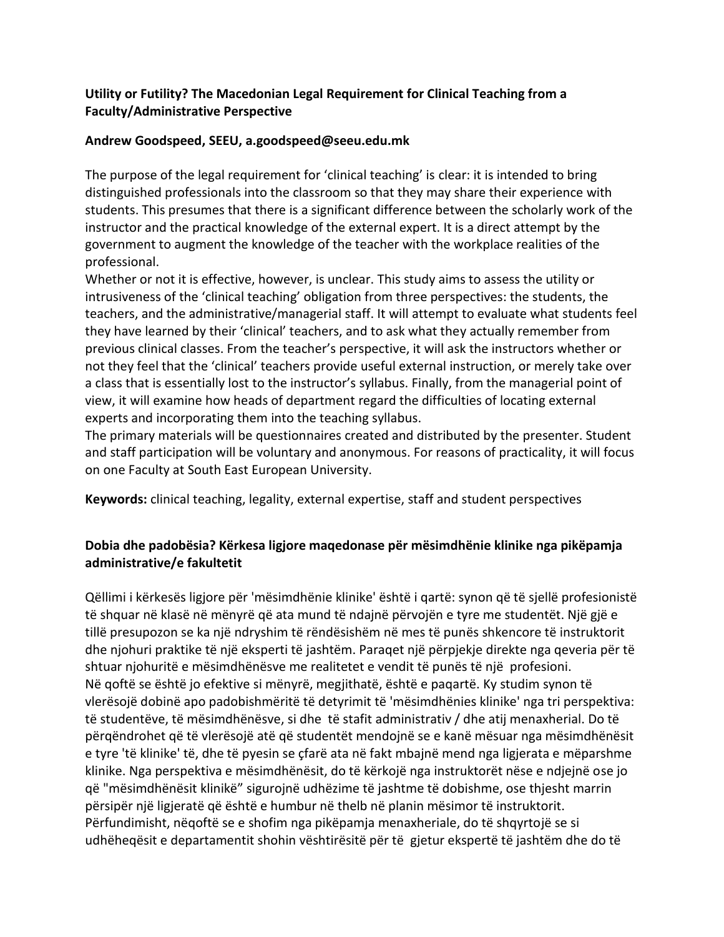## **Utility or Futility? The Macedonian Legal Requirement for Clinical Teaching from a Faculty/Administrative Perspective**

### **Andrew Goodspeed, SEEU, a.goodspeed@seeu.edu.mk**

The purpose of the legal requirement for 'clinical teaching' is clear: it is intended to bring distinguished professionals into the classroom so that they may share their experience with students. This presumes that there is a significant difference between the scholarly work of the instructor and the practical knowledge of the external expert. It is a direct attempt by the government to augment the knowledge of the teacher with the workplace realities of the professional.

Whether or not it is effective, however, is unclear. This study aims to assess the utility or intrusiveness of the 'clinical teaching' obligation from three perspectives: the students, the teachers, and the administrative/managerial staff. It will attempt to evaluate what students feel they have learned by their 'clinical' teachers, and to ask what they actually remember from previous clinical classes. From the teacher's perspective, it will ask the instructors whether or not they feel that the 'clinical' teachers provide useful external instruction, or merely take over a class that is essentially lost to the instructor's syllabus. Finally, from the managerial point of view, it will examine how heads of department regard the difficulties of locating external experts and incorporating them into the teaching syllabus.

The primary materials will be questionnaires created and distributed by the presenter. Student and staff participation will be voluntary and anonymous. For reasons of practicality, it will focus on one Faculty at South East European University.

**Keywords:** clinical teaching, legality, external expertise, staff and student perspectives

## **Dobia dhe padobësia? Kërkesa ligjore maqedonase për mësimdhënie klinike nga pikëpamja administrative/e fakultetit**

Qëllimi i kërkesës ligjore për 'mësimdhënie klinike' është i qartë: synon që të sjellë profesionistë të shquar në klasë në mënyrë që ata mund të ndajnë përvojën e tyre me studentët. Një gjë e tillë presupozon se ka një ndryshim të rëndësishëm në mes të punës shkencore të instruktorit dhe njohuri praktike të një eksperti të jashtëm. Paraqet një përpjekje direkte nga qeveria për të shtuar njohuritë e mësimdhënësve me realitetet e vendit të punës të një profesioni. Në qoftë se është jo efektive si mënyrë, megjithatë, është e paqartë. Ky studim synon të vlerësojë dobinë apo padobishmëritë të detyrimit të 'mësimdhënies klinike' nga tri perspektiva: të studentëve, të mësimdhënësve, si dhe të stafit administrativ / dhe atij menaxherial. Do të përqëndrohet që të vlerësojë atë që studentët mendojnë se e kanë mësuar nga mësimdhënësit e tyre 'të klinike' të, dhe të pyesin se çfarë ata në fakt mbajnë mend nga ligjerata e mëparshme klinike. Nga perspektiva e mësimdhënësit, do të kërkojë nga instruktorët nëse e ndjejnë ose jo që "mësimdhënësit klinikë" sigurojnë udhëzime të jashtme të dobishme, ose thjesht marrin përsipër një ligjeratë që është e humbur në thelb në planin mësimor të instruktorit. Përfundimisht, nëqoftë se e shofim nga pikëpamja menaxheriale, do të shqyrtojë se si udhëheqësit e departamentit shohin vështirësitë për të gjetur ekspertë të jashtëm dhe do të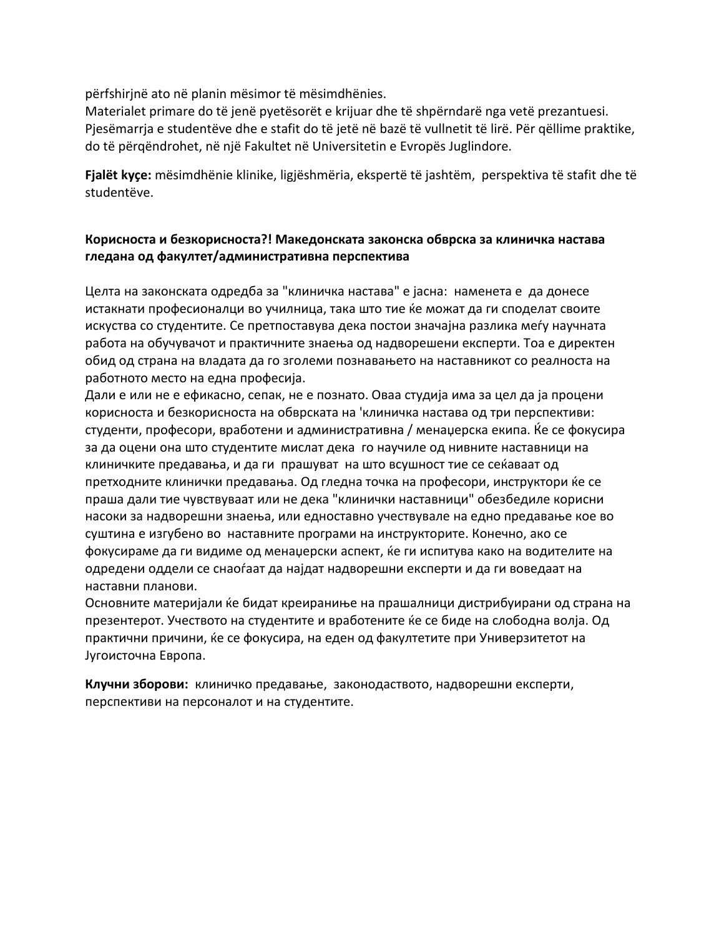përfshirjnë ato në planin mësimor të mësimdhënies.

Materialet primare do të jenë pyetësorët e krijuar dhe të shpërndarë nga vetë prezantuesi. Pjesëmarrja e studentëve dhe e stafit do të jetë në bazë të vullnetit të lirë. Për qëllime praktike, do të përqëndrohet, në një Fakultet në Universitetin e Evropës Juglindore.

**Fjalët kyçe:** mësimdhënie klinike, ligjëshmëria, ekspertë të jashtëm, perspektiva të stafit dhe të studentëve.

### **Корисноста и безкорисноста?! Македонската законска обврска за клиничка настава гледана од факултет/административна перспектива**

Целта на законската одредба за "клиничка настава" е јасна: наменета е да донесе истакнати професионалци во училница, така што тие ќе можат да ги споделат своите искуства со студентите. Се претпоставува дека постои значајна разлика меѓу научната работа на обучувачот и практичните знаења од надворешени експерти. Тоа е директен обид од страна на владата да го зголеми познавањето на наставникот со реалноста на работното место на една професија.

Дали е или не е ефикасно, сепак, не е познато. Оваа студија има за цел да ја процени корисноста и безкорисноста на обврската на 'клиничка настава од три перспективи: студенти, професори, вработени и административна / менаџерска екипа. Ќе се фокусира за да оцени она што студентите мислат дека го научиле од нивните наставници на клиничките предавања, и да ги прашуват на што всушност тие се сеќаваат од претходните клинички предавања. Од гледна точка на професори, инструктори ќе се праша дали тие чувствуваат или не дека "клинички наставници" обезбедиле корисни насоки за надворешни знаења, или едноставно учествувале на едно предавање кое во суштина е изгубено во наставните програми на инструкторите. Конечно, ако се фокусираме да ги видиме од менаџерски аспект, ќе ги испитува како на водителите на одредени оддели се снаоѓаат да најдат надворешни експерти и да ги воведаат на наставни планови.

Основните материјали ќе бидат креираниње на прашалници дистрибуирани од страна на презентерот. Учеството на студентите и вработените ќе се биде на слободна волја. Од практични причини, ќе се фокусира, на еден од факултетите при Универзитетот на Југоисточна Европа.

**Клучни зборови:** клиничко предавање, законодаството, надворешни експерти, перспективи на персоналот и на студентите.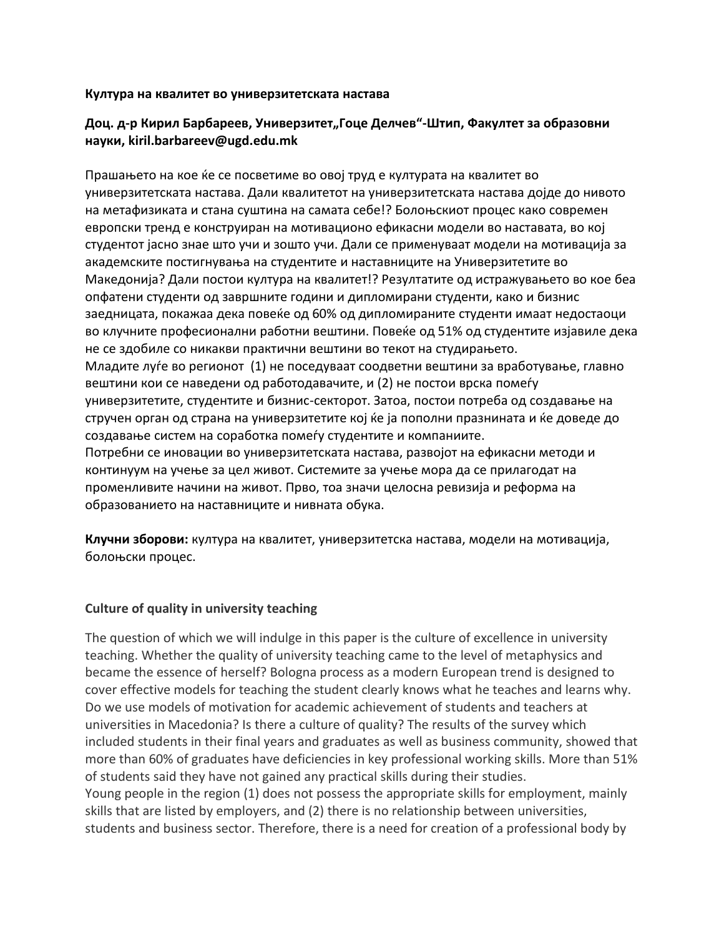#### **Култура на квалитет во универзитетската настава**

### **Доц. д-р Кирил Барбареев, Универзитет"Гоце Делчев"-Штип, Факултет за образовни науки, kiril.barbareev@ugd.edu.mk**

Прашањето на кое ќе се посветиме во овој труд е културата на квалитет во универзитетската настава. Дали квалитетот на универзитетската настава дојде до нивото на метафизиката и стана суштина на самата себе!? Болоњскиот процес како современ европски тренд е конструиран на мотивационо ефикасни модели во наставата, во кој студентот јасно знае што учи и зошто учи. Дали се применуваат модели на мотивација за академските постигнувања на студентите и наставниците на Универзитетите во Македонија? Дали постои култура на квалитет!? Резултатите од истражувањето во кое беа опфатени студенти од завршните години и дипломирани студенти, како и бизнис заедницата, покажаа дека повеќе од 60% од дипломираните студенти имаат недостаоци во клучните професионални работни вештини. Повеќе од 51% од студентите изјавиле дека не се здобиле со никакви практични вештини во текот на студирањето. Младите луѓе во регионот (1) не поседуваат соодветни вештини за вработување, главно вештини кои се наведени од работодавачите, и (2) не постои врска помеѓу универзитетите, студентите и бизнис-секторот. Затоа, постои потреба од создавање на стручен орган од страна на универзитетите кој ќе ја пополни празнината и ќе доведе до создавање систем на соработка помеѓу студентите и компаниите. Потребни се иновации во универзитетската настава, развојот на ефикасни методи и континуум на учење за цел живот. Системите за учење мора да се прилагодат на променливите начини на живот. Прво, тоа значи целосна ревизија и реформа на образованието на наставниците и нивната обука.

**Клучни зборови:** култура на квалитет, универзитетска настава, модели на мотивација, болоњски процес.

### **Culture of quality in university teaching**

The question of which we will indulge in this paper is the culture of excellence in university teaching. Whether the quality of university teaching came to the level of metaphysics and became the essence of herself? Bologna process as a modern European trend is designed to cover effective models for teaching the student clearly knows what he teaches and learns why. Do we use models of motivation for academic achievement of students and teachers at universities in Macedonia? Is there a culture of quality? The results of the survey which included students in their final years and graduates as well as business community, showed that more than 60% of graduates have deficiencies in key professional working skills. More than 51% of students said they have not gained any practical skills during their studies. Young people in the region (1) does not possess the appropriate skills for employment, mainly skills that are listed by employers, and (2) there is no relationship between universities, students and business sector. Therefore, there is a need for creation of a professional body by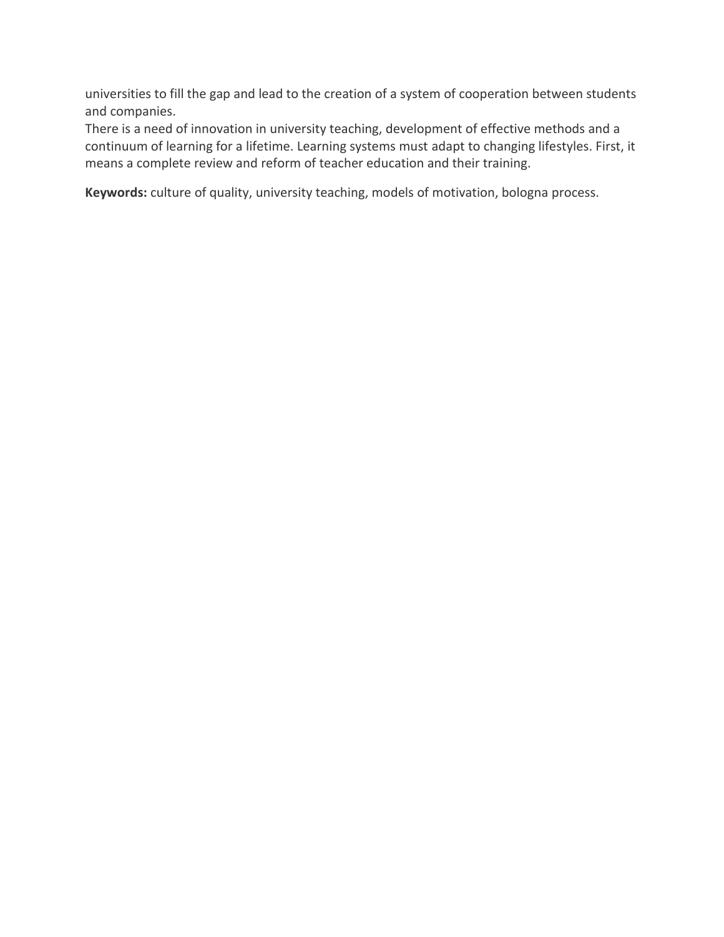universities to fill the gap and lead to the creation of a system of cooperation between students and companies.

There is a need of innovation in university teaching, development of effective methods and a continuum of learning for a lifetime. Learning systems must adapt to changing lifestyles. First, it means a complete review and reform of teacher education and their training.

**Keywords:** culture of quality, university teaching, models of motivation, bologna process.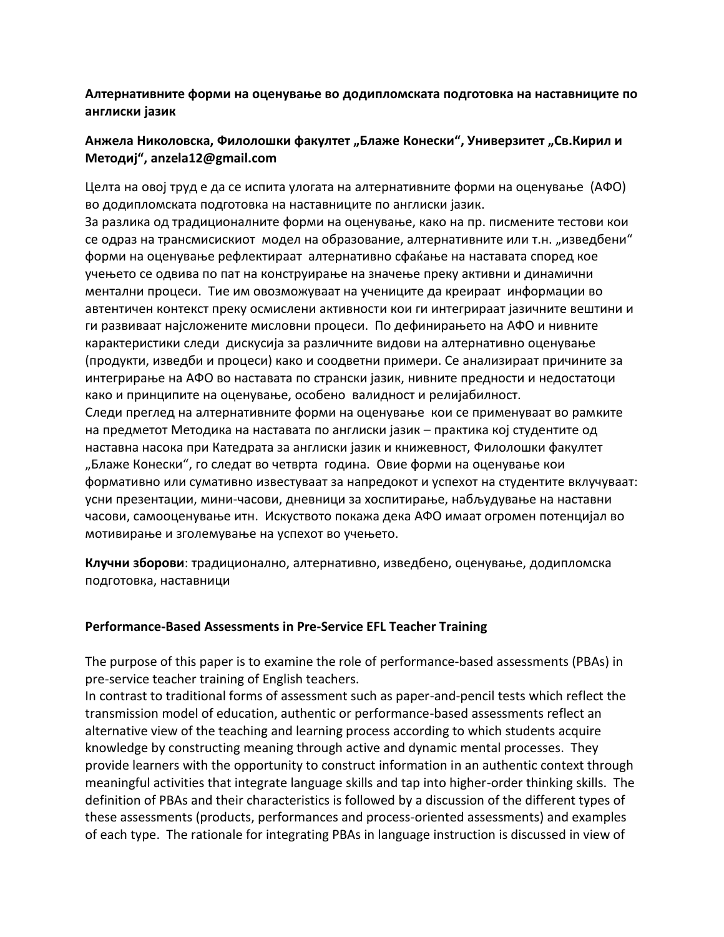**Aлтернативните форми на оценување во додипломската подготовка на наставниците по англиски јазик**

### Анжела Николовска, Филолошки факултет "Блаже Конески", Универзитет "Св.Кирил и **Методиј", anzela12@gmail.com**

Целта на овој труд е да се испита улогата на алтернативните форми на оценување (АФО) во додипломската подготовка на наставниците по англиски јазик.

За разлика од традиционалните форми на оценување, како на пр. писмените тестови кои се одраз на трансмисискиот модел на образование, алтернативните или т.н. "изведбени" форми на оценување рефлектираат алтернативно сфаќање на наставата според кое учењето се одвива по пат на конструирање на значење преку активни и динамични ментални процеси. Тие им овозможуваат на учениците да креираат информации во автентичен контекст преку осмислени активности кои ги интегрираат јазичните вештини и ги развиваат најсложените мисловни процеси. По дефинирањето на АФО и нивните карактеристики следи дискусија за различните видови на алтернативно оценување (продукти, изведби и процеси) како и соодветни примери. Се анализираат причините за интегрирање на АФО во наставата по странски јазик, нивните предности и недостатоци како и принципите на оценување, особено валидност и релијабилност.

Следи преглед на алтернативните форми на оценување кои се применуваат во рамките на предметот Методика на наставата по англиски јазик – практика кој студентите од наставна насока при Катедрата за англиски јазик и книжевност, Филолошки факултет "Блаже Конески", го следат во четврта година. Овие форми на оценување кои формативно или сумативно известуваат за напредокот и успехот на студентите вклучуваат: усни презентации, мини-часови, дневници за хоспитирање, набљудување на наставни часови, самооценување итн. Искуството покажа дека АФО имаат огромен потенцијал во мотивирање и зголемување на успехот во учењето.

**Клучни зборови**: традиционално, алтернативно, изведбено, оценување, додипломска подготовка, наставници

#### **Performance-Based Assessments in Pre-Service EFL Teacher Training**

The purpose of this paper is to examine the role of performance-based assessments (PBAs) in pre-service teacher training of English teachers.

In contrast to traditional forms of assessment such as paper-and-pencil tests which reflect the transmission model of education, authentic or performance-based assessments reflect an alternative view of the teaching and learning process according to which students acquire knowledge by constructing meaning through active and dynamic mental processes. They provide learners with the opportunity to construct information in an authentic context through meaningful activities that integrate language skills and tap into higher-order thinking skills. The definition of PBAs and their characteristics is followed by a discussion of the different types of these assessments (products, performances and process-oriented assessments) and examples of each type. The rationale for integrating PBAs in language instruction is discussed in view of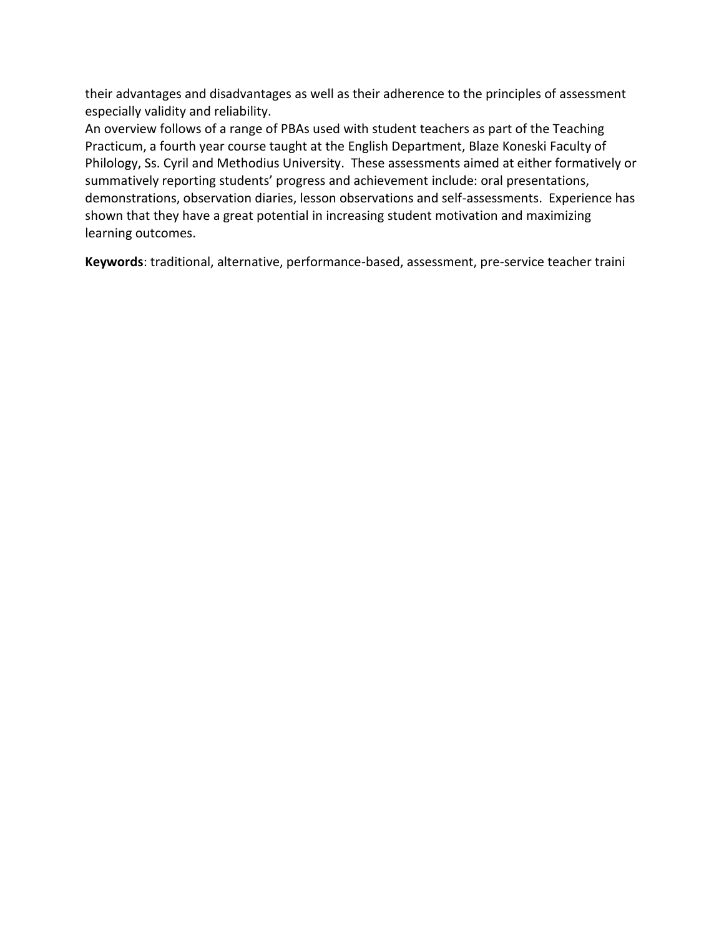their advantages and disadvantages as well as their adherence to the principles of assessment especially validity and reliability.

An overview follows of a range of PBAs used with student teachers as part of the Teaching Practicum, a fourth year course taught at the English Department, Blaze Koneski Faculty of Philology, Ss. Cyril and Methodius University. These assessments aimed at either formatively or summatively reporting students' progress and achievement include: oral presentations, demonstrations, observation diaries, lesson observations and self-assessments. Experience has shown that they have a great potential in increasing student motivation and maximizing learning outcomes.

**Keywords**: traditional, alternative, performance-based, assessment, pre-service teacher traini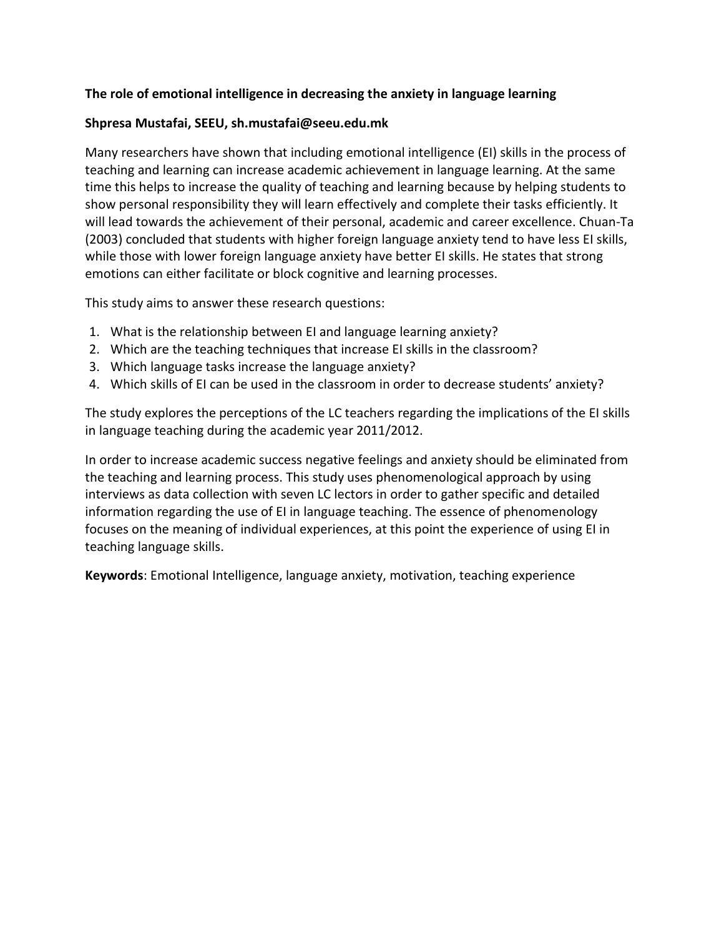### **The role of emotional intelligence in decreasing the anxiety in language learning**

### **Shpresa Mustafai, SEEU, sh.mustafai@seeu.edu.mk**

Many researchers have shown that including emotional intelligence (EI) skills in the process of teaching and learning can increase academic achievement in language learning. At the same time this helps to increase the quality of teaching and learning because by helping students to show personal responsibility they will learn effectively and complete their tasks efficiently. It will lead towards the achievement of their personal, academic and career excellence. Chuan-Ta (2003) concluded that students with higher foreign language anxiety tend to have less EI skills, while those with lower foreign language anxiety have better EI skills. He states that strong emotions can either facilitate or block cognitive and learning processes.

This study aims to answer these research questions:

- 1. What is the relationship between EI and language learning anxiety?
- 2. Which are the teaching techniques that increase EI skills in the classroom?
- 3. Which language tasks increase the language anxiety?
- 4. Which skills of EI can be used in the classroom in order to decrease students' anxiety?

The study explores the perceptions of the LC teachers regarding the implications of the EI skills in language teaching during the academic year 2011/2012.

In order to increase academic success negative feelings and anxiety should be eliminated from the teaching and learning process. This study uses phenomenological approach by using interviews as data collection with seven LC lectors in order to gather specific and detailed information regarding the use of EI in language teaching. The essence of phenomenology focuses on the meaning of individual experiences, at this point the experience of using EI in teaching language skills.

**Keywords**: Emotional Intelligence, language anxiety, motivation, teaching experience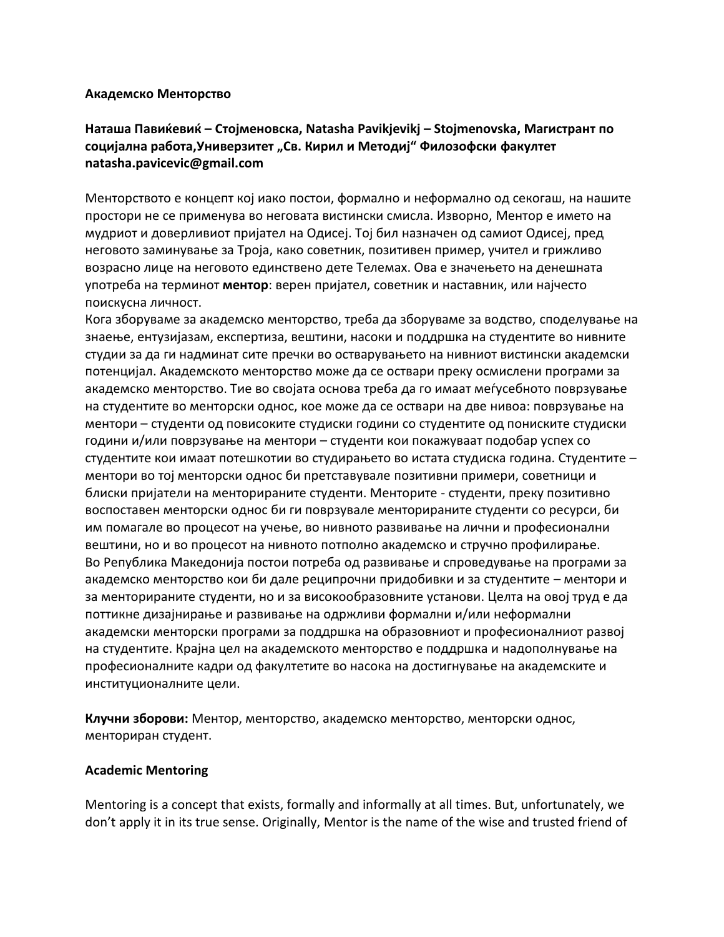#### **Академско Менторство**

## **Наташа Павиќевиќ – Стојменовска, Natasha Pavikjevikj – Stojmenovska, Магистрант по социјална работа,Универзитет "Св. Кирил и Методиј" Филозофски факултет natasha.pavicevic@gmail.com**

Менторството е концепт кој иако постои, формално и неформално од секогаш, на нашите простори не се применува во неговата вистински смисла. Изворно, Ментор е името на мудриот и доверливиот пријател на Одисеј. Тој бил назначен од самиот Одисеј, пред неговото заминување за Троја, како советник, позитивен пример, учител и грижливо возрасно лице на неговото единствено дете Телемах. Ова е значењето на денешната употреба на терминот **ментор**: верен пријател, советник и наставник, или најчесто поискусна личност.

Кога зборуваме за академско менторство, треба да зборуваме за водство, споделување на знаење, ентузијазам, експертиза, вештини, насоки и поддршка на студентите во нивните студии за да ги надминат сите пречки во остварувањето на нивниот вистински академски потенцијал. Академското менторство може да се оствари преку осмислени програми за академско менторство. Тие во својата основа треба да го имаат меѓусебното поврзување на студентите во менторски однос, кое може да се оствари на две нивоа: поврзување на ментори – студенти од повисоките студиски години со студентите од пониските студиски години и/или поврзување на ментори – студенти кои покажуваат подобар успех со студентите кои имаат потешкотии во студирањето во истата студиска година. Студентите – ментори во тој менторски однос би претставувале позитивни примери, советници и блиски пријатели на менторираните студенти. Менторите - студенти, преку позитивно воспоставен менторски однос би ги поврзувале менторираните студенти со ресурси, би им помагале во процесот на учење, во нивното развивање на лични и професионални вештини, но и во процесот на нивното потполно академско и стручно профилирање. Во Република Македонија постои потреба од развивање и спроведување на програми за академско менторство кои би дале реципрочни придобивки и за студентите – ментори и за менторираните студенти, но и за високообразовните установи. Целта на овој труд е да поттикне дизајнирање и развивање на одржливи формални и/или неформални академски менторски програми за поддршка на образовниот и професионалниот развој на студентите. Крајна цел на академското менторство е поддршка и надополнување на професионалните кадри од факултетите во насока на достигнување на академските и институционалните цели.

**Клучни зборови:** Ментор, менторство, академско менторство, менторски однос, менториран студент.

#### **Academic Mentoring**

Mentoring is a concept that exists, formally and informally at all times. But, unfortunately, we don't apply it in its true sense. Originally, Mentor is the name of the wise and trusted friend of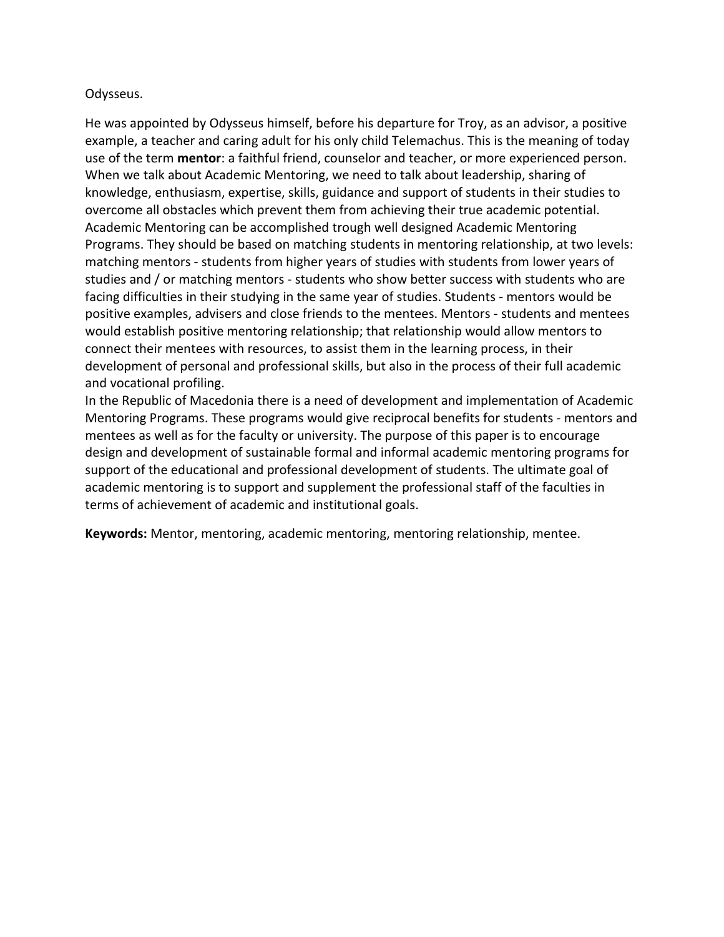#### Odysseus.

He was appointed by Odysseus himself, before his departure for Troy, as an advisor, a positive example, a teacher and caring adult for his only child Telemachus. This is the meaning of today use of the term **mentor**: a faithful friend, counselor and teacher, or more experienced person. When we talk about Academic Mentoring, we need to talk about leadership, sharing of knowledge, enthusiasm, expertise, skills, guidance and support of students in their studies to overcome all obstacles which prevent them from achieving their true academic potential. Academic Mentoring can be accomplished trough well designed Academic Mentoring Programs. They should be based on matching students in mentoring relationship, at two levels: matching mentors - students from higher years of studies with students from lower years of studies and / or matching mentors - students who show better success with students who are facing difficulties in their studying in the same year of studies. Students - mentors would be positive examples, advisers and close friends to the mentees. Mentors - students and mentees would establish positive mentoring relationship; that relationship would allow mentors to connect their mentees with resources, to assist them in the learning process, in their development of personal and professional skills, but also in the process of their full academic and vocational profiling.

In the Republic of Macedonia there is a need of development and implementation of Academic Mentoring Programs. These programs would give reciprocal benefits for students - mentors and mentees as well as for the faculty or university. The purpose of this paper is to encourage design and development of sustainable formal and informal academic mentoring programs for support of the educational and professional development of students. The ultimate goal of academic mentoring is to support and supplement the professional staff of the faculties in terms of achievement of academic and institutional goals.

**Keywords:** Mentor, mentoring, academic mentoring, mentoring relationship, mentee.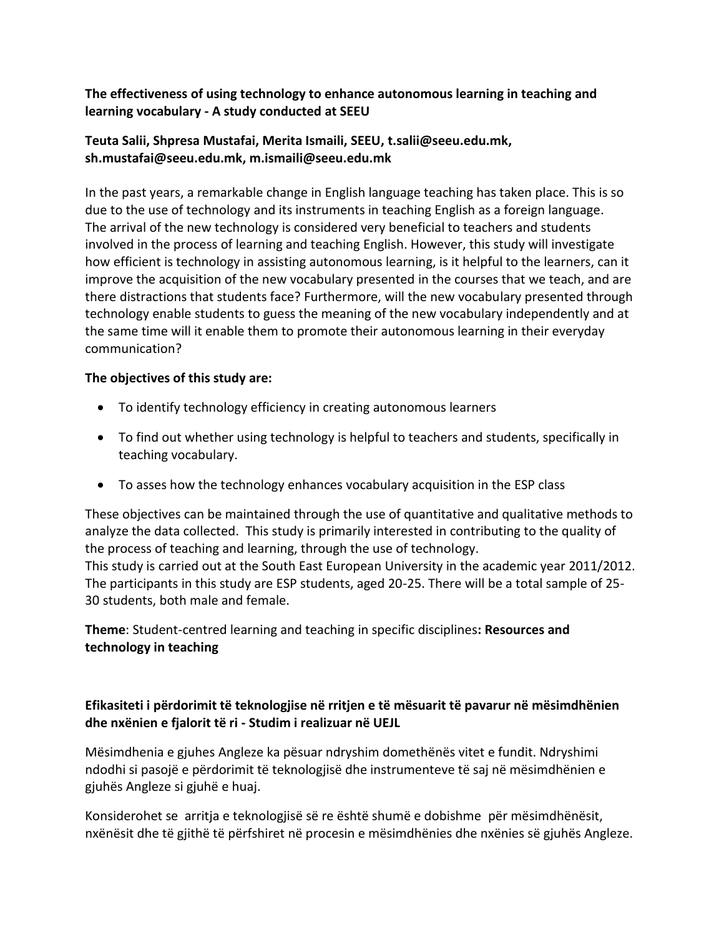## **The effectiveness of using technology to enhance autonomous learning in teaching and learning vocabulary - A study conducted at SEEU**

## **Teuta Salii, Shpresa Mustafai, Merita Ismaili, SEEU, t.salii@seeu.edu.mk, sh.mustafai@seeu.edu.mk, m.ismaili@seeu.edu.mk**

In the past years, a remarkable change in English language teaching has taken place. This is so due to the use of technology and its instruments in teaching English as a foreign language. The arrival of the new technology is considered very beneficial to teachers and students involved in the process of learning and teaching English. However, this study will investigate how efficient is technology in assisting autonomous learning, is it helpful to the learners, can it improve the acquisition of the new vocabulary presented in the courses that we teach, and are there distractions that students face? Furthermore, will the new vocabulary presented through technology enable students to guess the meaning of the new vocabulary independently and at the same time will it enable them to promote their autonomous learning in their everyday communication?

### **The objectives of this study are:**

- To identify technology efficiency in creating autonomous learners
- To find out whether using technology is helpful to teachers and students, specifically in teaching vocabulary.
- To asses how the technology enhances vocabulary acquisition in the ESP class

These objectives can be maintained through the use of quantitative and qualitative methods to analyze the data collected. This study is primarily interested in contributing to the quality of the process of teaching and learning, through the use of technology. This study is carried out at the South East European University in the academic year 2011/2012. The participants in this study are ESP students, aged 20-25. There will be a total sample of 25- 30 students, both male and female.

**Theme**: Student-centred learning and teaching in specific disciplines**: Resources and technology in teaching**

## **Efikasiteti i përdorimit të teknologjise në rritjen e të mësuarit të pavarur në mësimdhënien dhe nxënien e fjalorit të ri - Studim i realizuar në UEJL**

Mësimdhenia e gjuhes Angleze ka pësuar ndryshim domethënës vitet e fundit. Ndryshimi ndodhi si pasojë e përdorimit të teknologjisë dhe instrumenteve të saj në mësimdhënien e gjuhës Angleze si gjuhë e huaj.

Konsiderohet se arritja e teknologjisë së re është shumë e dobishme për mësimdhënësit, nxënësit dhe të gjithë të përfshiret në procesin e mësimdhënies dhe nxënies së gjuhës Angleze.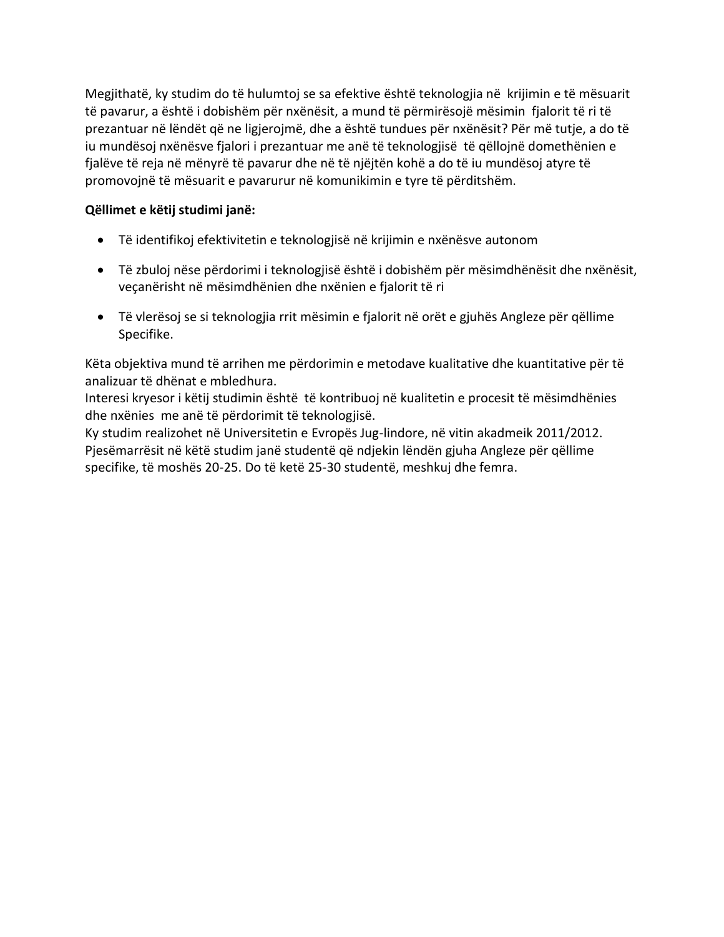Megjithatë, ky studim do të hulumtoj se sa efektive është teknologjia në krijimin e të mësuarit të pavarur, a është i dobishëm për nxënësit, a mund të përmirësojë mësimin fjalorit të ri të prezantuar në lëndët që ne ligjerojmë, dhe a është tundues për nxënësit? Për më tutje, a do të iu mundësoj nxënësve fjalori i prezantuar me anë të teknologjisë të qëllojnë domethënien e fjalëve të reja në mënyrë të pavarur dhe në të njëjtën kohë a do të iu mundësoj atyre të promovojnë të mësuarit e pavarurur në komunikimin e tyre të përditshëm.

## **Qëllimet e këtij studimi janë:**

- Të identifikoj efektivitetin e teknologjisë në krijimin e nxënësve autonom
- Të zbuloj nëse përdorimi i teknologjisë është i dobishëm për mësimdhënësit dhe nxënësit, veçanërisht në mësimdhënien dhe nxënien e fjalorit të ri
- Të vlerësoj se si teknologjia rrit mësimin e fjalorit në orët e gjuhës Angleze për qëllime Specifike.

Këta objektiva mund të arrihen me përdorimin e metodave kualitative dhe kuantitative për të analizuar të dhënat e mbledhura.

Interesi kryesor i këtij studimin është të kontribuoj në kualitetin e procesit të mësimdhënies dhe nxënies me anë të përdorimit të teknologjisë.

Ky studim realizohet në Universitetin e Evropës Jug-lindore, në vitin akadmeik 2011/2012. Pjesëmarrësit në këtë studim janë studentë që ndjekin lëndën gjuha Angleze për qëllime specifike, të moshës 20-25. Do të ketë 25-30 studentë, meshkuj dhe femra.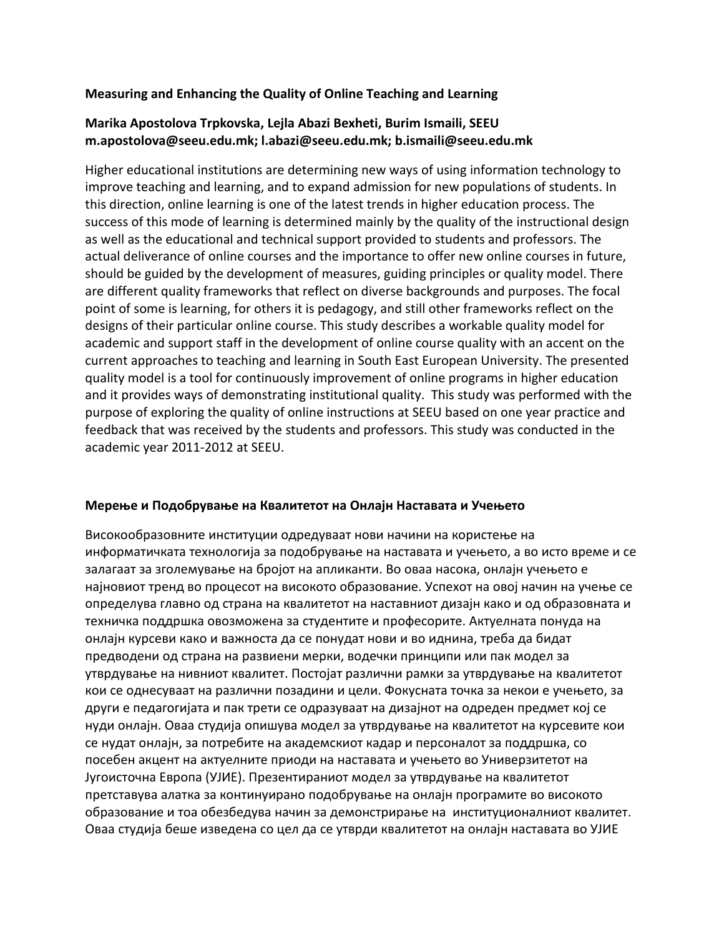### **Measuring and Enhancing the Quality of Online Teaching and Learning**

## **Marika Apostolova Trpkovska, Lejla Abazi Bexheti, Burim Ismaili, SEEU m.apostolova@seeu.edu.mk; l.abazi@seeu.edu.mk; b.ismaili@seeu.edu.mk**

Higher educational institutions are determining new ways of using information technology to improve teaching and learning, and to expand admission for new populations of students. In this direction, online learning is one of the latest trends in higher education process. The success of this mode of learning is determined mainly by the quality of the instructional design as well as the educational and technical support provided to students and professors. The actual deliverance of online courses and the importance to offer new online courses in future, should be guided by the development of measures, guiding principles or quality model. There are different quality frameworks that reflect on diverse backgrounds and purposes. The focal point of some is learning, for others it is pedagogy, and still other frameworks reflect on the designs of their particular online course. This study describes a workable quality model for academic and support staff in the development of online course quality with an accent on the current approaches to teaching and learning in South East European University. The presented quality model is a tool for continuously improvement of online programs in higher education and it provides ways of demonstrating institutional quality. This study was performed with the purpose of exploring the quality of online instructions at SEEU based on one year practice and feedback that was received by the students and professors. This study was conducted in the academic year 2011-2012 at SEEU.

#### **Мерење и Подобрување на Квалитетот на Онлајн Наставата и Учењето**

Високообразовните институции одредуваат нови начини на користење на информатичката технологија за подобрување на наставата и учењето, а во исто време и се залагаат за зголемување на бројот на апликанти. Во оваа насока, онлајн учењето е најновиот тренд во процесот на високото образование. Успехот на овој начин на учење се определува главно од страна на квалитетот на наставниот дизајн како и од образовната и техничка поддршка овозможена за студентите и професорите. Актуелната понуда на онлајн курсеви како и важноста да се понудат нови и во иднина, треба да бидат предводени од страна на развиени мерки, водечки принципи или пак модел за утврдување на нивниот квалитет. Постојат различни рамки за утврдување на квалитетот кои се однесуваат на различни позадини и цели. Фокусната точка за некои е учењето, за други е педагогијата и пак трети се одразуваат на дизајнот на одреден предмет кој се нуди онлајн. Оваа студија опишува модел за утврдување на квалитетот на курсевите кои се нудат онлајн, за потребите на академскиот кадар и персоналот за поддршка, со посебен акцент на актуелните приоди на наставата и учењето во Универзитетот на Југоисточна Европа (УЈИЕ). Презентираниот модел за утврдување на квалитетот претставува алатка за континуирано подобрување на онлајн програмите во високото образование и тоа обезбедува начин за демонстрирање на институционалниот квалитет. Оваа студија беше изведена со цел да се утврди квалитетот на онлајн наставата во УЈИЕ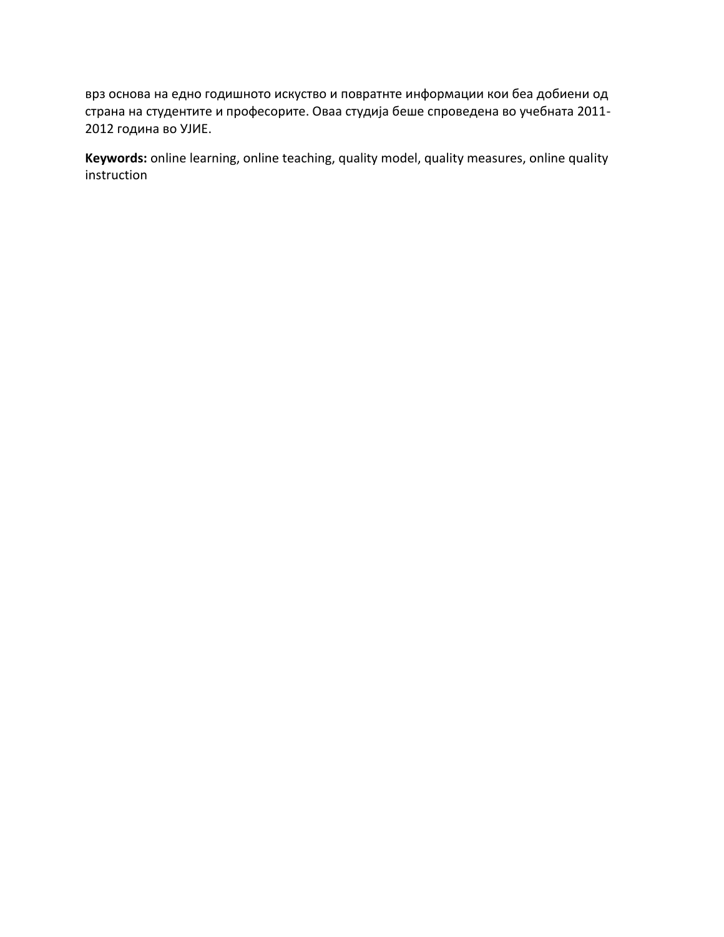врз основа на едно годишното искуство и повратнте информации кои беа добиени од страна на студентите и професорите. Оваа студија беше спроведена во учебната 2011- 2012 година во УЈИЕ.

**Keywords:** online learning, online teaching, quality model, quality measures, online quality instruction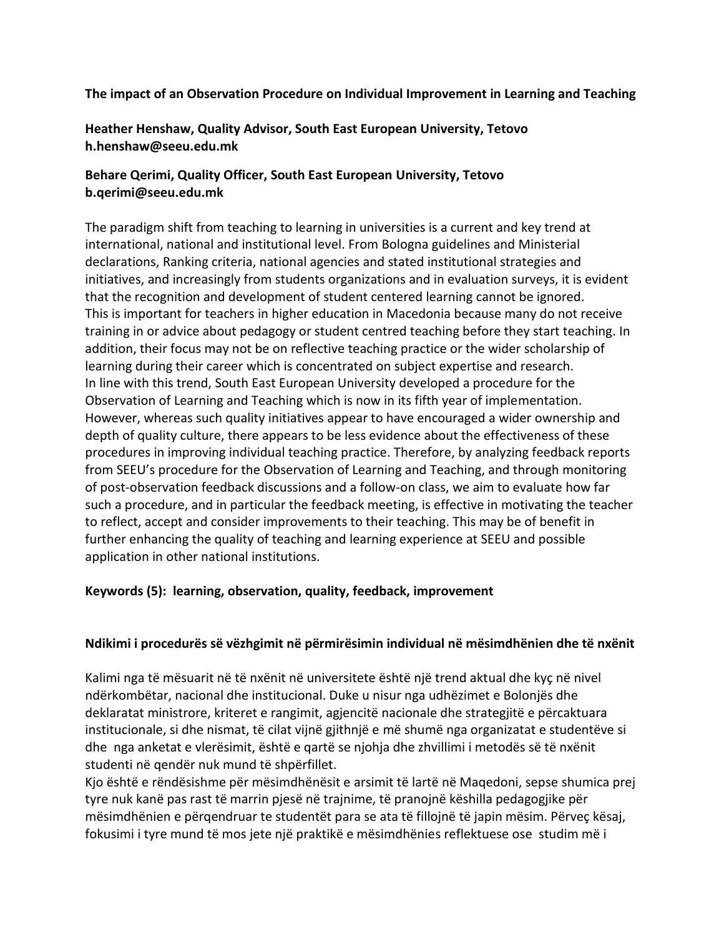### **The impact of an Observation Procedure on Individual Improvement in Learning and Teaching**

**Heather Henshaw, Quality Advisor, South East European University, Tetovo h.henshaw@seeu.edu.mk**

### **Behare Qerimi, Quality Officer, South East European University, Tetovo b.qerimi@seeu.edu.mk**

The paradigm shift from teaching to learning in universities is a current and key trend at international, national and institutional level. From Bologna guidelines and Ministerial declarations, Ranking criteria, national agencies and stated institutional strategies and initiatives, and increasingly from students organizations and in evaluation surveys, it is evident that the recognition and development of student centered learning cannot be ignored. This is important for teachers in higher education in Macedonia because many do not receive training in or advice about pedagogy or student centred teaching before they start teaching. In addition, their focus may not be on reflective teaching practice or the wider scholarship of learning during their career which is concentrated on subject expertise and research. In line with this trend, South East European University developed a procedure for the Observation of Learning and Teaching which is now in its fifth year of implementation. However, whereas such quality initiatives appear to have encouraged a wider ownership and depth of quality culture, there appears to be less evidence about the effectiveness of these procedures in improving individual teaching practice. Therefore, by analyzing feedback reports from SEEU's procedure for the Observation of Learning and Teaching, and through monitoring of post-observation feedback discussions and a follow-on class, we aim to evaluate how far such a procedure, and in particular the feedback meeting, is effective in motivating the teacher to reflect, accept and consider improvements to their teaching. This may be of benefit in further enhancing the quality of teaching and learning experience at SEEU and possible application in other national institutions.

### **Keywords (5): learning, observation, quality, feedback, improvement**

### **Ndikimi i procedurës së vëzhgimit në përmirësimin individual në mësimdhënien dhe të nxënit**

Kalimi nga të mësuarit në të nxënit në universitete është një trend aktual dhe kyç në nivel ndërkombëtar, nacional dhe institucional. Duke u nisur nga udhëzimet e Bolonjës dhe deklaratat ministrore, kriteret e rangimit, agjencitë nacionale dhe strategjitë e përcaktuara institucionale, si dhe nismat, të cilat vijnë gjithnjë e më shumë nga organizatat e studentëve si dhe nga anketat e vlerësimit, është e qartë se njohja dhe zhvillimi i metodës së të nxënit studenti në qendër nuk mund të shpërfillet.

Kjo është e rëndësishme për mësimdhënësit e arsimit të lartë në Maqedoni, sepse shumica prej tyre nuk kanë pas rast të marrin pjesë në trajnime, të pranojnë këshilla pedagogjike për mësimdhënien e përqendruar te studentët para se ata të fillojnë të japin mësim. Përveç kësaj, fokusimi i tyre mund të mos jete një praktikë e mësimdhënies reflektuese ose studim më i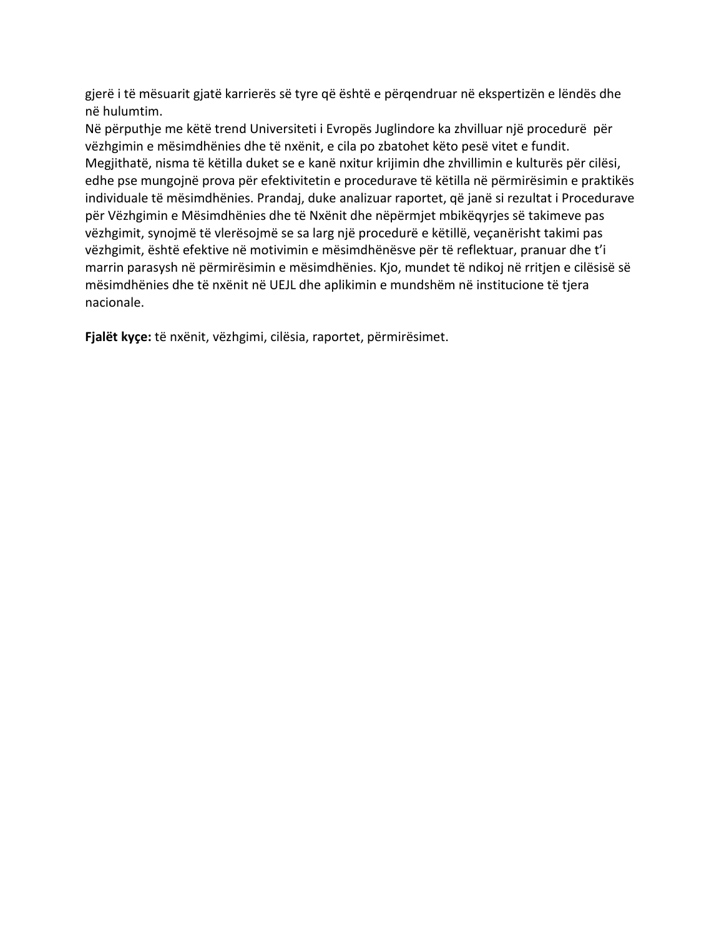gjerë i të mësuarit gjatë karrierës së tyre që është e përqendruar në ekspertizën e lëndës dhe në hulumtim.

Në përputhje me këtë trend Universiteti i Evropës Juglindore ka zhvilluar një procedurë për vëzhgimin e mësimdhënies dhe të nxënit, e cila po zbatohet këto pesë vitet e fundit. Megjithatë, nisma të këtilla duket se e kanë nxitur krijimin dhe zhvillimin e kulturës për cilësi, edhe pse mungojnë prova për efektivitetin e procedurave të këtilla në përmirësimin e praktikës individuale të mësimdhënies. Prandaj, duke analizuar raportet, që janë si rezultat i Procedurave për Vëzhgimin e Mësimdhënies dhe të Nxënit dhe nëpërmjet mbikëqyrjes së takimeve pas vëzhgimit, synojmë të vlerësojmë se sa larg një procedurë e këtillë, veçanërisht takimi pas vëzhgimit, është efektive në motivimin e mësimdhënësve për të reflektuar, pranuar dhe t'i marrin parasysh në përmirësimin e mësimdhënies. Kjo, mundet të ndikoj në rritjen e cilësisë së mësimdhënies dhe të nxënit në UEJL dhe aplikimin e mundshëm në institucione të tjera nacionale.

**Fjalët kyçe:** të nxënit, vëzhgimi, cilësia, raportet, përmirësimet.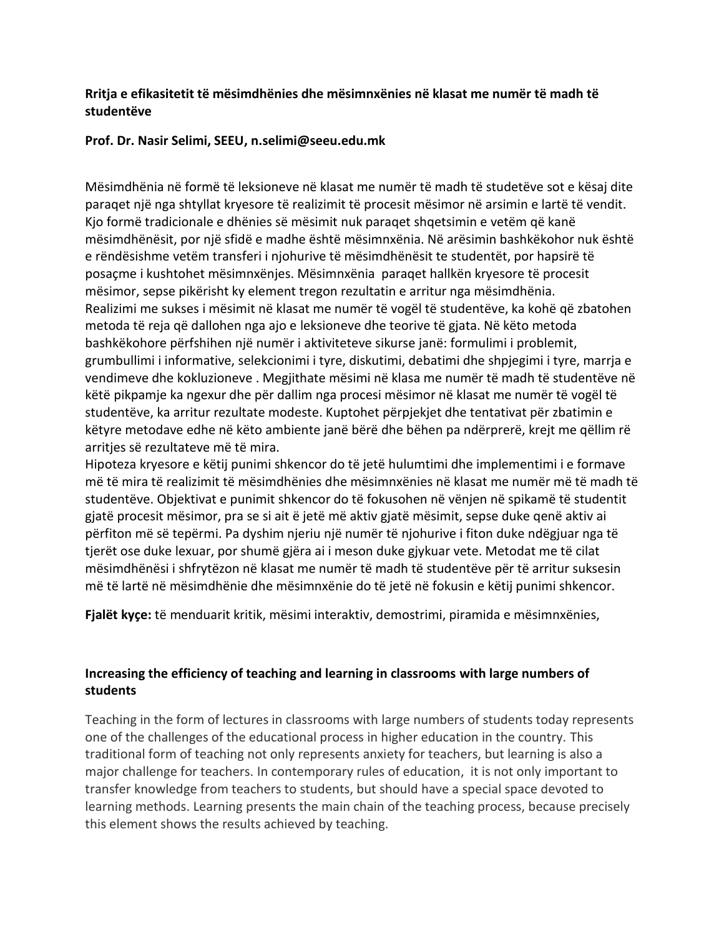### **Rritja e efikasitetit të mësimdhënies dhe mësimnxënies në klasat me numër të madh të studentëve**

#### **Prof. Dr. Nasir Selimi, SEEU, n.selimi@seeu.edu.mk**

Mësimdhënia në formë të leksioneve në klasat me numër të madh të studetëve sot e kësaj dite paraqet një nga shtyllat kryesore të realizimit të procesit mësimor në arsimin e lartë të vendit. Kjo formë tradicionale e dhënies së mësimit nuk paraqet shqetsimin e vetëm që kanë mësimdhënësit, por një sfidë e madhe është mësimnxënia. Në arësimin bashkëkohor nuk është e rëndësishme vetëm transferi i njohurive të mësimdhënësit te studentët, por hapsirë të posaçme i kushtohet mësimnxënjes. Mësimnxënia paraqet hallkën kryesore të procesit mësimor, sepse pikërisht ky element tregon rezultatin e arritur nga mësimdhënia. Realizimi me sukses i mësimit në klasat me numër të vogël të studentëve, ka kohë që zbatohen metoda të reja që dallohen nga ajo e leksioneve dhe teorive të gjata. Në këto metoda bashkëkohore përfshihen një numër i aktiviteteve sikurse janë: formulimi i problemit, grumbullimi i informative, selekcionimi i tyre, diskutimi, debatimi dhe shpjegimi i tyre, marrja e vendimeve dhe kokluzioneve . Megjithate mësimi në klasa me numër të madh të studentëve në këtë pikpamje ka ngexur dhe për dallim nga procesi mësimor në klasat me numër të vogël të studentëve, ka arritur rezultate modeste. Kuptohet përpjekjet dhe tentativat për zbatimin e këtyre metodave edhe në këto ambiente janë bërë dhe bëhen pa ndërprerë, krejt me qëllim rë arritjes së rezultateve më të mira.

Hipoteza kryesore e këtij punimi shkencor do të jetë hulumtimi dhe implementimi i e formave më të mira të realizimit të mësimdhënies dhe mësimnxënies në klasat me numër më të madh të studentëve. Objektivat e punimit shkencor do të fokusohen në vënjen në spikamë të studentit gjatë procesit mësimor, pra se si ait ë jetë më aktiv gjatë mësimit, sepse duke qenë aktiv ai përfiton më së tepërmi. Pa dyshim njeriu një numër të njohurive i fiton duke ndëgjuar nga të tjerët ose duke lexuar, por shumë gjëra ai i meson duke gjykuar vete. Metodat me të cilat mësimdhënësi i shfrytëzon në klasat me numër të madh të studentëve për të arritur suksesin më të lartë në mësimdhënie dhe mësimnxënie do të jetë në fokusin e këtij punimi shkencor.

**Fjalët kyçe:** të menduarit kritik, mësimi interaktiv, demostrimi, piramida e mësimnxënies,

### **Increasing the efficiency of teaching and learning in classrooms with large numbers of students**

Teaching in the form of lectures in classrooms with large numbers of students today represents one of the challenges of the educational process in higher education in the country. This traditional form of teaching not only represents anxiety for teachers, but learning is also a major challenge for teachers. In contemporary rules of education, it is not only important to transfer knowledge from teachers to students, but should have a special space devoted to learning methods. Learning presents the main chain of the teaching process, because precisely this element shows the results achieved by teaching.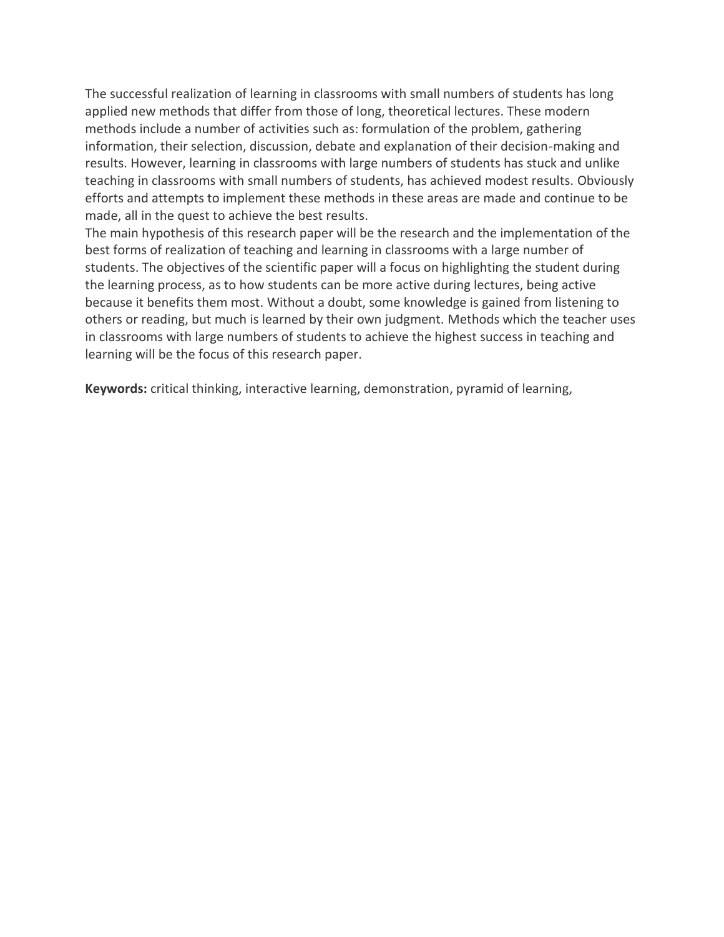The successful realization of learning in classrooms with small numbers of students has long applied new methods that differ from those of long, theoretical lectures. These modern methods include a number of activities such as: formulation of the problem, gathering information, their selection, discussion, debate and explanation of their decision-making and results. However, learning in classrooms with large numbers of students has stuck and unlike teaching in classrooms with small numbers of students, has achieved modest results. Obviously efforts and attempts to implement these methods in these areas are made and continue to be made, all in the quest to achieve the best results.

The main hypothesis of this research paper will be the research and the implementation of the best forms of realization of teaching and learning in classrooms with a large number of students. The objectives of the scientific paper will a focus on highlighting the student during the learning process, as to how students can be more active during lectures, being active because it benefits them most. Without a doubt, some knowledge is gained from listening to others or reading, but much is learned by their own judgment. Methods which the teacher uses in classrooms with large numbers of students to achieve the highest success in teaching and learning will be the focus of this research paper.

**Keywords:** critical thinking, interactive learning, demonstration, pyramid of learning,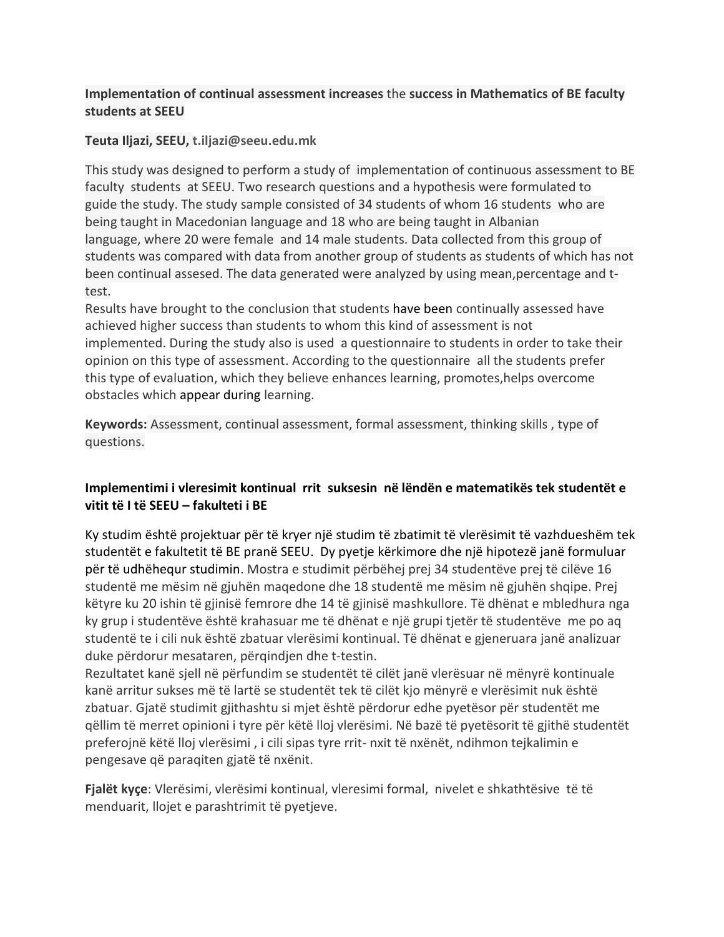## **Implementation of continual assessment increases** the **success in Mathematics of BE faculty students at SEEU**

### **Teuta Iljazi, SEEU, t.iljazi@seeu.edu.mk**

This study was designed to perform a study of implementation of continuous assessment to BE faculty students at SEEU. Two research questions and a hypothesis were formulated to guide the study. The study sample consisted of 34 students of whom 16 students who are being taught in Macedonian language and 18 who are being taught in Albanian language, where 20 were female and 14 male students. Data collected from this group of students was compared with data from another group of students as students of which has not been continual assesed. The data generated were analyzed by using mean,percentage and ttest.

Results have brought to the conclusion that students have been continually assessed have achieved higher success than students to whom this kind of assessment is not implemented. During the study also is used a questionnaire to students in order to take their opinion on this type of assessment. According to the questionnaire all the students prefer this type of evaluation, which they believe enhances learning, promotes,helps overcome obstacles which appear during learning.

**Keywords:** Assessment, continual assessment, formal assessment, thinking skills , type of questions.

## **Implementimi i vleresimit kontinual rrit suksesin në lëndën e matematikës tek studentët e vitit të I të SEEU – fakulteti i BE**

Ky studim është projektuar për të kryer një studim të zbatimit të vlerësimit të vazhdueshëm tek studentët e fakultetit të BE pranë SEEU. Dy pyetje kërkimore dhe një hipotezë janë formuluar për të udhëhequr studimin. Mostra e studimit përbëhej prej 34 studentëve prej të cilëve 16 studentë me mësim në gjuhën maqedone dhe 18 studentë me mësim në gjuhën shqipe. Prej këtyre ku 20 ishin të gjinisë femrore dhe 14 të gjinisë mashkullore. Të dhënat e mbledhura nga ky grup i studentëve është krahasuar me të dhënat e një grupi tjetër të studentëve me po aq studentë te i cili nuk është zbatuar vlerësimi kontinual. Të dhënat e gjeneruara janë analizuar duke përdorur mesataren, përqindjen dhe t-testin.

Rezultatet kanë sjell në përfundim se studentët të cilët janë vlerësuar në mënyrë kontinuale kanë arritur sukses më të lartë se studentët tek të cilët kjo mënyrë e vlerësimit nuk është zbatuar. Gjatë studimit gjithashtu si mjet është përdorur edhe pyetësor për studentët me qëllim të merret opinioni i tyre për këtë lloj vlerësimi. Në bazë të pyetësorit të gjithë studentët preferojnë këtë lloj vlerësimi , i cili sipas tyre rrit- nxit të nxënët, ndihmon tejkalimin e pengesave që paraqiten gjatë të nxënit.

**Fjalët kyҫe**: Vlerësimi, vlerësimi kontinual, vleresimi formal, nivelet e shkathtësive të të menduarit, llojet e parashtrimit të pyetjeve.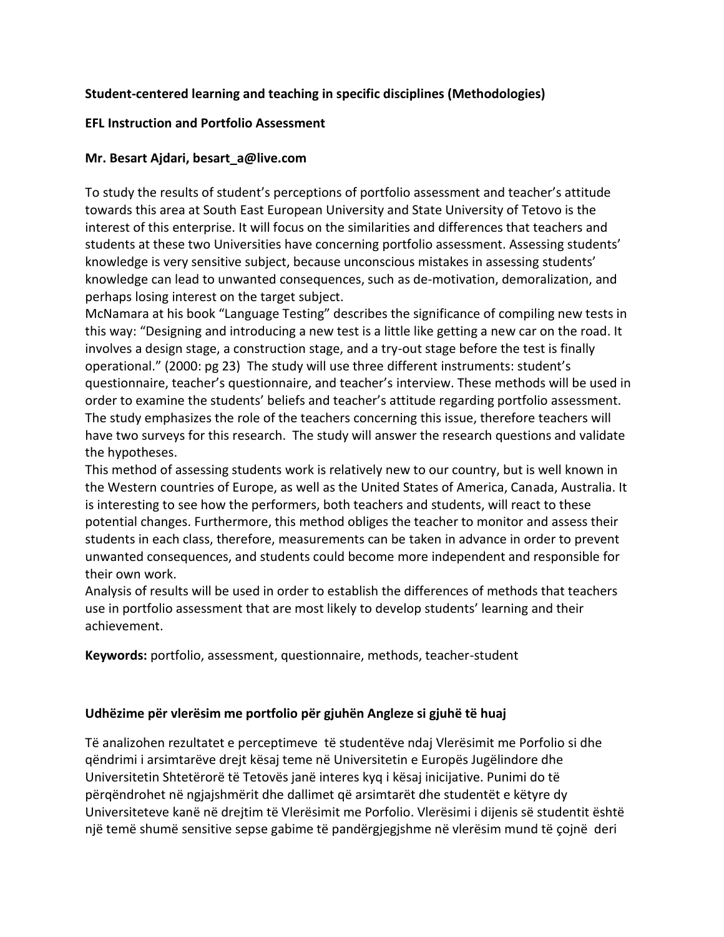## **Student-centered learning and teaching in specific disciplines (Methodologies)**

### **EFL Instruction and Portfolio Assessment**

### **Mr. Besart Ajdari, besart\_a@live.com**

To study the results of student's perceptions of portfolio assessment and teacher's attitude towards this area at South East European University and State University of Tetovo is the interest of this enterprise. It will focus on the similarities and differences that teachers and students at these two Universities have concerning portfolio assessment. Assessing students' knowledge is very sensitive subject, because unconscious mistakes in assessing students' knowledge can lead to unwanted consequences, such as de-motivation, demoralization, and perhaps losing interest on the target subject.

McNamara at his book "Language Testing" describes the significance of compiling new tests in this way: "Designing and introducing a new test is a little like getting a new car on the road. It involves a design stage, a construction stage, and a try-out stage before the test is finally operational." (2000: pg 23) The study will use three different instruments: student's questionnaire, teacher's questionnaire, and teacher's interview. These methods will be used in order to examine the students' beliefs and teacher's attitude regarding portfolio assessment. The study emphasizes the role of the teachers concerning this issue, therefore teachers will have two surveys for this research. The study will answer the research questions and validate the hypotheses.

This method of assessing students work is relatively new to our country, but is well known in the Western countries of Europe, as well as the United States of America, Canada, Australia. It is interesting to see how the performers, both teachers and students, will react to these potential changes. Furthermore, this method obliges the teacher to monitor and assess their students in each class, therefore, measurements can be taken in advance in order to prevent unwanted consequences, and students could become more independent and responsible for their own work.

Analysis of results will be used in order to establish the differences of methods that teachers use in portfolio assessment that are most likely to develop students' learning and their achievement.

**Keywords:** portfolio, assessment, questionnaire, methods, teacher-student

### **Udhëzime për vlerësim me portfolio për gjuhën Angleze si gjuhë të huaj**

Të analizohen rezultatet e perceptimeve të studentëve ndaj Vlerësimit me Porfolio si dhe qëndrimi i arsimtarëve drejt kësaj teme në Universitetin e Europës Jugëlindore dhe Universitetin Shtetërorë të Tetovës janë interes kyq i kësaj inicijative. Punimi do të përqëndrohet në ngjajshmërit dhe dallimet që arsimtarët dhe studentët e këtyre dy Universiteteve kanë në drejtim të Vlerësimit me Porfolio. Vlerësimi i dijenis së studentit është një temë shumë sensitive sepse gabime të pandërgjegjshme në vlerësim mund të çojnë deri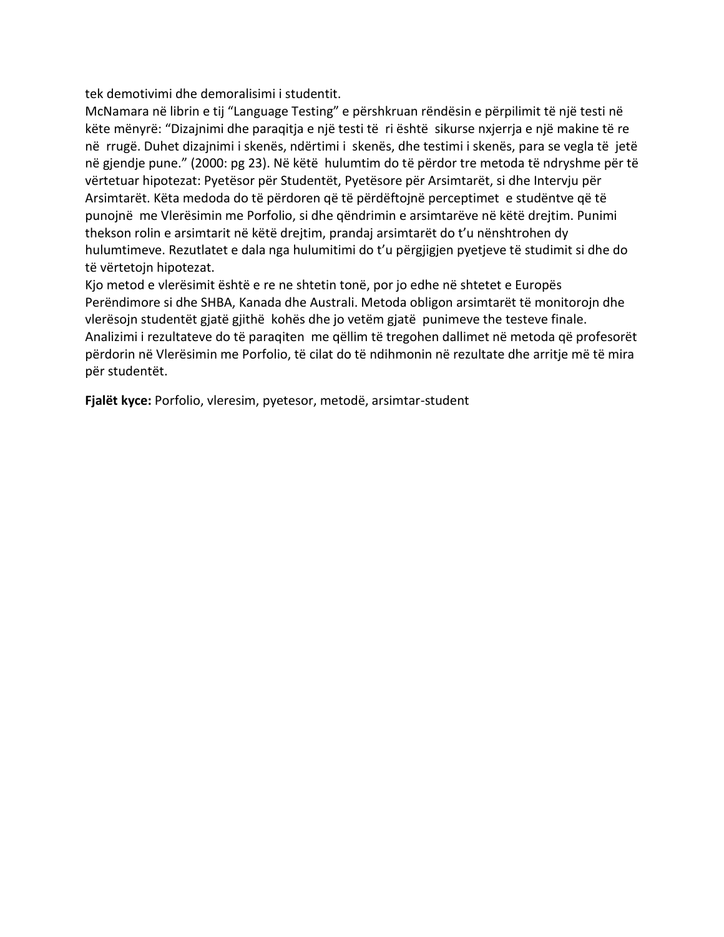tek demotivimi dhe demoralisimi i studentit.

McNamara në librin e tij "Language Testing" e përshkruan rëndësin e përpilimit të një testi në këte mënyrë: "Dizajnimi dhe paraqitja e një testi të ri është sikurse nxjerrja e një makine të re në rrugë. Duhet dizajnimi i skenës, ndërtimi i skenës, dhe testimi i skenës, para se vegla të jetë në gjendje pune." (2000: pg 23). Në këtë hulumtim do të përdor tre metoda të ndryshme për të vërtetuar hipotezat: Pyetësor për Studentët, Pyetësore për Arsimtarët, si dhe Intervju për Arsimtarët. Këta medoda do të përdoren që të përdëftojnë perceptimet e studëntve që të punojnë me Vlerësimin me Porfolio, si dhe qëndrimin e arsimtarëve në këtë drejtim. Punimi thekson rolin e arsimtarit në këtë drejtim, prandaj arsimtarët do t'u nënshtrohen dy hulumtimeve. Rezutlatet e dala nga hulumitimi do t'u përgjigjen pyetjeve të studimit si dhe do të vërtetojn hipotezat.

Kjo metod e vlerësimit është e re ne shtetin tonë, por jo edhe në shtetet e Europës Perëndimore si dhe SHBA, Kanada dhe Australi. Metoda obligon arsimtarët të monitorojn dhe vlerësojn studentët gjatë gjithë kohës dhe jo vetëm gjatë punimeve the testeve finale. Analizimi i rezultateve do të paraqiten me qëllim të tregohen dallimet në metoda që profesorët përdorin në Vlerësimin me Porfolio, të cilat do të ndihmonin në rezultate dhe arritje më të mira për studentët.

**Fjalët kyce:** Porfolio, vleresim, pyetesor, metodë, arsimtar-student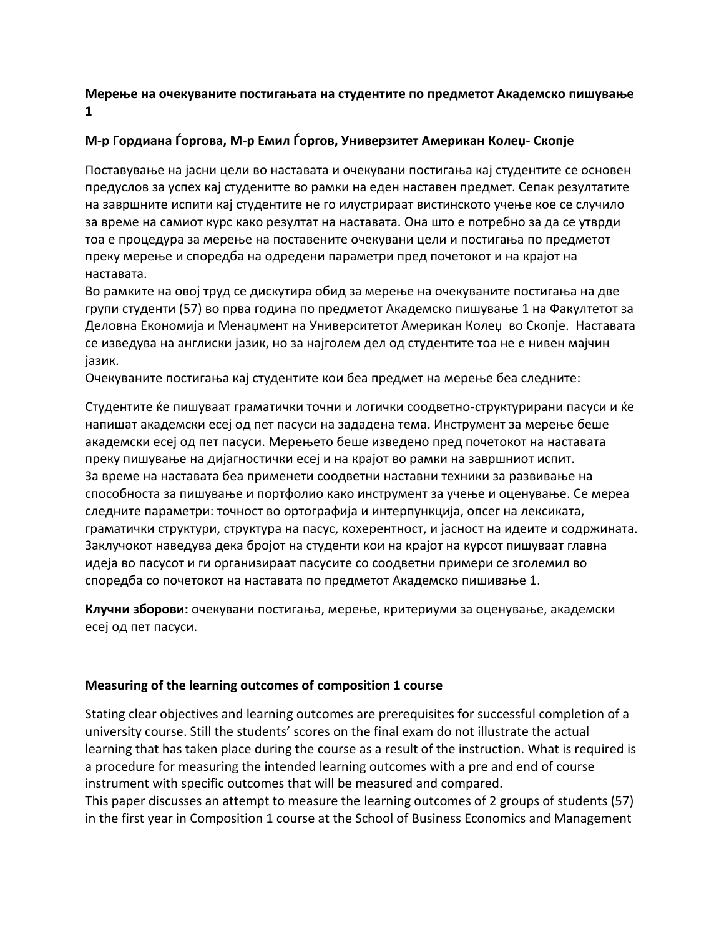### **Мерење на очекуваните постигањата на студентите по предметот Академско пишување 1**

### **М-р Гордиана Ѓоргова, М-р Емил Ѓоргов, Универзитет Американ Колеџ- Скопје**

Поставување на јасни цели во наставата и очекувани постигања кај студентите се основен предуслов за успех кај студенитте во рамки на еден наставен предмет. Сепак резултатите на завршните испити кај студентите не го илустрираат вистинското учење кое се случило за време на самиот курс како резултат на наставата. Она што е потребно за да се утврди тоа е процедура за мерење на поставените очекувани цели и постигања по предметот преку мерење и споредба на одредени параметри пред почетокот и на крајот на наставата.

Во рамките на овој труд се дискутира обид за мерење на очекуваните постигања на две групи студенти (57) во прва година по предметот Академско пишување 1 на Факултетот за Деловна Економија и Менаџмент на Университетот Американ Колеџ во Скопје. Наставата се изведува на англиски јазик, но за најголем дел од студентите тоа не е нивен мајчин јазик.

Очекуваните постигања кај студентите кои беа предмет на мерење беа следните:

Студентите ќе пишуваат граматички точни и логички соодветно-структурирани пасуси и ќе напишат академски есеј од пет пасуси на зададена тема. Инструмент за мерење беше академски есеј од пет пасуси. Мерењето беше изведено пред почетокот на наставата преку пишување на дијагностички есеј и на крајот во рамки на завршниот испит. За време на наставата беа применети соодветни наставни техники за развивање на способноста за пишување и портфолио како инструмент за учење и оценување. Се мереа следните параметри: точност во ортографија и интерпункција, опсег на лексиката, граматички структури, структура на пасус, кохерентност, и јасност на идеите и содржината. Заклучокот наведува дека бројот на студенти кои на крајот на курсот пишуваат главна идеја во пасусот и ги организираат пасусите со соодветни примери се зголемил во споредба со почетокот на наставата по предметот Академско пишивање 1.

**Клучни зборови:** очекувани постигања, мерење, критериуми за оценување, академски есеј од пет пасуси.

#### **Measuring of the learning outcomes of composition 1 course**

Stating clear objectives and learning outcomes are prerequisites for successful completion of a university course. Still the students' scores on the final exam do not illustrate the actual learning that has taken place during the course as a result of the instruction. What is required is a procedure for measuring the intended learning outcomes with a pre and end of course instrument with specific outcomes that will be measured and compared. This paper discusses an attempt to measure the learning outcomes of 2 groups of students (57) in the first year in Composition 1 course at the School of Business Economics and Management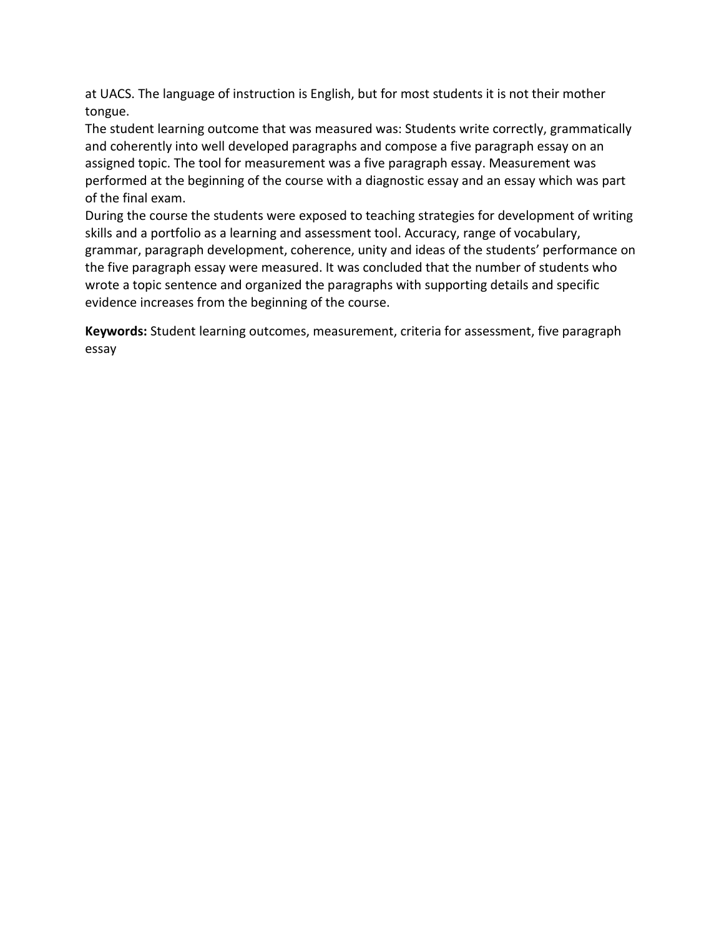at UACS. The language of instruction is English, but for most students it is not their mother tongue.

The student learning outcome that was measured was: Students write correctly, grammatically and coherently into well developed paragraphs and compose a five paragraph essay on an assigned topic. The tool for measurement was a five paragraph essay. Measurement was performed at the beginning of the course with a diagnostic essay and an essay which was part of the final exam.

During the course the students were exposed to teaching strategies for development of writing skills and a portfolio as a learning and assessment tool. Accuracy, range of vocabulary, grammar, paragraph development, coherence, unity and ideas of the students' performance on the five paragraph essay were measured. It was concluded that the number of students who wrote a topic sentence and organized the paragraphs with supporting details and specific evidence increases from the beginning of the course.

**Keywords:** Student learning outcomes, measurement, criteria for assessment, five paragraph essay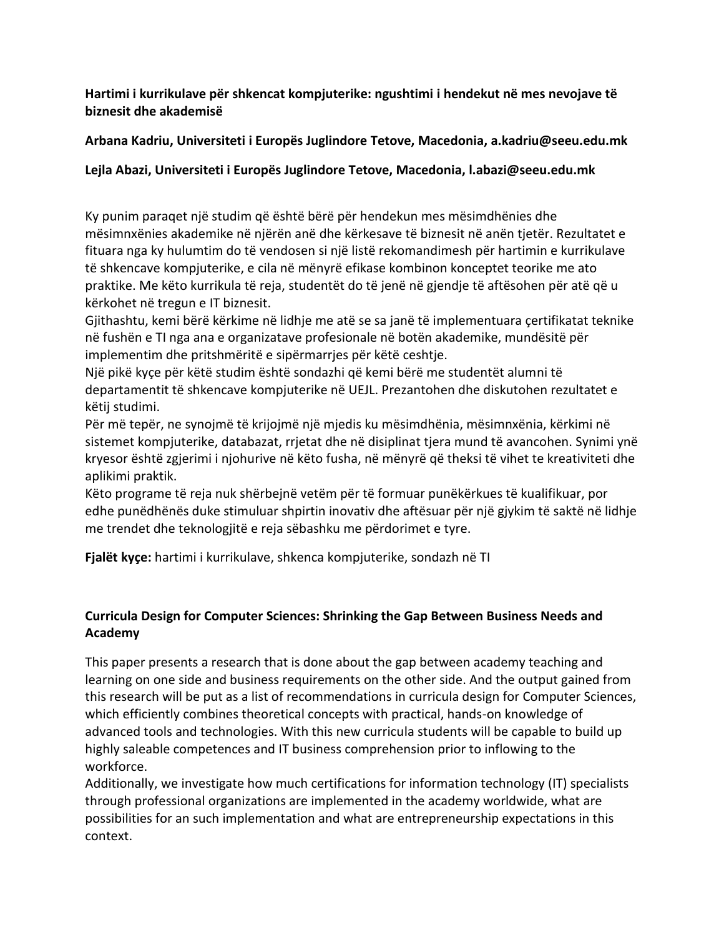**Hartimi i kurrikulave për shkencat kompjuterike: ngushtimi i hendekut në mes nevojave të biznesit dhe akademisë**

## **Arbana Kadriu, Universiteti i Europës Juglindore Tetove, Macedonia, a.kadriu@seeu.edu.mk**

## **Lejla Abazi, Universiteti i Europës Juglindore Tetove, Macedonia, l.abazi@seeu.edu.mk**

Ky punim paraqet një studim që është bërë për hendekun mes mësimdhënies dhe mësimnxënies akademike në njërën anë dhe kërkesave të biznesit në anën tjetër. Rezultatet e fituara nga ky hulumtim do të vendosen si një listë rekomandimesh për hartimin e kurrikulave të shkencave kompjuterike, e cila në mënyrë efikase kombinon konceptet teorike me ato praktike. Me këto kurrikula të reja, studentët do të jenë në gjendje të aftësohen për atë që u kërkohet në tregun e IT biznesit.

Gjithashtu, kemi bërë kërkime në lidhje me atë se sa janë të implementuara çertifikatat teknike në fushën e TI nga ana e organizatave profesionale në botën akademike, mundësitë për implementim dhe pritshmëritë e sipërmarrjes për këtë ceshtje.

Një pikë kyçe për këtë studim është sondazhi që kemi bërë me studentët alumni të departamentit të shkencave kompjuterike në UEJL. Prezantohen dhe diskutohen rezultatet e këtij studimi.

Për më tepër, ne synojmë të krijojmë një mjedis ku mësimdhënia, mësimnxënia, kërkimi në sistemet kompjuterike, databazat, rrjetat dhe në disiplinat tjera mund të avancohen. Synimi ynë kryesor është zgjerimi i njohurive në këto fusha, në mënyrë që theksi të vihet te kreativiteti dhe aplikimi praktik.

Këto programe të reja nuk shërbejnë vetëm për të formuar punëkërkues të kualifikuar, por edhe punëdhënës duke stimuluar shpirtin inovativ dhe aftësuar për një gjykim të saktë në lidhje me trendet dhe teknologjitë e reja sëbashku me përdorimet e tyre.

**Fjalët kyçe:** hartimi i kurrikulave, shkenca kompjuterike, sondazh në TI

## **Curricula Design for Computer Sciences: Shrinking the Gap Between Business Needs and Academy**

This paper presents a research that is done about the gap between academy teaching and learning on one side and business requirements on the other side. And the output gained from this research will be put as a list of recommendations in curricula design for Computer Sciences, which efficiently combines theoretical concepts with practical, hands-on knowledge of advanced tools and technologies. With this new curricula students will be capable to build up highly saleable competences and IT business comprehension prior to inflowing to the workforce.

Additionally, we investigate how much certifications for information technology (IT) specialists through professional organizations are implemented in the academy worldwide, what are possibilities for an such implementation and what are entrepreneurship expectations in this context.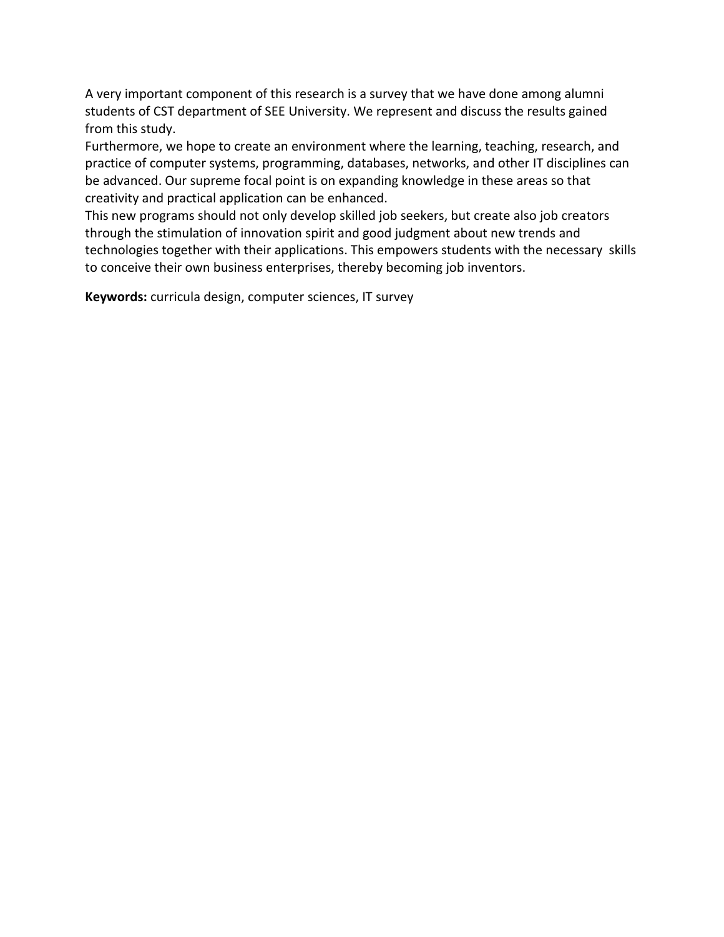A very important component of this research is a survey that we have done among alumni students of CST department of SEE University. We represent and discuss the results gained from this study.

Furthermore, we hope to create an environment where the learning, teaching, research, and practice of computer systems, programming, databases, networks, and other IT disciplines can be advanced. Our supreme focal point is on expanding knowledge in these areas so that creativity and practical application can be enhanced.

This new programs should not only develop skilled job seekers, but create also job creators through the stimulation of innovation spirit and good judgment about new trends and technologies together with their applications. This empowers students with the necessary skills to conceive their own business enterprises, thereby becoming job inventors.

**Keywords:** curricula design, computer sciences, IT survey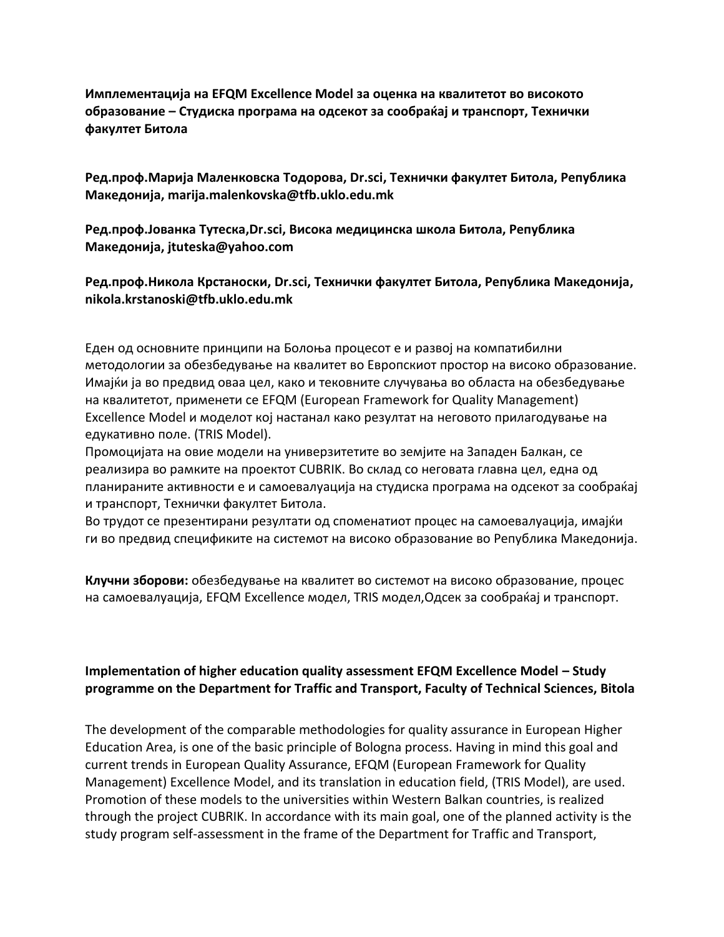**Имплементација на EFQM Excellence Model за оценка на квалитетот во високото образование – Студиска програма на одсекот за сообраќај и транспорт, Технички факултет Битола**

**Ред.проф.Марија Маленковска Тодорова, Dr.sci, Технички факултет Битола, Република Македонија, marija.malenkovska@tfb.uklo.edu.mk**

**Ред.проф.Јованка Тутеска,Dr.sci, Висока медицинска школа Битола, Република Македонија, jtuteska@yahoo.com**

**Ред.проф.Никола Крстаноски, Dr.sci, Технички факултет Битола, Република Македонија, nikola.krstanoski@tfb.uklo.edu.mk**

Еден од основните принципи на Болоња процесот е и развој на компатибилни методологии за обезбедување на квалитет во Европскиот простор на високо образование. Имајќи ја во предвид оваа цел, како и тековните случувања во областа на обезбедување на квалитетот, применети се EFQM (European Framework for Quality Management) Excellence Model и моделот кој настанал како резултат на неговото прилагодување на едукативно поле. (TRIS Model).

Промоцијата на овие модели на универзитетите во земјите на Западен Балкан, се реализира во рамките на проектот CUBRIK. Во склад со неговата главна цел, една од планираните активности е и самоевалуација на студиска програма на одсекот за сообраќај и транспорт, Технички факултет Битола.

Во трудот се презентирани резултати од споменатиот процес на самоевалуација, имајќи ги во предвид спецификите на системот на високо образование во Република Македонија.

**Клучни зборови:** обезбедување на квалитет во системот на високо образование, процес на самоевалуација, EFQM Excellence модел, TRIS модел,Одсек за сообраќај и транспорт.

## **Implementation of higher education quality assessment EFQM Excellence Model – Study programme on the Department for Traffic and Transport, Faculty of Technical Sciences, Bitola**

The development of the comparable methodologies for quality assurance in European Higher Education Area, is one of the basic principle of Bologna process. Having in mind this goal and current trends in European Quality Assurance, EFQM (European Framework for Quality Management) Excellence Model, and its translation in education field, (TRIS Model), are used. Promotion of these models to the universities within Western Balkan countries, is realized through the project CUBRIK. In accordance with its main goal, one of the planned activity is the study program self-assessment in the frame of the Department for Traffic and Transport,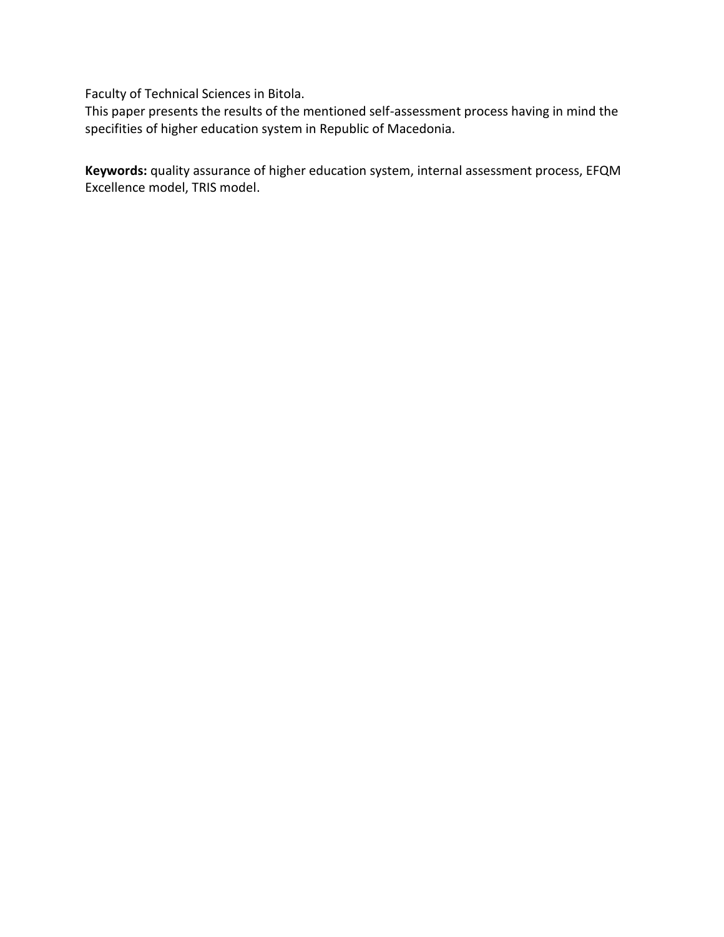Faculty of Technical Sciences in Bitola.

This paper presents the results of the mentioned self-assessment process having in mind the specifities of higher education system in Republic of Macedonia.

**Keywords:** quality assurance of higher education system, internal assessment process, EFQM Excellence model, TRIS model.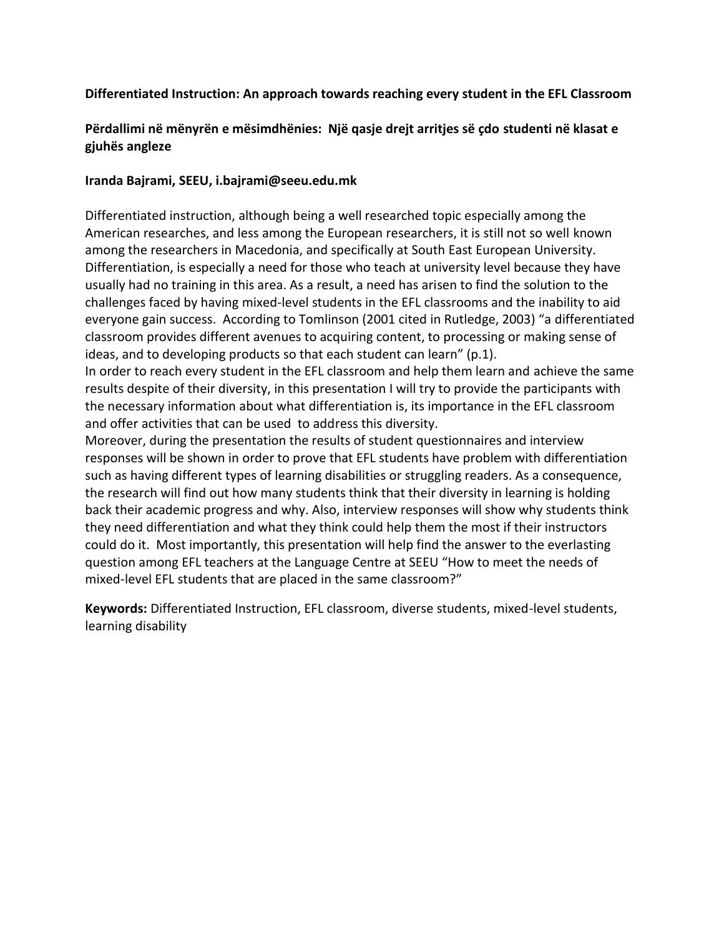## **Differentiated Instruction: An approach towards reaching every student in the EFL Classroom**

## **Përdallimi në mënyrën e mësimdhënies: Një qasje drejt arritjes së çdo studenti në klasat e gjuhës angleze**

### **Iranda Bajrami, SEEU, i.bajrami@seeu.edu.mk**

Differentiated instruction, although being a well researched topic especially among the American researches, and less among the European researchers, it is still not so well known among the researchers in Macedonia, and specifically at South East European University. Differentiation, is especially a need for those who teach at university level because they have usually had no training in this area. As a result, a need has arisen to find the solution to the challenges faced by having mixed-level students in the EFL classrooms and the inability to aid everyone gain success. According to Tomlinson (2001 cited in Rutledge, 2003) "a differentiated classroom provides different avenues to acquiring content, to processing or making sense of ideas, and to developing products so that each student can learn" (p.1).

In order to reach every student in the EFL classroom and help them learn and achieve the same results despite of their diversity, in this presentation I will try to provide the participants with the necessary information about what differentiation is, its importance in the EFL classroom and offer activities that can be used to address this diversity.

Moreover, during the presentation the results of student questionnaires and interview responses will be shown in order to prove that EFL students have problem with differentiation such as having different types of learning disabilities or struggling readers. As a consequence, the research will find out how many students think that their diversity in learning is holding back their academic progress and why. Also, interview responses will show why students think they need differentiation and what they think could help them the most if their instructors could do it. Most importantly, this presentation will help find the answer to the everlasting question among EFL teachers at the Language Centre at SEEU "How to meet the needs of mixed-level EFL students that are placed in the same classroom?"

**Keywords:** Differentiated Instruction, EFL classroom, diverse students, mixed-level students, learning disability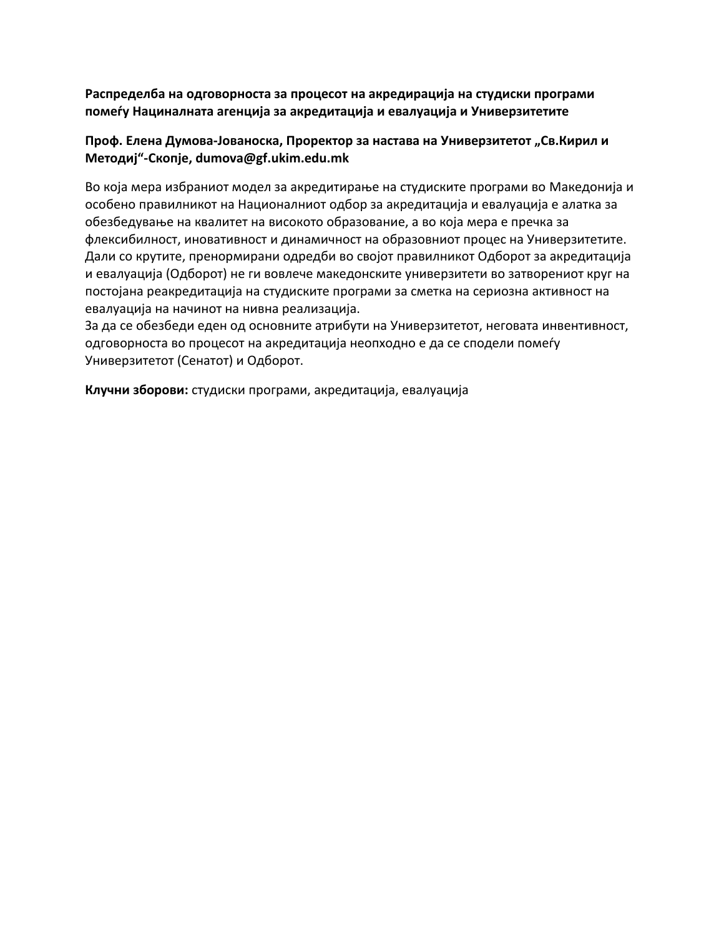**Распределба на одговорноста за процесот на акредирација на студиски програми помеѓу Нациналната агенција за акредитација и евалуација и Универзитетите**

### Проф. Елена Думова-Јованоска, Проректор за настава на Универзитетот "Св.Кирил и **Методиј"-Скопје, dumova@gf.ukim.edu.mk**

Во која мера избраниот модел за акредитирање на студиските програми во Македонија и особено правилникот на Националниот одбор за акредитација и евалуација е алатка за обезбедување на квалитет на високото образование, а во која мера е пречка за флексибилност, иновативност и динамичност на образовниот процес на Универзитетите. Дали со крутите, пренормирани одредби во својот правилникот Одборот за акредитација и евалуација (Одборот) не ги вовлече македонските универзитети во затворениот круг на постојана реакредитација на студиските програми за сметка на сериозна активност на евалуација на начинот на нивна реализација.

За да се обезбеди еден од основните атрибути на Универзитетот, неговата инвентивност, одговорноста во процесот на акредитација неопходно е да се сподели помеѓу Универзитетот (Сенатот) и Одборот.

**Клучни зборови:** студиски програми, акредитација, евалуација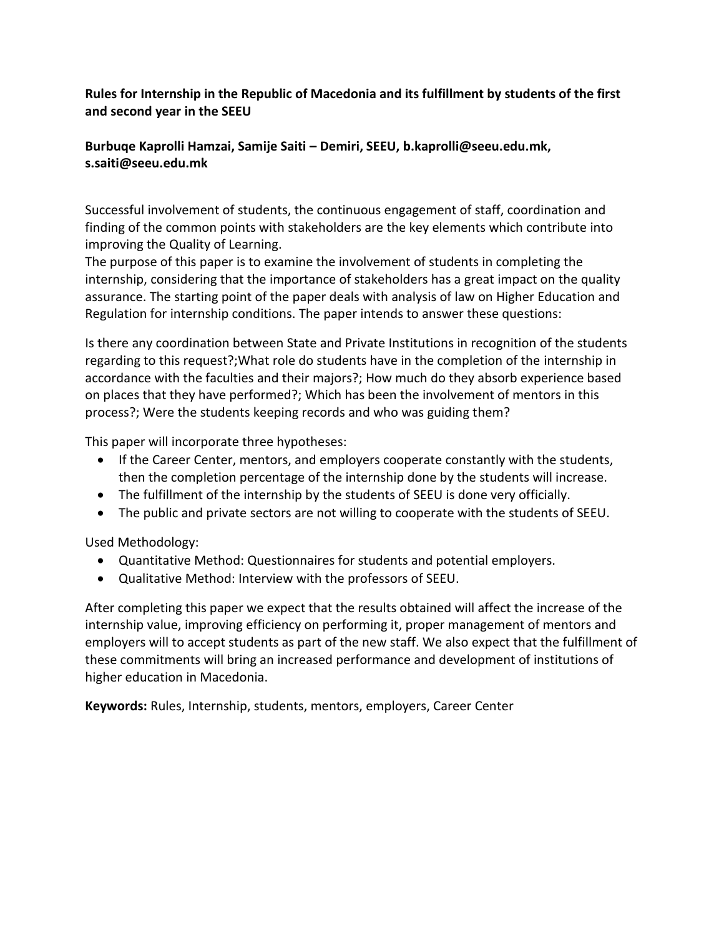**Rules for Internship in the Republic of Macedonia and its fulfillment by students of the first and second year in the SEEU**

## **Burbuqe Kaprolli Hamzai, Samije Saiti – Demiri, SEEU, b.kaprolli@seeu.edu.mk, s.saiti@seeu.edu.mk**

Successful involvement of students, the continuous engagement of staff, coordination and finding of the common points with stakeholders are the key elements which contribute into improving the Quality of Learning.

The purpose of this paper is to examine the involvement of students in completing the internship, considering that the importance of stakeholders has a great impact on the quality assurance. The starting point of the paper deals with analysis of law on Higher Education and Regulation for internship conditions. The paper intends to answer these questions:

Is there any coordination between State and Private Institutions in recognition of the students regarding to this request?;What role do students have in the completion of the internship in accordance with the faculties and their majors?; How much do they absorb experience based on places that they have performed?; Which has been the involvement of mentors in this process?; Were the students keeping records and who was guiding them?

This paper will incorporate three hypotheses:

- If the Career Center, mentors, and employers cooperate constantly with the students, then the completion percentage of the internship done by the students will increase.
- The fulfillment of the internship by the students of SEEU is done very officially.
- The public and private sectors are not willing to cooperate with the students of SEEU.

Used Methodology:

- Quantitative Method: Questionnaires for students and potential employers.
- Qualitative Method: Interview with the professors of SEEU.

After completing this paper we expect that the results obtained will affect the increase of the internship value, improving efficiency on performing it, proper management of mentors and employers will to accept students as part of the new staff. We also expect that the fulfillment of these commitments will bring an increased performance and development of institutions of higher education in Macedonia.

**Keywords:** Rules, Internship, students, mentors, employers, Career Center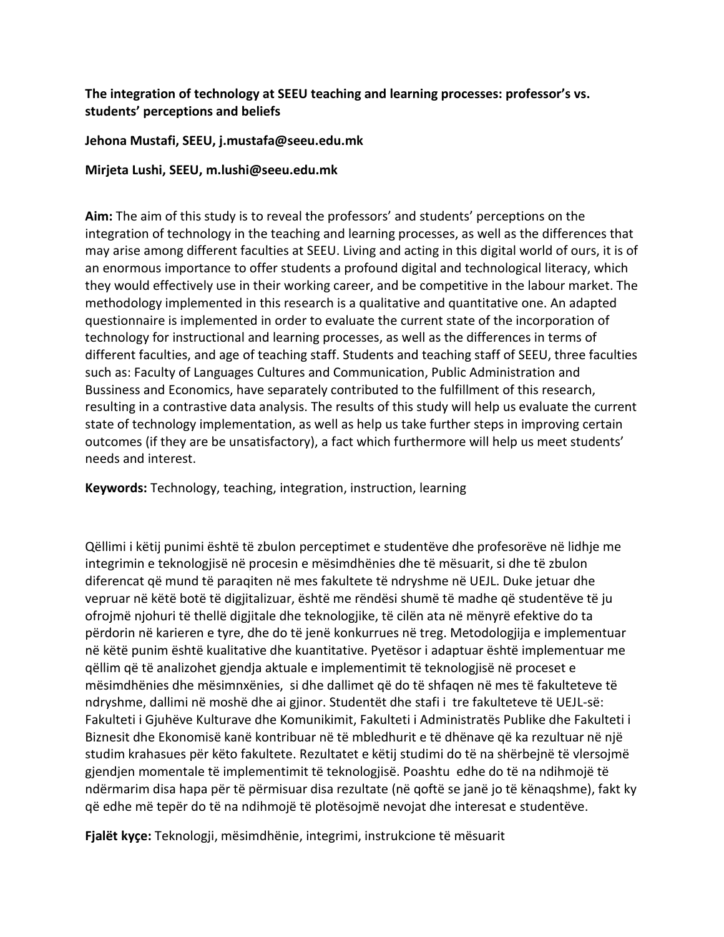## **The integration of technology at SEEU teaching and learning processes: professor's vs. students' perceptions and beliefs**

### **Jehona Mustafi, SEEU, j.mustafa@seeu.edu.mk**

**Mirjeta Lushi, SEEU, m.lushi@seeu.edu.mk**

**Aim:** The aim of this study is to reveal the professors' and students' perceptions on the integration of technology in the teaching and learning processes, as well as the differences that may arise among different faculties at SEEU. Living and acting in this digital world of ours, it is of an enormous importance to offer students a profound digital and technological literacy, which they would effectively use in their working career, and be competitive in the labour market. The methodology implemented in this research is a qualitative and quantitative one. An adapted questionnaire is implemented in order to evaluate the current state of the incorporation of technology for instructional and learning processes, as well as the differences in terms of different faculties, and age of teaching staff. Students and teaching staff of SEEU, three faculties such as: Faculty of Languages Cultures and Communication, Public Administration and Bussiness and Economics, have separately contributed to the fulfillment of this research, resulting in a contrastive data analysis. The results of this study will help us evaluate the current state of technology implementation, as well as help us take further steps in improving certain outcomes (if they are be unsatisfactory), a fact which furthermore will help us meet students' needs and interest.

**Keywords:** Technology, teaching, integration, instruction, learning

Qëllimi i këtij punimi është të zbulon perceptimet e studentëve dhe profesorëve në lidhje me integrimin e teknologjisë në procesin e mësimdhënies dhe të mësuarit, si dhe të zbulon diferencat që mund të paraqiten në mes fakultete të ndryshme në UEJL. Duke jetuar dhe vepruar në këtë botë të digjitalizuar, është me rëndësi shumë të madhe që studentëve të ju ofrojmë njohuri të thellë digjitale dhe teknologjike, të cilën ata në mënyrë efektive do ta përdorin në karieren e tyre, dhe do të jenë konkurrues në treg. Metodologjija e implementuar në këtë punim është kualitative dhe kuantitative. Pyetësor i adaptuar është implementuar me qëllim që të analizohet gjendja aktuale e implementimit të teknologjisë në proceset e mësimdhënies dhe mësimnxënies, si dhe dallimet që do të shfaqen në mes të fakulteteve të ndryshme, dallimi në moshë dhe ai gjinor. Studentët dhe stafi i tre fakulteteve të UEJL-së: Fakulteti i Gjuhëve Kulturave dhe Komunikimit, Fakulteti i Administratës Publike dhe Fakulteti i Biznesit dhe Ekonomisë kanë kontribuar në të mbledhurit e të dhënave që ka rezultuar në një studim krahasues për këto fakultete. Rezultatet e këtij studimi do të na shërbejnë të vlersojmë gjendjen momentale të implementimit të teknologjisë. Poashtu edhe do të na ndihmojë të ndërmarim disa hapa për të përmisuar disa rezultate (në qoftë se janë jo të kënaqshme), fakt ky që edhe më tepër do të na ndihmojë të plotësojmë nevojat dhe interesat e studentëve.

**Fjalët kyçe:** Teknologji, mësimdhënie, integrimi, instrukcione të mësuarit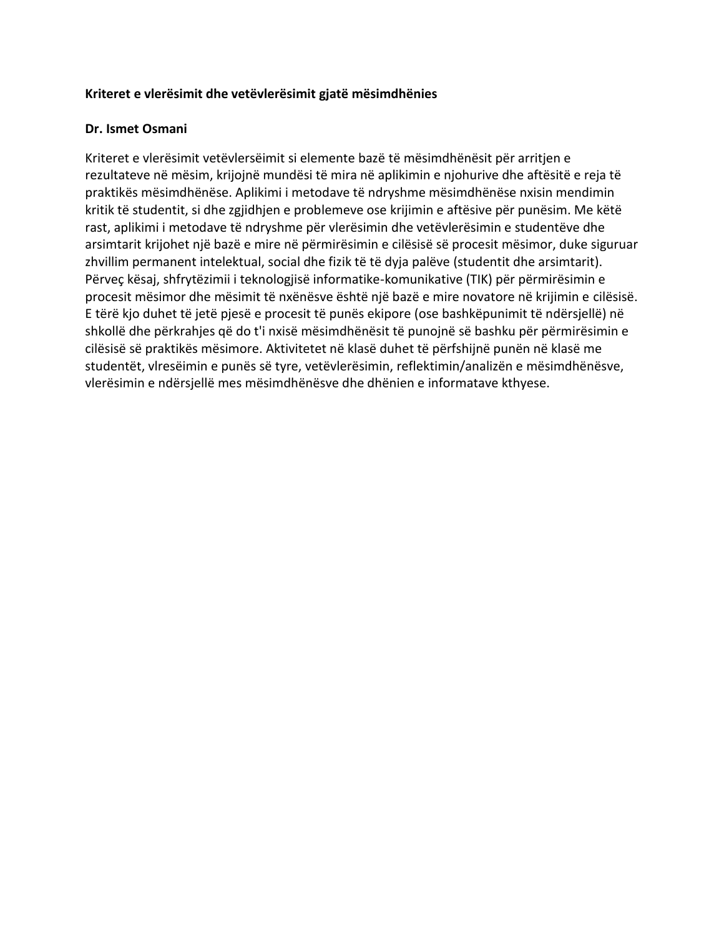#### **Kriteret e vlerësimit dhe vetëvlerësimit gjatë mësimdhënies**

#### **Dr. Ismet Osmani**

Kriteret e vlerësimit vetëvlersëimit si elemente bazë të mësimdhënësit për arritjen e rezultateve në mësim, krijojnë mundësi të mira në aplikimin e njohurive dhe aftësitë e reja të praktikës mësimdhënëse. Aplikimi i metodave të ndryshme mësimdhënëse nxisin mendimin kritik të studentit, si dhe zgjidhjen e problemeve ose krijimin e aftësive për punësim. Me këtë rast, aplikimi i metodave të ndryshme për vlerësimin dhe vetëvlerësimin e studentëve dhe arsimtarit krijohet një bazë e mire në përmirësimin e cilësisë së procesit mësimor, duke siguruar zhvillim permanent intelektual, social dhe fizik të të dyja palëve (studentit dhe arsimtarit). Përveç kësaj, shfrytëzimii i teknologjisë informatike-komunikative (TIK) për përmirësimin e procesit mësimor dhe mësimit të nxënësve është një bazë e mire novatore në krijimin e cilësisë. E tërë kjo duhet të jetë pjesë e procesit të punës ekipore (ose bashkëpunimit të ndërsjellë) në shkollë dhe përkrahjes që do t'i nxisë mësimdhënësit të punojnë së bashku për përmirësimin e cilësisë së praktikës mësimore. Aktivitetet në klasë duhet të përfshijnë punën në klasë me studentët, vlresëimin e punës së tyre, vetëvlerësimin, reflektimin/analizën e mësimdhënësve, vlerësimin e ndërsjellë mes mësimdhënësve dhe dhënien e informatave kthyese.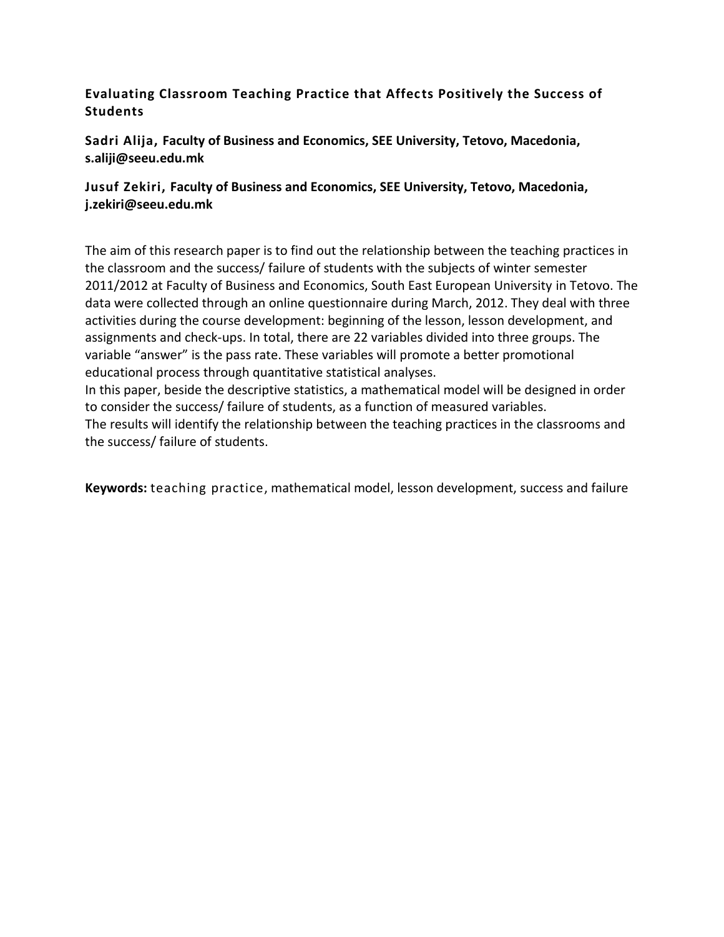## **Evaluating Classroom Teaching Practice that Affects Positively the Success of Students**

**Sadri Alija, Faculty of Business and Economics, SEE University, Tetovo, Macedonia, s.aliji@seeu.edu.mk**

## **Jusuf Zekiri, Faculty of Business and Economics, SEE University, Tetovo, Macedonia, j.zekiri@seeu.edu.mk**

The aim of this research paper is to find out the relationship between the teaching practices in the classroom and the success/ failure of students with the subjects of winter semester 2011/2012 at Faculty of Business and Economics, South East European University in Tetovo. The data were collected through an online questionnaire during March, 2012. They deal with three activities during the course development: beginning of the lesson, lesson development, and assignments and check-ups. In total, there are 22 variables divided into three groups. The variable "answer" is the pass rate. These variables will promote a better promotional educational process through quantitative statistical analyses.

In this paper, beside the descriptive statistics, a mathematical model will be designed in order to consider the success/ failure of students, as a function of measured variables. The results will identify the relationship between the teaching practices in the classrooms and the success/ failure of students.

**Keywords:** teaching practice, mathematical model, lesson development, success and failure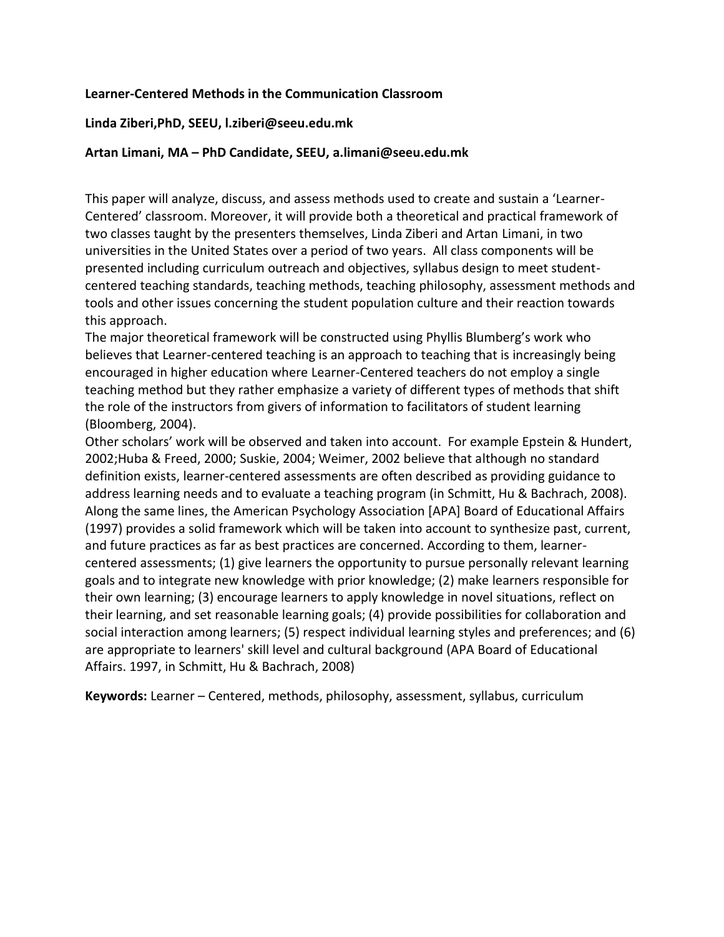#### **Learner-Centered Methods in the Communication Classroom**

#### **Linda Ziberi,PhD, SEEU, l.ziberi@seeu.edu.mk**

#### **Artan Limani, MA – PhD Candidate, SEEU, a.limani@seeu.edu.mk**

This paper will analyze, discuss, and assess methods used to create and sustain a 'Learner-Centered' classroom. Moreover, it will provide both a theoretical and practical framework of two classes taught by the presenters themselves, Linda Ziberi and Artan Limani, in two universities in the United States over a period of two years. All class components will be presented including curriculum outreach and objectives, syllabus design to meet studentcentered teaching standards, teaching methods, teaching philosophy, assessment methods and tools and other issues concerning the student population culture and their reaction towards this approach.

The major theoretical framework will be constructed using Phyllis Blumberg's work who believes that Learner-centered teaching is an approach to teaching that is increasingly being encouraged in higher education where Learner-Centered teachers do not employ a single teaching method but they rather emphasize a variety of different types of methods that shift the role of the instructors from givers of information to facilitators of student learning (Bloomberg, 2004).

Other scholars' work will be observed and taken into account. For example Epstein & Hundert, 2002;Huba & Freed, 2000; Suskie, 2004; Weimer, 2002 believe that although no standard definition exists, learner-centered assessments are often described as providing guidance to address learning needs and to evaluate a teaching program (in Schmitt, Hu & Bachrach, 2008). Along the same lines, the American Psychology Association [APA] Board of Educational Affairs (1997) provides a solid framework which will be taken into account to synthesize past, current, and future practices as far as best practices are concerned. According to them, learnercentered assessments; (1) give learners the opportunity to pursue personally relevant learning goals and to integrate new knowledge with prior knowledge; (2) make learners responsible for their own learning; (3) encourage learners to apply knowledge in novel situations, reflect on their learning, and set reasonable learning goals; (4) provide possibilities for collaboration and social interaction among learners; (5) respect individual learning styles and preferences; and (6) are appropriate to learners' skill level and cultural background (APA Board of Educational Affairs. 1997, in Schmitt, Hu & Bachrach, 2008)

**Keywords:** Learner – Centered, methods, philosophy, assessment, syllabus, curriculum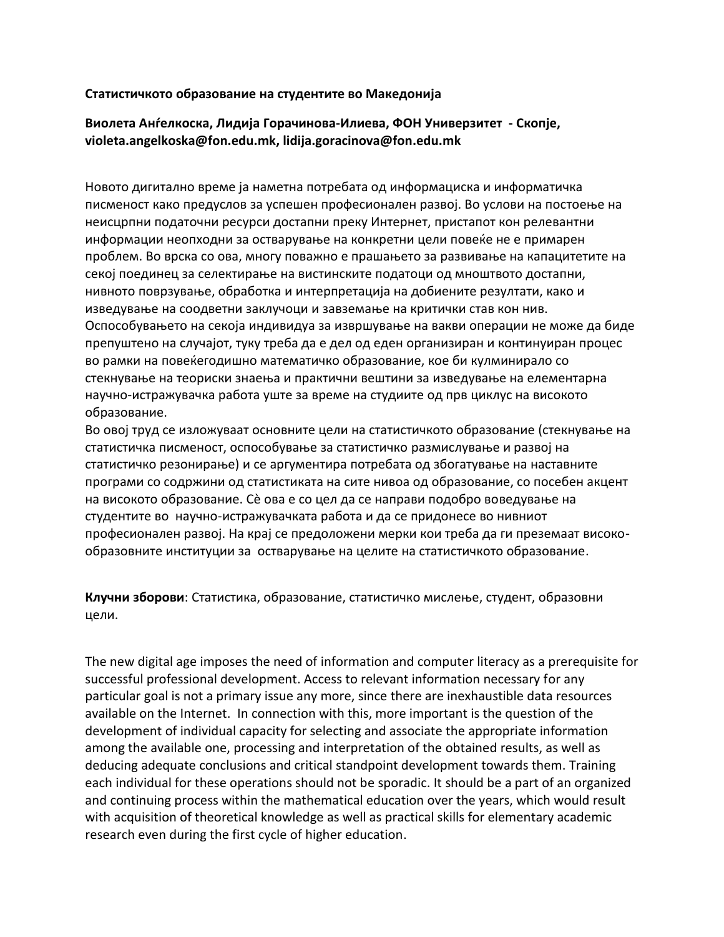#### **Статистичкото образование на студентите во Македонија**

### **Виолета Анѓелкоска, Лидија Горачинова-Илиева, ФОН Универзитет - Скопје, violeta.angelkoska@fon.edu.mk, lidija.goracinova@fon.edu.mk**

Новото дигитално време ја наметна потребата од информациска и информатичка писменост како предуслов за успешен професионален развој. Во услови на постоење на неисцрпни податочни ресурси достапни преку Интернет, пристапот кон релевантни информации неопходни за остварување на конкретни цели повеќе не е примарен проблем. Во врска со ова, многу поважно е прашањето за развивање на капацитетите на секој поединец за селектирање на вистинските податоци од мноштвото достапни, нивното поврзување, обработка и интерпретација на добиените резултати, како и изведување на соодветни заклучоци и завземање на критички став кон нив. Оспособувањето на секоја индивидуа за извршување на вакви операции не може да биде препуштено на случајот, туку треба да е дел од еден организиран и континуиран процес во рамки на повеќегодишно математичко образование, кое би кулминирало со стекнување на теориски знаења и практични вештини за изведување на елементарна научно-истражувачка работа уште за време на студиите од прв циклус на високото образование.

Во овој труд се изложуваат основните цели на статистичкото образование (стекнување на статистичка писменост, оспособување за статистичко размислување и развој на статистичко резонирање) и се аргументира потребата од збогатување на наставните програми со содржини од статистиката на сите нивоа од образование, со посебен акцент на високото образование. Сѐ ова е со цел да се направи подобро воведување на студентите во научно-истражувачката работа и да се придонесе во нивниот професионален развој. На крај се предоложени мерки кои треба да ги преземаат високообразовните институции за остварување на целите на статистичкото образование.

**Клучни зборови**: Статистика, образование, статистичко мислење, студент, образовни цели.

The new digital age imposes the need of information and computer literacy as a prerequisite for successful professional development. Access to relevant information necessary for any particular goal is not a primary issue any more, since there are inexhaustible data resources available on the Internet. In connection with this, more important is the question of the development of individual capacity for selecting and associate the appropriate information among the available one, processing and interpretation of the obtained results, as well as deducing adequate conclusions and critical standpoint development towards them. Training each individual for these operations should not be sporadic. It should be a part of an organized and continuing process within the mathematical education over the years, which would result with acquisition of theoretical knowledge as well as practical skills for elementary academic research even during the first cycle of higher education.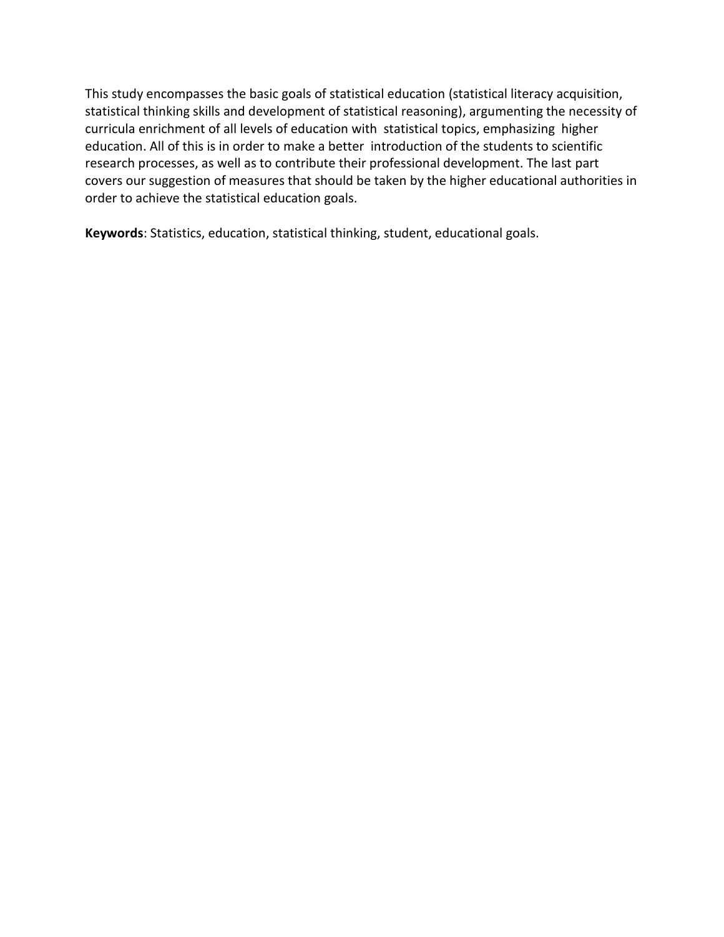This study encompasses the basic goals of statistical education (statistical literacy acquisition, statistical thinking skills and development of statistical reasoning), argumenting the necessity of curricula enrichment of all levels of education with statistical topics, emphasizing higher education. All of this is in order to make a better introduction of the students to scientific research processes, as well as to contribute their professional development. The last part covers our suggestion of measures that should be taken by the higher educational authorities in order to achieve the statistical education goals.

**Keywords**: Statistics, education, statistical thinking, student, educational goals.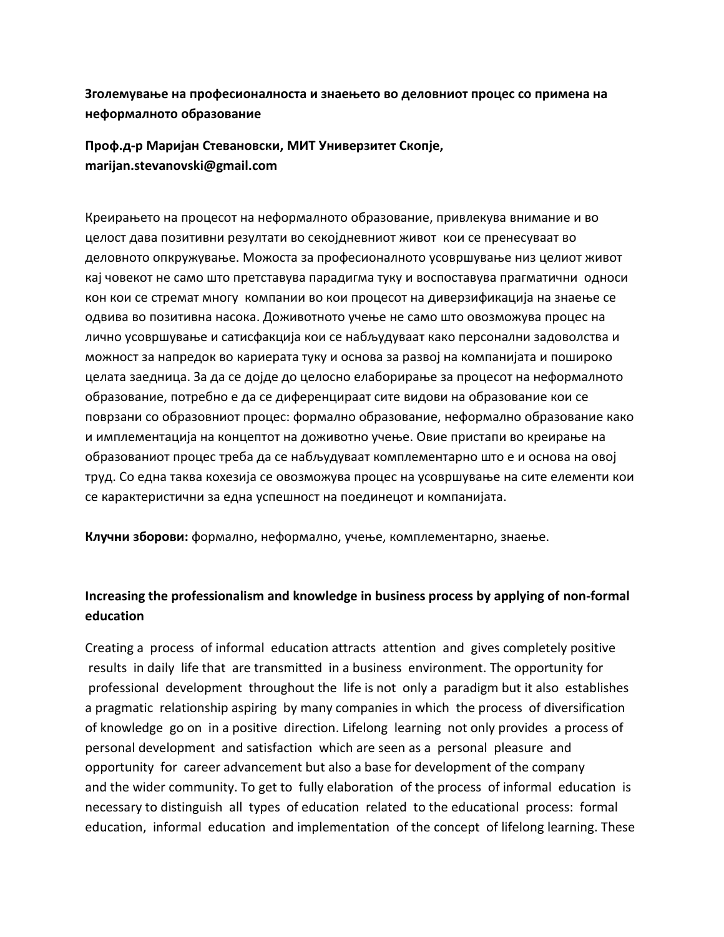## **Зголемување на професионалноста и знаењето во деловниот процес со примена на неформалното образование**

**Проф.д-р Маријан Стевановски, МИТ Универзитет Скопје, marijan.stevanovski@gmail.com** 

Креирањето на процесот на неформалното образование, привлекува внимание и во целост дава позитивни резултати во секојдневниот живот кои се пренесуваат во деловното опкружување. Можоста за професионалното усовршување низ целиот живот кај човекот не само што претставува парадигма туку и воспоставува прагматични односи кон кои се стремат многу компании во кои процесот на диверзификација на знаење се одвива во позитивна насока. Доживотното учење не само што овозможува процес на лично усовршување и сатисфакција кои се набљудуваат како персонални задоволства и можност за напредок во кариерата туку и основа за развој на компанијата и пошироко целата заедница. За да се дојде до целосно елаборирање за процесот на неформалното образование, потребно е да се диференцираат сите видови на образование кои се поврзани со образовниот процес: формално образование, неформално образование како и имплементација на концептот на доживотно учење. Овие пристапи во креирање на образованиот процес треба да се набљудуваат комплементарно што е и основа на овој труд. Со една таква кохезија се овозможува процес на усовршување на сите елементи кои се карактеристични за една успешност на поединецот и компанијата.

**Клучни зборови:** формално, неформално, учење, комплементарно, знаење.

# **Increasing the professionalism and knowledge in business process by applying of non-formal education**

Creating a process of informal education attracts attention and gives completely positive results in daily life that are transmitted in a business environment. The opportunity for professional development throughout the life is not only a paradigm but it also establishes a pragmatic relationship aspiring by many companies in which the process of diversification of knowledge go on in a positive direction. Lifelong learning not only provides a process of personal development and satisfaction which are seen as a personal pleasure and opportunity for career advancement but also a base for development of the company and the wider community. To get to fully elaboration of the process of informal education is necessary to distinguish all types of education related to the educational process: formal education, informal education and implementation of the concept of lifelong learning. These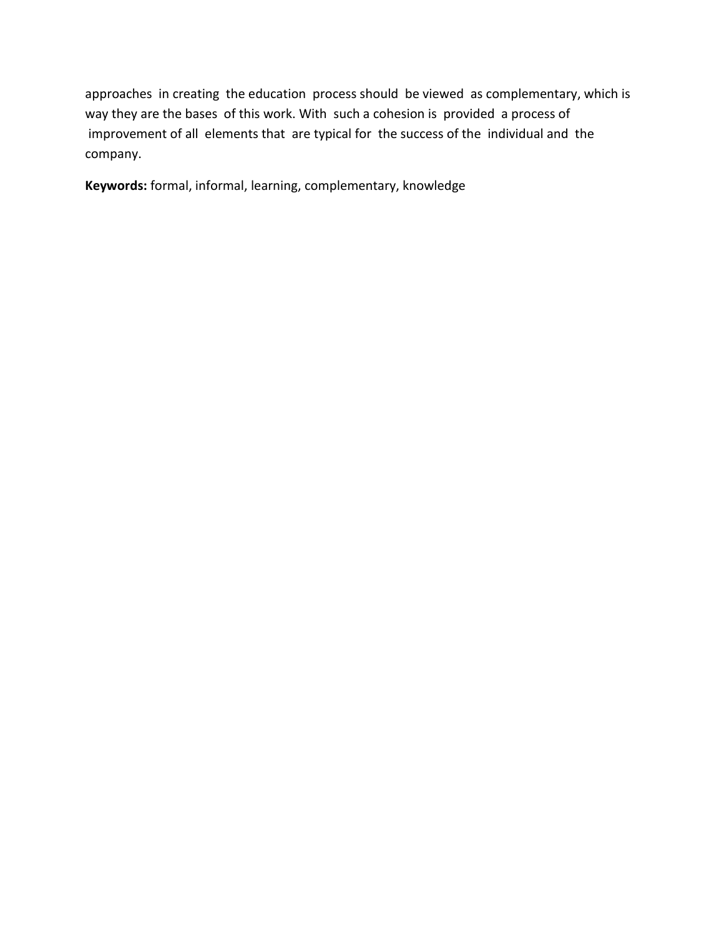approaches in creating the education process should be viewed as complementary, which is way they are the bases of this work. With such a cohesion is provided a process of improvement of all elements that are typical for the success of the individual and the company.

**Keywords:** formal, informal, learning, complementary, knowledge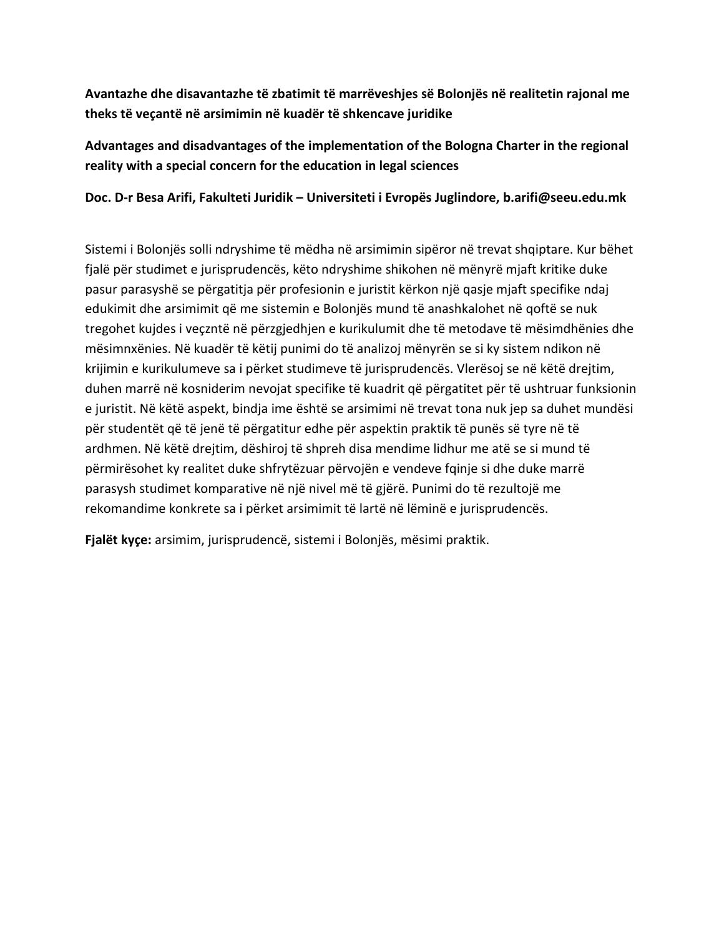**Avantazhe dhe disavantazhe të zbatimit të marrëveshjes së Bolonjës në realitetin rajonal me theks të veçantë në arsimimin në kuadër të shkencave juridike**

**Advantages and disadvantages of the implementation of the Bologna Charter in the regional reality with a special concern for the education in legal sciences**

**Doc. D-r Besa Arifi, Fakulteti Juridik – Universiteti i Evropës Juglindore, b.arifi@seeu.edu.mk**

Sistemi i Bolonjës solli ndryshime të mëdha në arsimimin sipëror në trevat shqiptare. Kur bëhet fjalë për studimet e jurisprudencës, këto ndryshime shikohen në mënyrë mjaft kritike duke pasur parasyshë se përgatitja për profesionin e juristit kërkon një qasje mjaft specifike ndaj edukimit dhe arsimimit që me sistemin e Bolonjës mund të anashkalohet në qoftë se nuk tregohet kujdes i veçzntë në përzgjedhjen e kurikulumit dhe të metodave të mësimdhënies dhe mësimnxënies. Në kuadër të këtij punimi do të analizoj mënyrën se si ky sistem ndikon në krijimin e kurikulumeve sa i përket studimeve të jurisprudencës. Vlerësoj se në këtë drejtim, duhen marrë në kosniderim nevojat specifike të kuadrit që përgatitet për të ushtruar funksionin e juristit. Në këtë aspekt, bindja ime është se arsimimi në trevat tona nuk jep sa duhet mundësi për studentët që të jenë të përgatitur edhe për aspektin praktik të punës së tyre në të ardhmen. Në këtë drejtim, dëshiroj të shpreh disa mendime lidhur me atë se si mund të përmirësohet ky realitet duke shfrytëzuar përvojën e vendeve fqinje si dhe duke marrë parasysh studimet komparative në një nivel më të gjërë. Punimi do të rezultojë me rekomandime konkrete sa i përket arsimimit të lartë në lëminë e jurisprudencës.

**Fjalët kyçe:** arsimim, jurisprudencë, sistemi i Bolonjës, mësimi praktik.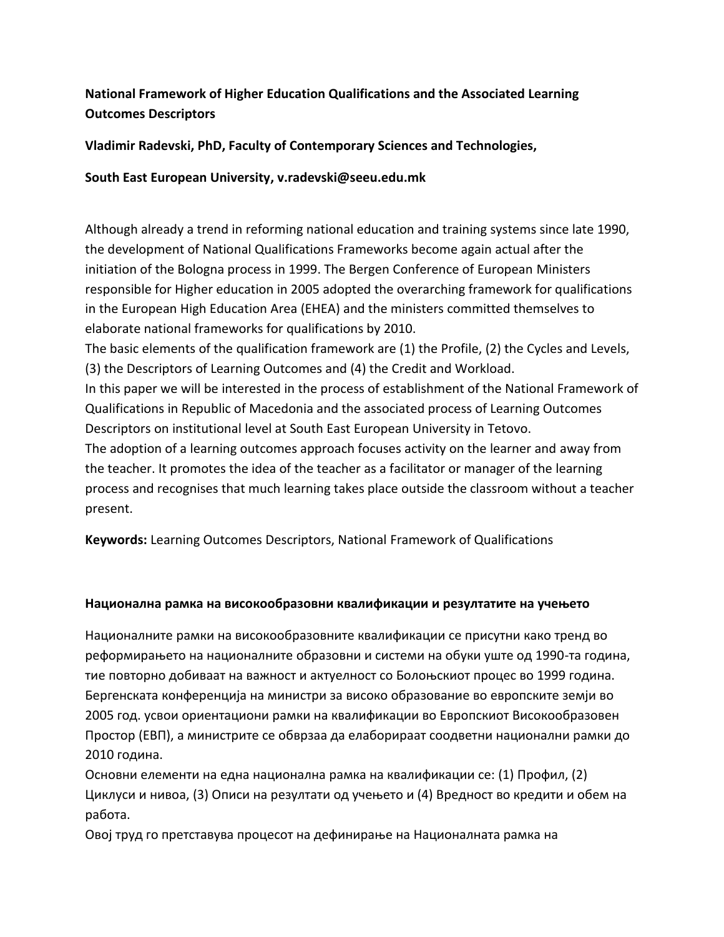# **National Framework of Higher Education Qualifications and the Associated Learning Outcomes Descriptors**

**Vladimir Radevski, PhD, Faculty of Contemporary Sciences and Technologies,**

**South East European University, v.radevski@seeu.edu.mk**

Although already a trend in reforming national education and training systems since late 1990, the development of National Qualifications Frameworks become again actual after the initiation of the Bologna process in 1999. The Bergen Conference of European Ministers responsible for Higher education in 2005 adopted the overarching framework for qualifications in the European High Education Area (EHEA) and the ministers committed themselves to elaborate national frameworks for qualifications by 2010. The basic elements of the qualification framework are (1) the Profile, (2) the Cycles and Levels, (3) the Descriptors of Learning Outcomes and (4) the Credit and Workload. In this paper we will be interested in the process of establishment of the National Framework of

Qualifications in Republic of Macedonia and the associated process of Learning Outcomes Descriptors on institutional level at South East European University in Tetovo.

The adoption of a learning outcomes approach focuses activity on the learner and away from the teacher. It promotes the idea of the teacher as a facilitator or manager of the learning process and recognises that much learning takes place outside the classroom without a teacher present.

**Keywords:** Learning Outcomes Descriptors, National Framework of Qualifications

### **Национална рамка на високообразовни квалификации и резултатите на учењето**

Националните рамки на високообразовните квалификации се присутни како тренд во реформирањето на националните образовни и системи на обуки уште од 1990-та година, тие повторно добиваат на важност и актуелност со Болоњскиот процес во 1999 година. Бергенската конференција на министри за високо образование во европските земји во 2005 год. усвои ориентациони рамки на квалификации во Европскиот Високообразовен Простор (ЕВП), а министрите се обврзаа да елаборираат соодветни национални рамки до 2010 година.

Основни елементи на една национална рамка на квалификации се: (1) Профил, (2) Циклуси и нивоа, (3) Описи на резултати од учењето и (4) Вредност во кредити и обем на работа.

Овој труд го претставува процесот на дефинирање на Националната рамка на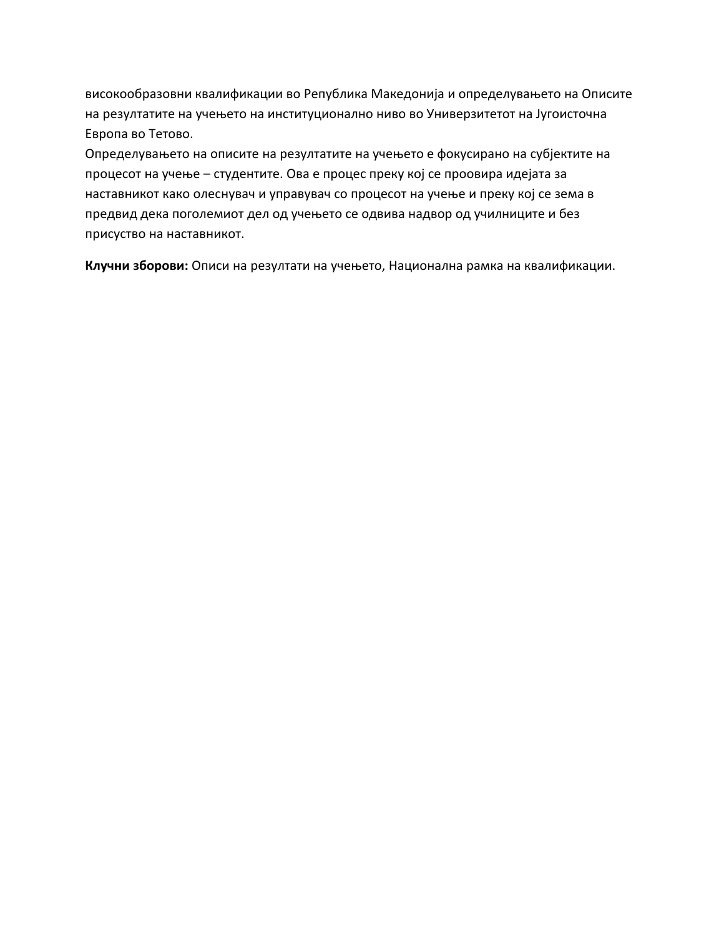високообразовни квалификации во Република Македонија и определувањето на Описите на резултатите на учењето на институционално ниво во Универзитетот на Југоисточна Европа во Тетово.

Определувањето на описите на резултатите на учењето е фокусирано на субјектите на процесот на учење – студентите. Ова е процес преку кој се проовира идејата за наставникот како олеснувач и управувач со процесот на учење и преку кој се зема в предвид дека поголемиот дел од учењето се одвива надвор од училниците и без присуство на наставникот.

**Клучни зборови:** Описи на резултати на учењето, Национална рамка на квалификации.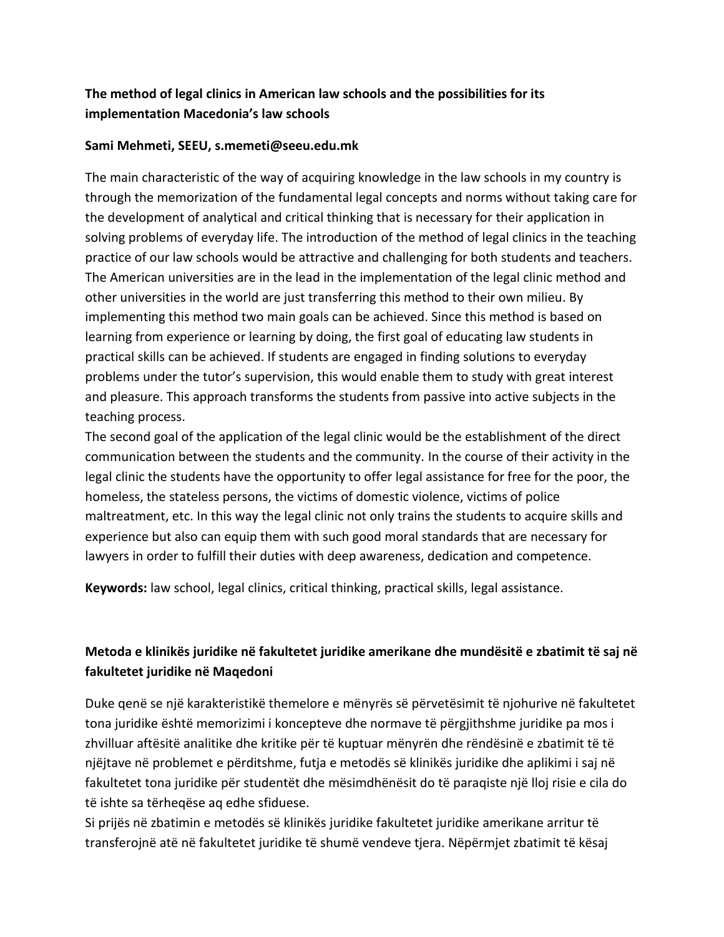# **The method of legal clinics in American law schools and the possibilities for its implementation Macedonia's law schools**

### **Sami Mehmeti, SEEU, s.memeti@seeu.edu.mk**

The main characteristic of the way of acquiring knowledge in the law schools in my country is through the memorization of the fundamental legal concepts and norms without taking care for the development of analytical and critical thinking that is necessary for their application in solving problems of everyday life. The introduction of the method of legal clinics in the teaching practice of our law schools would be attractive and challenging for both students and teachers. The American universities are in the lead in the implementation of the legal clinic method and other universities in the world are just transferring this method to their own milieu. By implementing this method two main goals can be achieved. Since this method is based on learning from experience or learning by doing, the first goal of educating law students in practical skills can be achieved. If students are engaged in finding solutions to everyday problems under the tutor's supervision, this would enable them to study with great interest and pleasure. This approach transforms the students from passive into active subjects in the teaching process.

The second goal of the application of the legal clinic would be the establishment of the direct communication between the students and the community. In the course of their activity in the legal clinic the students have the opportunity to offer legal assistance for free for the poor, the homeless, the stateless persons, the victims of domestic violence, victims of police maltreatment, etc. In this way the legal clinic not only trains the students to acquire skills and experience but also can equip them with such good moral standards that are necessary for lawyers in order to fulfill their duties with deep awareness, dedication and competence.

**Keywords:** law school, legal clinics, critical thinking, practical skills, legal assistance.

# **Metoda e klinikës juridike në fakultetet juridike amerikane dhe mundësitë e zbatimit të saj në fakultetet juridike në Maqedoni**

Duke qenë se një karakteristikë themelore e mënyrës së përvetësimit të njohurive në fakultetet tona juridike është memorizimi i koncepteve dhe normave të përgjithshme juridike pa mos i zhvilluar aftësitë analitike dhe kritike për të kuptuar mënyrën dhe rëndësinë e zbatimit të të njëjtave në problemet e përditshme, futja e metodës së klinikës juridike dhe aplikimi i saj në fakultetet tona juridike për studentët dhe mësimdhënësit do të paraqiste një lloj risie e cila do të ishte sa tërheqëse aq edhe sfiduese.

Si prijës në zbatimin e metodës së klinikës juridike fakultetet juridike amerikane arritur të transferojnë atë në fakultetet juridike të shumë vendeve tjera. Nëpërmjet zbatimit të kësaj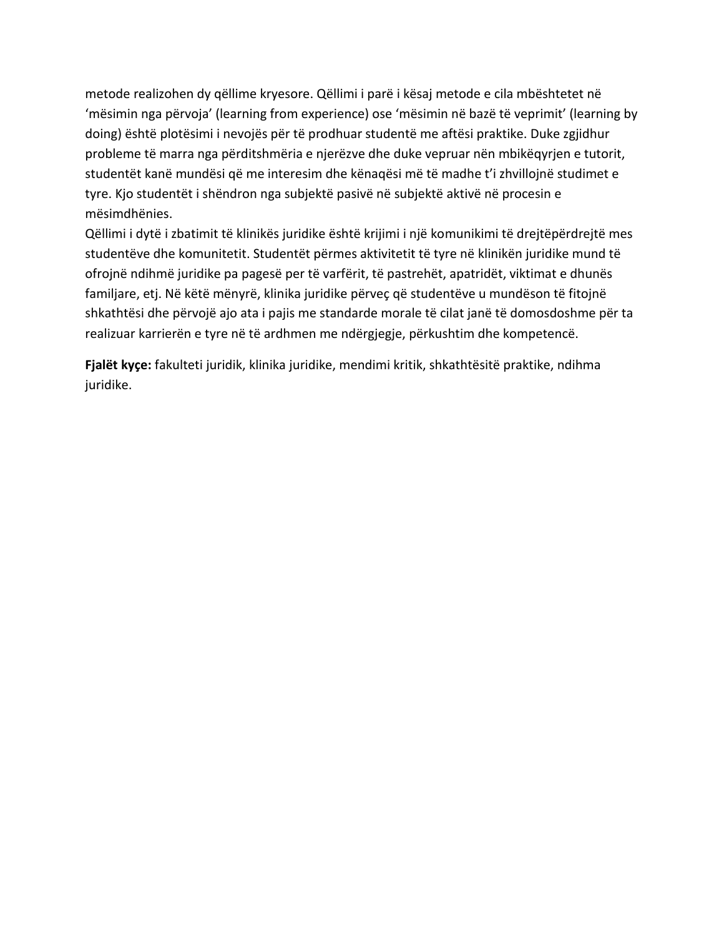metode realizohen dy qëllime kryesore. Qëllimi i parë i kësaj metode e cila mbështetet në 'mësimin nga përvoja' (learning from experience) ose 'mësimin në bazë të veprimit' (learning by doing) është plotësimi i nevojës për të prodhuar studentë me aftësi praktike. Duke zgjidhur probleme të marra nga përditshmëria e njerëzve dhe duke vepruar nën mbikëqyrjen e tutorit, studentët kanë mundësi që me interesim dhe kënaqësi më të madhe t'i zhvillojnë studimet e tyre. Kjo studentët i shëndron nga subjektë pasivë në subjektë aktivë në procesin e mësimdhënies.

Qëllimi i dytë i zbatimit të klinikës juridike është krijimi i një komunikimi të drejtëpërdrejtë mes studentëve dhe komunitetit. Studentët përmes aktivitetit të tyre në klinikën juridike mund të ofrojnë ndihmë juridike pa pagesë per të varfërit, të pastrehët, apatridët, viktimat e dhunës familjare, etj. Në këtë mënyrë, klinika juridike përveç që studentëve u mundëson të fitojnë shkathtësi dhe përvojë ajo ata i pajis me standarde morale të cilat janë të domosdoshme për ta realizuar karrierën e tyre në të ardhmen me ndërgjegje, përkushtim dhe kompetencë.

**Fjalët kyçe:** fakulteti juridik, klinika juridike, mendimi kritik, shkathtësitë praktike, ndihma juridike.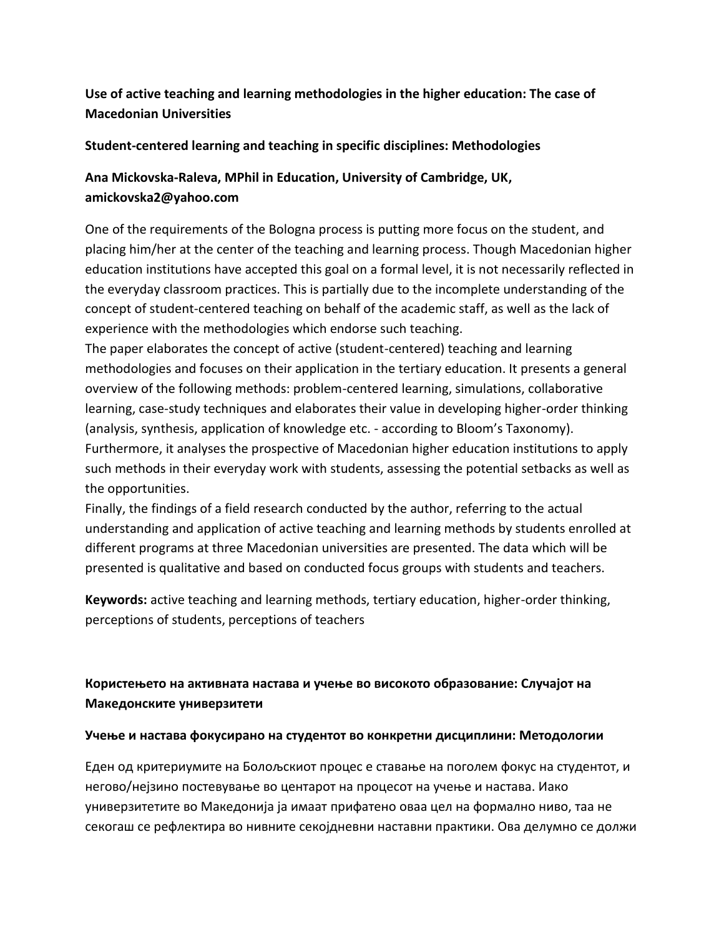# **Use of active teaching and learning methodologies in the higher education: The case of Macedonian Universities**

#### **Student-centered learning and teaching in specific disciplines: Methodologies**

# **Ana Mickovska-Raleva, MPhil in Education, University of Cambridge, UK, amickovska2@yahoo.com**

One of the requirements of the Bologna process is putting more focus on the student, and placing him/her at the center of the teaching and learning process. Though Macedonian higher education institutions have accepted this goal on a formal level, it is not necessarily reflected in the everyday classroom practices. This is partially due to the incomplete understanding of the concept of student-centered teaching on behalf of the academic staff, as well as the lack of experience with the methodologies which endorse such teaching.

The paper elaborates the concept of active (student-centered) teaching and learning methodologies and focuses on their application in the tertiary education. It presents a general overview of the following methods: problem-centered learning, simulations, collaborative learning, case-study techniques and elaborates their value in developing higher-order thinking (analysis, synthesis, application of knowledge etc. - according to Bloom's Taxonomy). Furthermore, it analyses the prospective of Macedonian higher education institutions to apply such methods in their everyday work with students, assessing the potential setbacks as well as the opportunities.

Finally, the findings of a field research conducted by the author, referring to the actual understanding and application of active teaching and learning methods by students enrolled at different programs at three Macedonian universities are presented. The data which will be presented is qualitative and based on conducted focus groups with students and teachers.

**Keywords:** active teaching and learning methods, tertiary education, higher-order thinking, perceptions of students, perceptions of teachers

# **Користењето на активната настава и учење во високото образование: Случајот на Македонските универзитети**

#### **Учење и настава фокусирано на студентот во конкретни дисциплини: Методологии**

Еден од критериумите на Болољскиот процес е ставање на поголем фокус на студентот, и негово/нејзино постевување во центарот на процесот на учење и настава. Иако универзитетите во Македонија ја имаат прифатено оваа цел на формално ниво, таа не секогаш се рефлектира во нивните секојдневни наставни практики. Ова делумно се должи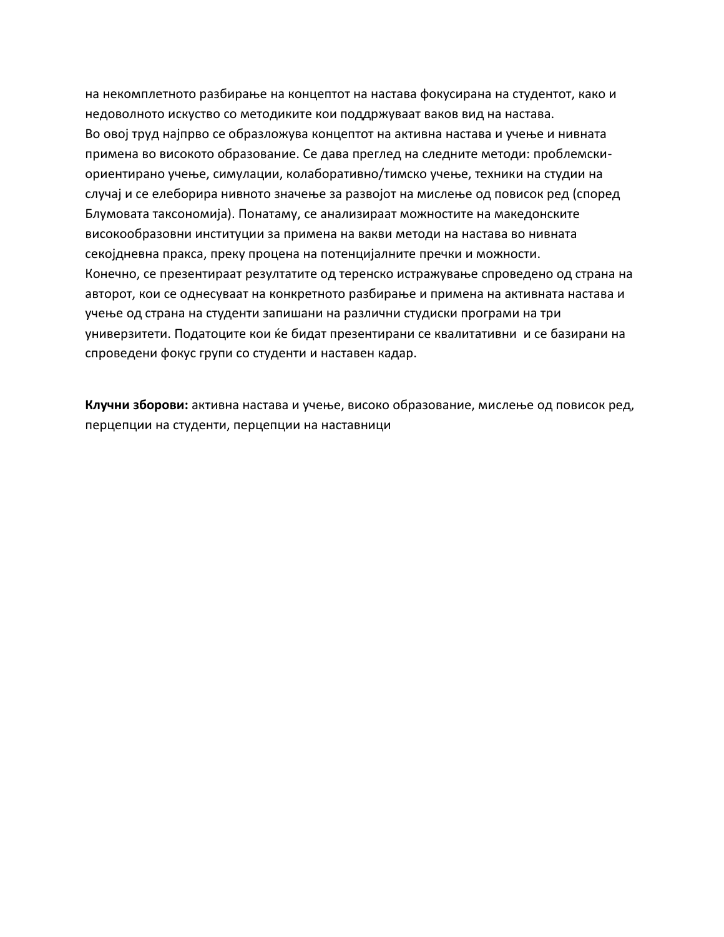на некомплетното разбирање на концептот на настава фокусирана на студентот, како и недоволното искуство со методиките кои поддржуваат ваков вид на настава. Во овој труд најпрво се образложува концептот на активна настава и учење и нивната примена во високото образование. Се дава преглед на следните методи: проблемскиориентирано учење, симулации, колаборативно/тимско учење, техники на студии на случај и се елеборира нивното значење за развојот на мислење од повисок ред (според Блумовата таксономија). Понатаму, се анализираат можностите на македонските високообразовни институции за примена на вакви методи на настава во нивната секојдневна пракса, преку процена на потенцијалните пречки и можности. Конечно, се презентираат резултатите од теренско истражување спроведено од страна на авторот, кои се однесуваат на конкретното разбирање и примена на активната настава и учење од страна на студенти запишани на различни студиски програми на три универзитети. Податоците кои ќе бидат презентирани се квалитативни и се базирани на спроведени фокус групи со студенти и наставен кадар.

**Клучни зборови:** активна настава и учење, високо образование, мислење од повисок ред, перцепции на студенти, перцепции на наставници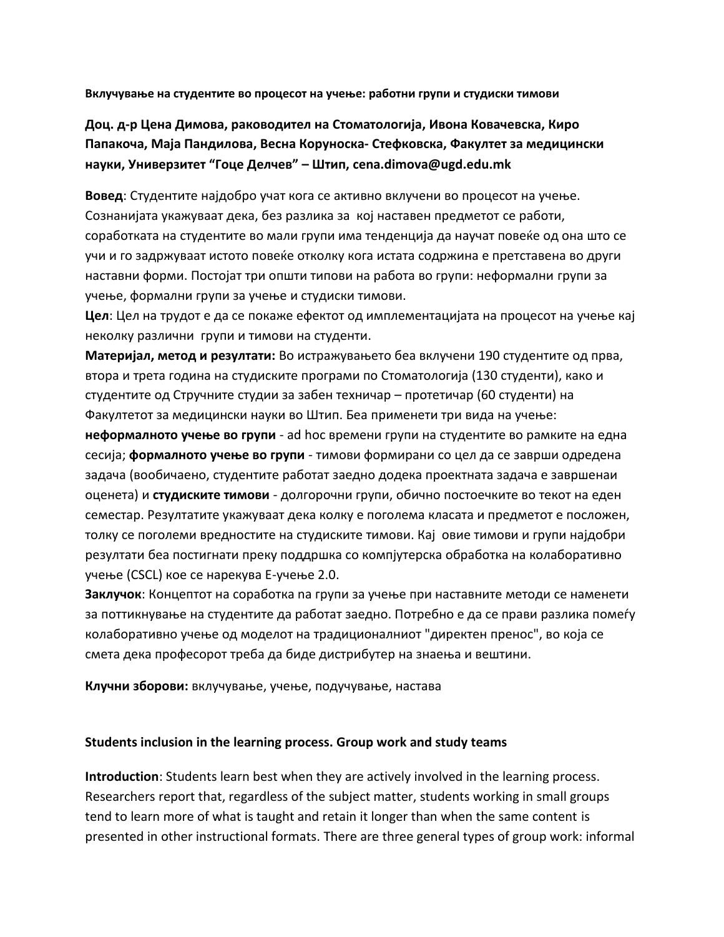**Вклучување на студентите во процесот на учење: работни групи и студиски тимови**

**Доц. д-р Цена Димова, раководител на Стоматологија, Ивона Ковачевска, Киро Папакоча, Маја Пандилова, Весна Коруноска- Стефковска, Факултет за медицински науки, Универзитет "Гоце Делчев" – Штип, cena.dimova@ugd.edu.mk**

**Вовед**: Студентите најдобро учат кога се активно вклучени во процесот на учење. Сознанијата укажуваат дека, без разлика за кој наставен предметот се работи, соработката на студентите во мали групи има тенденција да научат повеќе од она што се учи и го задржуваат истото повеќе отколку кога истата содржина е претставена во други наставни форми. Постојат три општи типови на работа во групи: неформални групи за учење, формални групи за учење и студиски тимови.

**Цел**: Цел на трудот е да се покаже ефектот од имплементацијата на процесот на учење кај неколку различни групи и тимови на студенти.

**Материјал, метод и резултати:** Во истражувањето беа вклучени 190 студентите од прва, втора и трета година на студиските програми по Стоматологија (130 студенти), како и студентите од Стручните студии за забен техничар – протетичар (60 студенти) на Факултетот за медицински науки во Штип. Беа применети три вида на учење:

**неформалното учење во групи** - ad hoc времени групи на студентите во рамките на една сесија; **формалното учење во групи** - тимови формирани со цел да се заврши одредена задача (вообичаено, студентите работат заедно додека проектната задача е завршенаи оценета) и **студиските тимови** - долгорочни групи, обично постоечките во текот на еден семестар. Резултатите укажуваат дека колку е поголема класата и предметот е посложен, толку се поголеми вредностите на студиските тимови. Кај овие тимови и групи најдобри резултати беа постигнати преку поддршка со компјутерска обработка на колаборативно учење (CSCL) кое се нарекува Е-учење 2.0.

**Заклучок**: Концептот на соработка na групи за учење при наставните методи се наменети за поттикнување на студентите да работат заедно. Потребно е да се прави разлика помеѓу колаборативно учење од моделот на традиционалниот "директен пренос", во која се смета дека професорот треба да биде дистрибутер на знаења и вештини.

**Клучни зборови:** вклучување, учење, подучување, настава

#### **Students inclusion in the learning process. Group work and study teams**

**Introduction**: Students learn best when they are actively involved in the learning process. Researchers report that, regardless of the subject matter, students working in small groups tend to learn more of what is taught and retain it longer than when the same content is presented in other instructional formats. Тhere are three general types of group work: informal